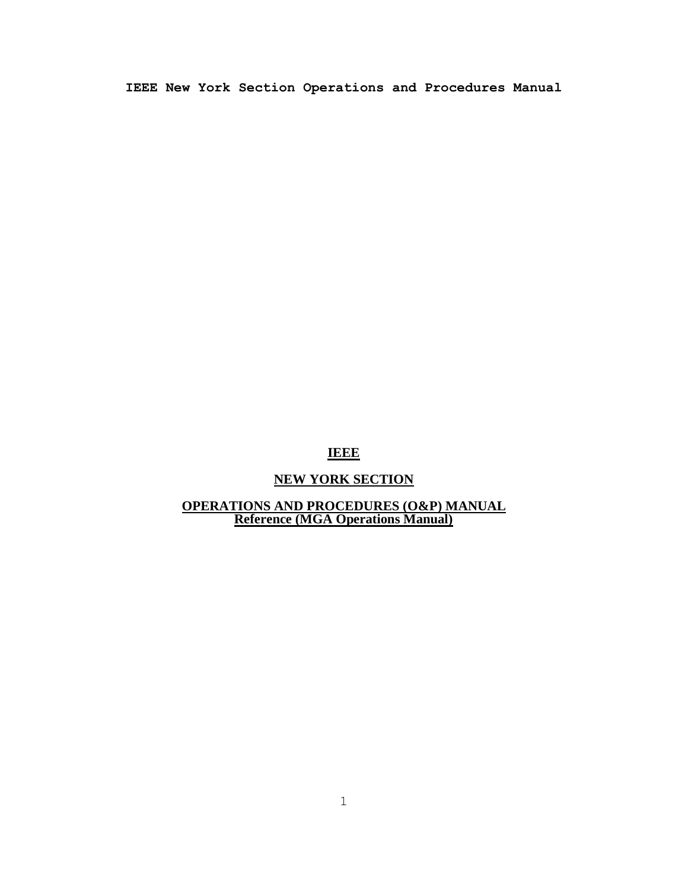# **IEEE**

# **NEW YORK SECTION**

## **OPERATIONS AND PROCEDURES (O&P) MANUAL Reference (MGA Operations Manual)**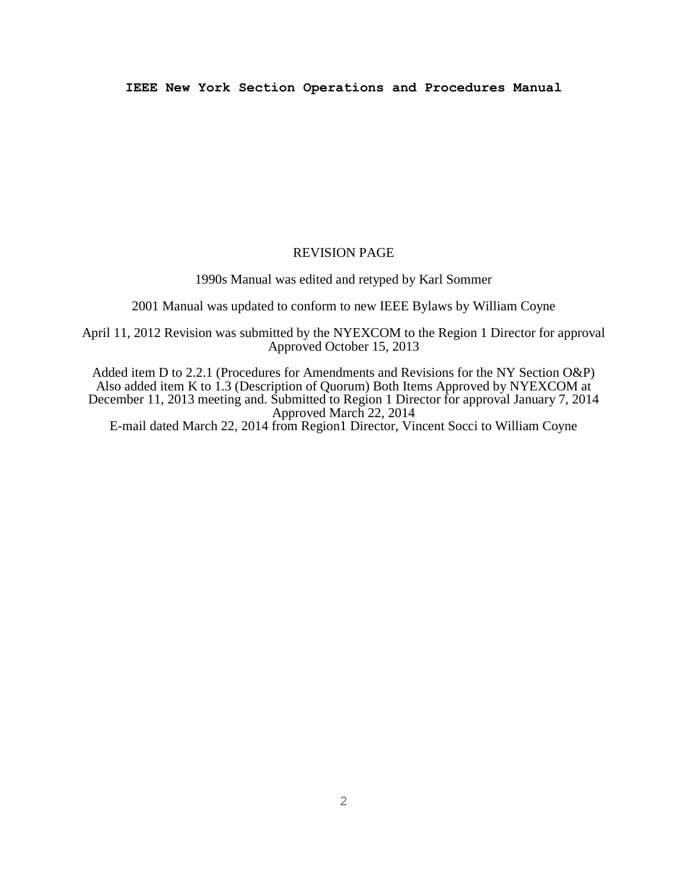## REVISION PAGE

1990s Manual was edited and retyped by Karl Sommer

2001 Manual was updated to conform to new IEEE Bylaws by William Coyne

April 11, 2012 Revision was submitted by the NYEXCOM to the Region 1 Director for approval Approved October 15, 2013

Added item D to 2.2.1 (Procedures for Amendments and Revisions for the NY Section O&P) Also added item K to 1.3 (Description of Quorum) Both Items Approved by NYEXCOM at December 11, 2013 meeting and. Submitted to Region 1 Director for approval January 7, 2014 Approved March 22, 2014

E-mail dated March 22, 2014 from Region1 Director, Vincent Socci to William Coyne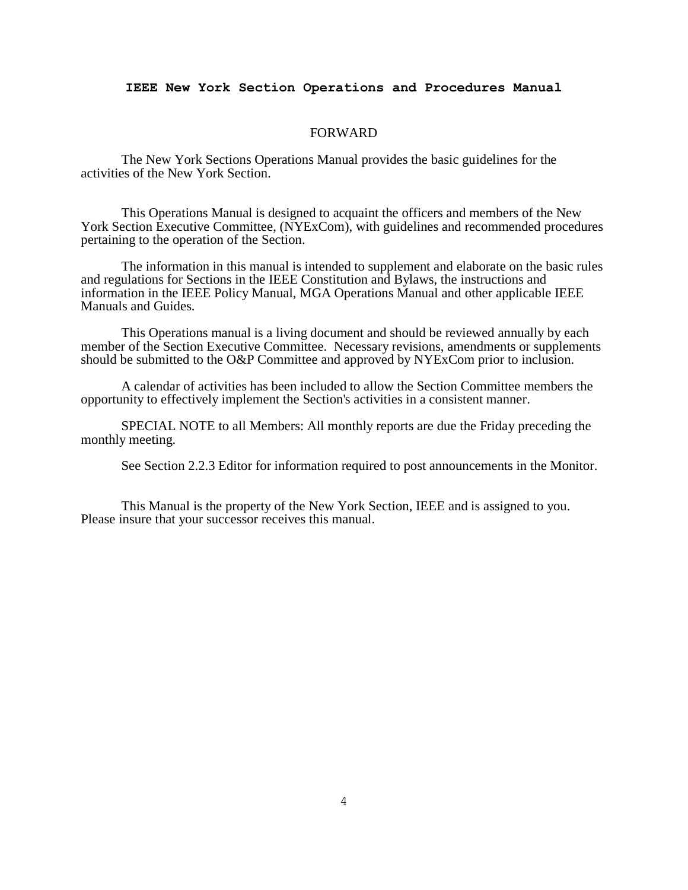#### FORWARD

The New York Sections Operations Manual provides the basic guidelines for the activities of the New York Section.

This Operations Manual is designed to acquaint the officers and members of the New York Section Executive Committee, (NYExCom), with guidelines and recommended procedures pertaining to the operation of the Section.

The information in this manual is intended to supplement and elaborate on the basic rules and regulations for Sections in the IEEE Constitution and Bylaws, the instructions and information in the IEEE Policy Manual, MGA Operations Manual and other applicable IEEE Manuals and Guides.

This Operations manual is a living document and should be reviewed annually by each member of the Section Executive Committee. Necessary revisions, amendments or supplements should be submitted to the O&P Committee and approved by NYExCom prior to inclusion.

A calendar of activities has been included to allow the Section Committee members the opportunity to effectively implement the Section's activities in a consistent manner.

SPECIAL NOTE to all Members: All monthly reports are due the Friday preceding the monthly meeting.

See Section 2.2.3 Editor for information required to post announcements in the Monitor.

This Manual is the property of the New York Section, IEEE and is assigned to you. Please insure that your successor receives this manual.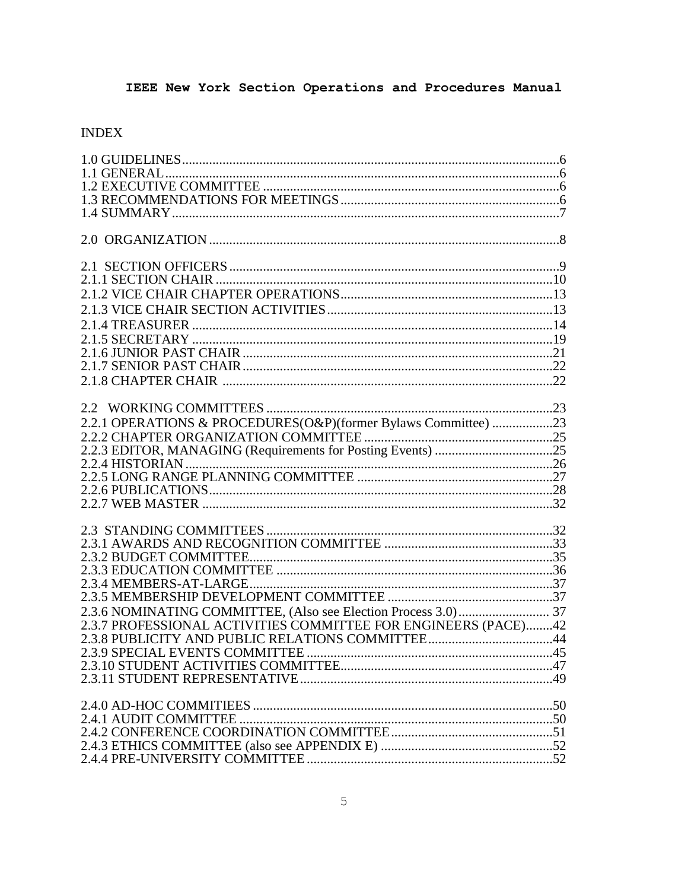# **INDEX**

| 2.2.1 OPERATIONS & PROCEDURES(O&P)(former Bylaws Committee) 23 |  |
|----------------------------------------------------------------|--|
|                                                                |  |
|                                                                |  |
|                                                                |  |
|                                                                |  |
|                                                                |  |
|                                                                |  |
|                                                                |  |
|                                                                |  |
|                                                                |  |
|                                                                |  |
|                                                                |  |
|                                                                |  |
|                                                                |  |
| 2.3.7 PROFESSIONAL ACTIVITIES COMMITTEE FOR ENGINEERS (PACE)42 |  |
|                                                                |  |
| 2.3.9 SPECIAL EVENTS COMMITTEE                                 |  |
|                                                                |  |
|                                                                |  |
|                                                                |  |
|                                                                |  |
|                                                                |  |
|                                                                |  |
|                                                                |  |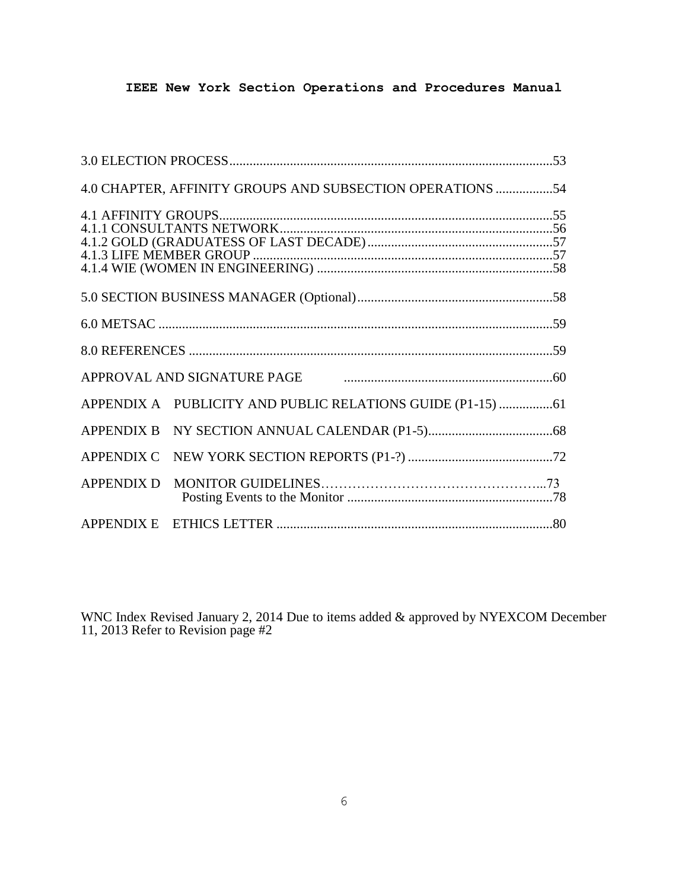|                   | 4.0 CHAPTER, AFFINITY GROUPS AND SUBSECTION OPERATIONS 54    |  |
|-------------------|--------------------------------------------------------------|--|
|                   |                                                              |  |
|                   |                                                              |  |
|                   |                                                              |  |
|                   |                                                              |  |
|                   |                                                              |  |
|                   |                                                              |  |
|                   | APPROVAL AND SIGNATURE PAGE <b>CONDUCTER CONTRACT ASSESS</b> |  |
|                   |                                                              |  |
|                   |                                                              |  |
|                   |                                                              |  |
| <b>APPENDIX D</b> |                                                              |  |
|                   |                                                              |  |

WNC Index Revised January 2, 2014 Due to items added & approved by NYEXCOM December 11, 2013 Refer to Revision page #2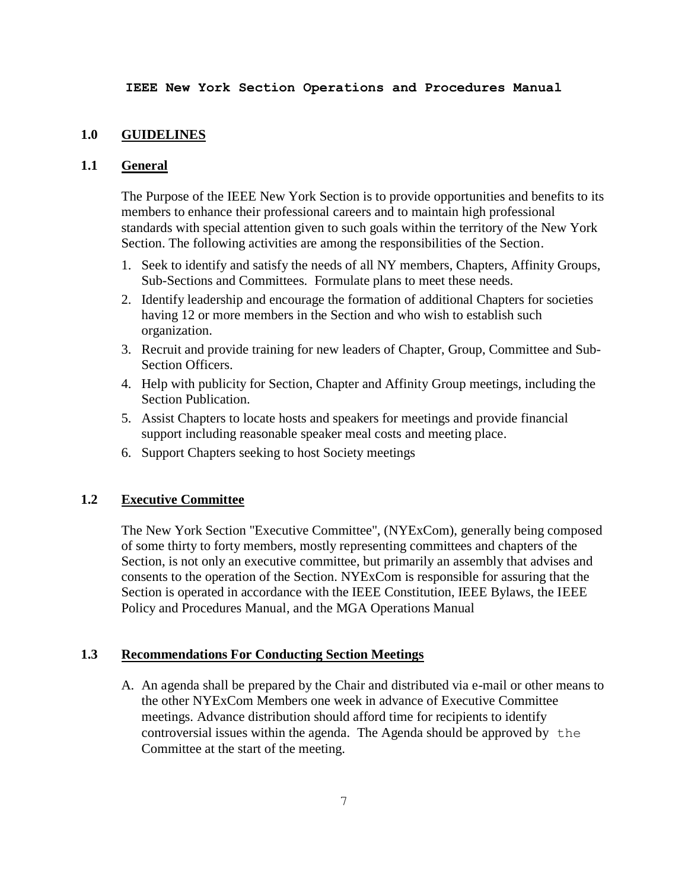## **1.0 GUIDELINES**

## **1.1 General**

The Purpose of the IEEE New York Section is to provide opportunities and benefits to its members to enhance their professional careers and to maintain high professional standards with special attention given to such goals within the territory of the New York Section. The following activities are among the responsibilities of the Section.

- 1. Seek to identify and satisfy the needs of all NY members, Chapters, Affinity Groups, Sub-Sections and Committees. Formulate plans to meet these needs.
- 2. Identify leadership and encourage the formation of additional Chapters for societies having 12 or more members in the Section and who wish to establish such organization.
- 3. Recruit and provide training for new leaders of Chapter, Group, Committee and Sub-Section Officers.
- 4. Help with publicity for Section, Chapter and Affinity Group meetings, including the Section Publication.
- 5. Assist Chapters to locate hosts and speakers for meetings and provide financial support including reasonable speaker meal costs and meeting place.
- 6. Support Chapters seeking to host Society meetings

# **1.2 Executive Committee**

The New York Section "Executive Committee", (NYExCom), generally being composed of some thirty to forty members, mostly representing committees and chapters of the Section, is not only an executive committee, but primarily an assembly that advises and consents to the operation of the Section. NYExCom is responsible for assuring that the Section is operated in accordance with the IEEE Constitution, IEEE Bylaws, the IEEE Policy and Procedures Manual, and the MGA Operations Manual

# **1.3 Recommendations For Conducting Section Meetings**

A. An agenda shall be prepared by the Chair and distributed via e-mail or other means to the other NYExCom Members one week in advance of Executive Committee meetings. Advance distribution should afford time for recipients to identify controversial issues within the agenda. The Agenda should be approved by the Committee at the start of the meeting.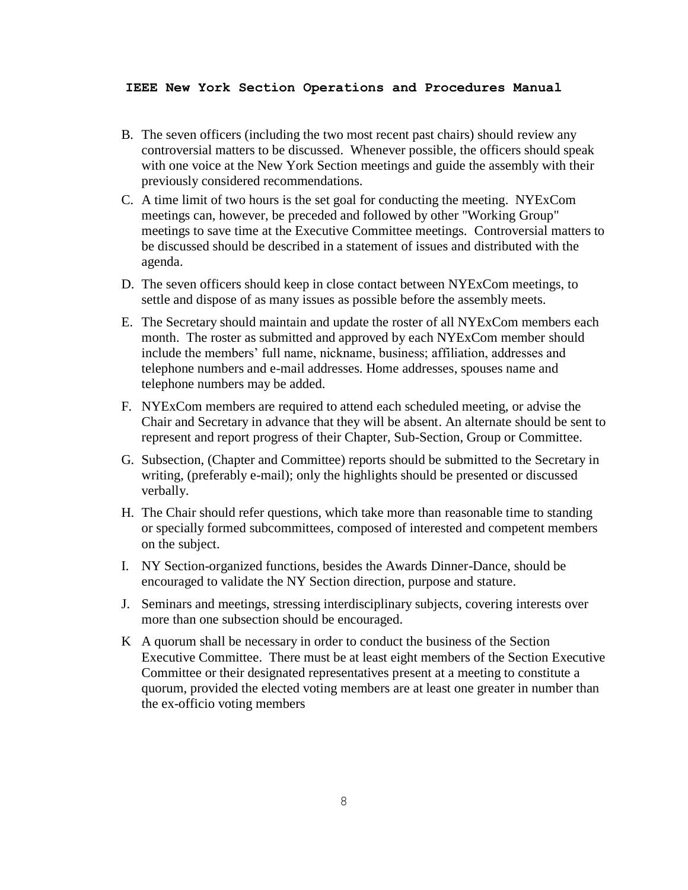- B. The seven officers (including the two most recent past chairs) should review any controversial matters to be discussed. Whenever possible, the officers should speak with one voice at the New York Section meetings and guide the assembly with their previously considered recommendations.
- C. A time limit of two hours is the set goal for conducting the meeting. NYExCom meetings can, however, be preceded and followed by other "Working Group" meetings to save time at the Executive Committee meetings. Controversial matters to be discussed should be described in a statement of issues and distributed with the agenda.
- D. The seven officers should keep in close contact between NYExCom meetings, to settle and dispose of as many issues as possible before the assembly meets.
- E. The Secretary should maintain and update the roster of all NYExCom members each month. The roster as submitted and approved by each NYExCom member should include the members' full name, nickname, business; affiliation, addresses and telephone numbers and e-mail addresses. Home addresses, spouses name and telephone numbers may be added.
- F. NYExCom members are required to attend each scheduled meeting, or advise the Chair and Secretary in advance that they will be absent. An alternate should be sent to represent and report progress of their Chapter, Sub-Section, Group or Committee.
- G. Subsection, (Chapter and Committee) reports should be submitted to the Secretary in writing, (preferably e-mail); only the highlights should be presented or discussed verbally.
- H. The Chair should refer questions, which take more than reasonable time to standing or specially formed subcommittees, composed of interested and competent members on the subject.
- I. NY Section-organized functions, besides the Awards Dinner-Dance, should be encouraged to validate the NY Section direction, purpose and stature.
- J. Seminars and meetings, stressing interdisciplinary subjects, covering interests over more than one subsection should be encouraged.
- K A quorum shall be necessary in order to conduct the business of the Section Executive Committee. There must be at least eight members of the Section Executive Committee or their designated representatives present at a meeting to constitute a quorum, provided the elected voting members are at least one greater in number than the ex-officio voting members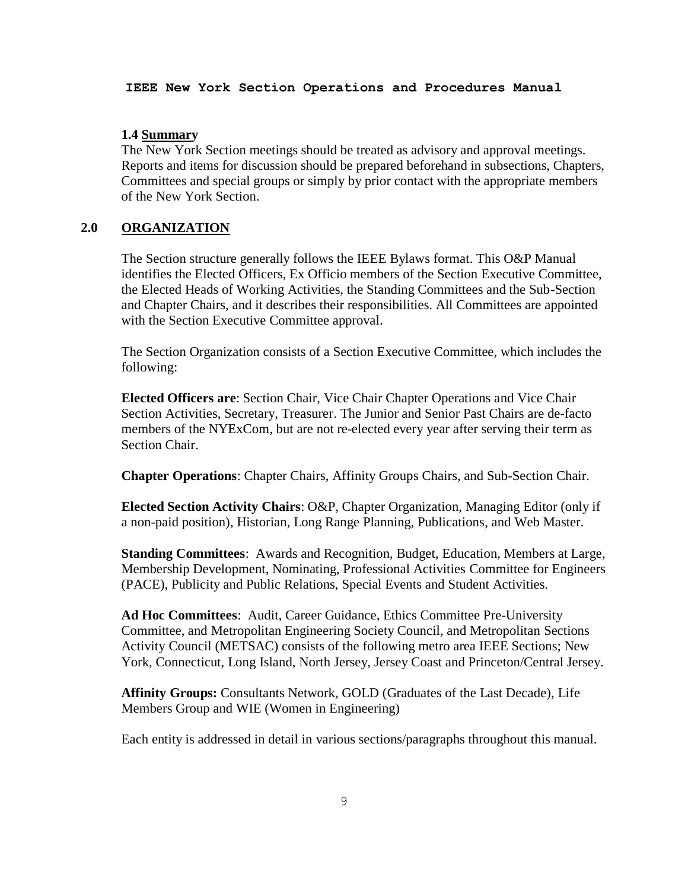## **1.4 Summary**

The New York Section meetings should be treated as advisory and approval meetings. Reports and items for discussion should be prepared beforehand in subsections, Chapters, Committees and special groups or simply by prior contact with the appropriate members of the New York Section.

# **2.0 ORGANIZATION**

The Section structure generally follows the IEEE Bylaws format. This O&P Manual identifies the Elected Officers, Ex Officio members of the Section Executive Committee, the Elected Heads of Working Activities, the Standing Committees and the Sub-Section and Chapter Chairs, and it describes their responsibilities. All Committees are appointed with the Section Executive Committee approval.

The Section Organization consists of a Section Executive Committee, which includes the following:

**Elected Officers are**: Section Chair, Vice Chair Chapter Operations and Vice Chair Section Activities, Secretary, Treasurer. The Junior and Senior Past Chairs are de-facto members of the NYExCom, but are not re-elected every year after serving their term as Section Chair.

**Chapter Operations**: Chapter Chairs, Affinity Groups Chairs, and Sub-Section Chair.

**Elected Section Activity Chairs**: O&P, Chapter Organization, Managing Editor (only if a non-paid position), Historian, Long Range Planning, Publications, and Web Master.

**Standing Committees**: Awards and Recognition, Budget, Education, Members at Large, Membership Development, Nominating, Professional Activities Committee for Engineers (PACE), Publicity and Public Relations, Special Events and Student Activities.

**Ad Hoc Committees**: Audit, Career Guidance, Ethics Committee Pre-University Committee, and Metropolitan Engineering Society Council, and Metropolitan Sections Activity Council (METSAC) consists of the following metro area IEEE Sections; New York, Connecticut, Long Island, North Jersey, Jersey Coast and Princeton/Central Jersey.

**Affinity Groups:** Consultants Network, GOLD (Graduates of the Last Decade), Life Members Group and WIE (Women in Engineering)

Each entity is addressed in detail in various sections/paragraphs throughout this manual.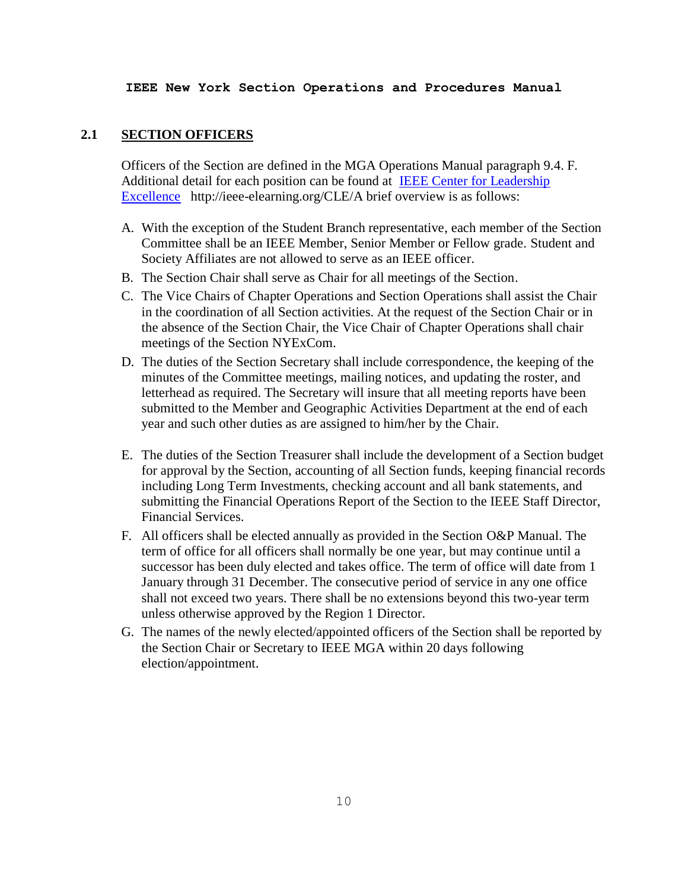## **2.1 SECTION OFFICERS**

Officers of the Section are defined in the MGA Operations Manual paragraph 9.4. F. Additional detail for each position can be found at [IEEE Center for Leadership](http://ieee-elearning.org/CLE/)  [Excellence](http://ieee-elearning.org/CLE/) http://ieee-elearning.org/CLE/A brief overview is as follows:

- A. With the exception of the Student Branch representative, each member of the Section Committee shall be an IEEE Member, Senior Member or Fellow grade. Student and Society Affiliates are not allowed to serve as an IEEE officer.
- B. The Section Chair shall serve as Chair for all meetings of the Section.
- C. The Vice Chairs of Chapter Operations and Section Operations shall assist the Chair in the coordination of all Section activities. At the request of the Section Chair or in the absence of the Section Chair, the Vice Chair of Chapter Operations shall chair meetings of the Section NYExCom.
- D. The duties of the Section Secretary shall include correspondence, the keeping of the minutes of the Committee meetings, mailing notices, and updating the roster, and letterhead as required. The Secretary will insure that all meeting reports have been submitted to the Member and Geographic Activities Department at the end of each year and such other duties as are assigned to him/her by the Chair.
- E. The duties of the Section Treasurer shall include the development of a Section budget for approval by the Section, accounting of all Section funds, keeping financial records including Long Term Investments, checking account and all bank statements, and submitting the Financial Operations Report of the Section to the IEEE Staff Director, Financial Services.
- F. All officers shall be elected annually as provided in the Section O&P Manual. The term of office for all officers shall normally be one year, but may continue until a successor has been duly elected and takes office. The term of office will date from 1 January through 31 December. The consecutive period of service in any one office shall not exceed two years. There shall be no extensions beyond this two-year term unless otherwise approved by the Region 1 Director.
- G. The names of the newly elected/appointed officers of the Section shall be reported by the Section Chair or Secretary to IEEE MGA within 20 days following election/appointment.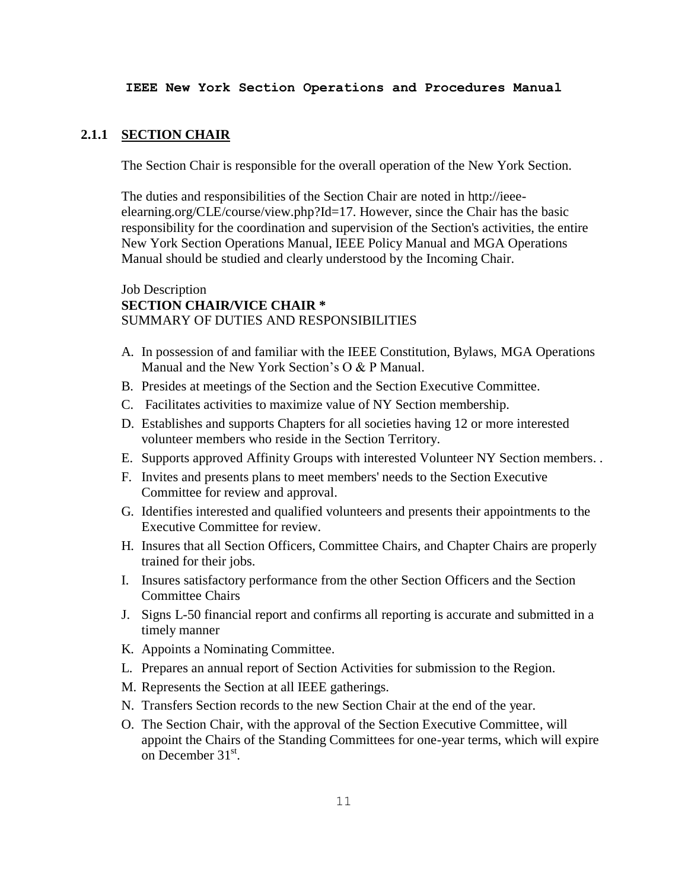#### **2.1.1 SECTION CHAIR**

The Section Chair is responsible for the overall operation of the New York Section.

The duties and responsibilities of the Section Chair are noted in http://ieeeelearning.org/CLE/course/view.php?Id=17. However, since the Chair has the basic responsibility for the coordination and supervision of the Section's activities, the entire New York Section Operations Manual, IEEE Policy Manual and MGA Operations Manual should be studied and clearly understood by the Incoming Chair.

# Job Description **SECTION CHAIR/VICE CHAIR \*** SUMMARY OF DUTIES AND RESPONSIBILITIES

- A. In possession of and familiar with the IEEE Constitution, Bylaws, MGA Operations Manual and the New York Section's O & P Manual.
- B. Presides at meetings of the Section and the Section Executive Committee.
- C. Facilitates activities to maximize value of NY Section membership.
- D. Establishes and supports Chapters for all societies having 12 or more interested volunteer members who reside in the Section Territory.
- E. Supports approved Affinity Groups with interested Volunteer NY Section members. .
- F. Invites and presents plans to meet members' needs to the Section Executive Committee for review and approval.
- G. Identifies interested and qualified volunteers and presents their appointments to the Executive Committee for review.
- H. Insures that all Section Officers, Committee Chairs, and Chapter Chairs are properly trained for their jobs.
- I. Insures satisfactory performance from the other Section Officers and the Section Committee Chairs
- J. Signs L-50 financial report and confirms all reporting is accurate and submitted in a timely manner
- K. Appoints a Nominating Committee.
- L. Prepares an annual report of Section Activities for submission to the Region.
- M. Represents the Section at all IEEE gatherings.
- N. Transfers Section records to the new Section Chair at the end of the year.
- O. The Section Chair, with the approval of the Section Executive Committee, will appoint the Chairs of the Standing Committees for one-year terms, which will expire on December  $31<sup>st</sup>$ .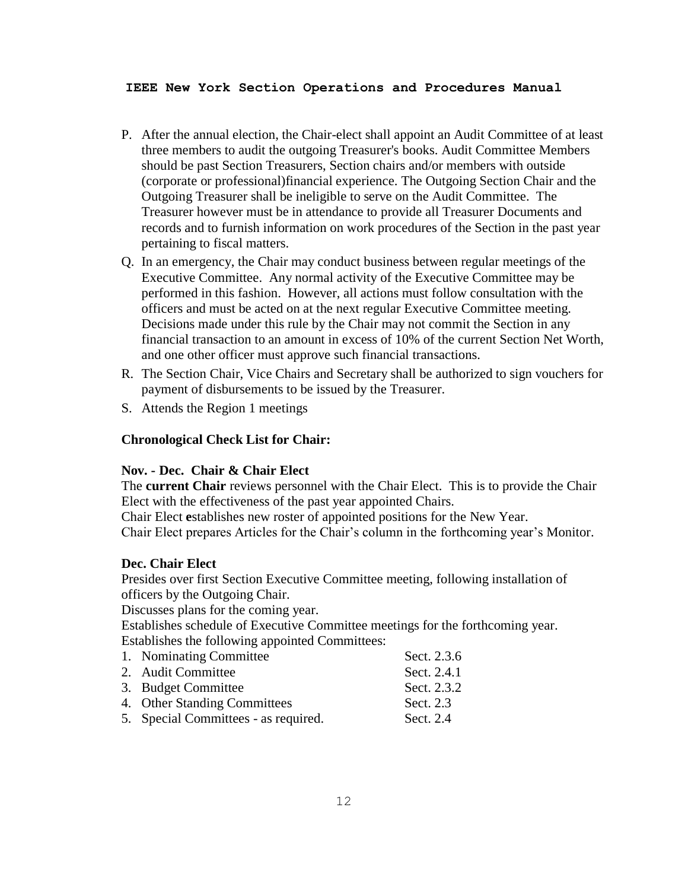- P. After the annual election, the Chair-elect shall appoint an Audit Committee of at least three members to audit the outgoing Treasurer's books. Audit Committee Members should be past Section Treasurers, Section chairs and/or members with outside (corporate or professional)financial experience. The Outgoing Section Chair and the Outgoing Treasurer shall be ineligible to serve on the Audit Committee. The Treasurer however must be in attendance to provide all Treasurer Documents and records and to furnish information on work procedures of the Section in the past year pertaining to fiscal matters.
- Q. In an emergency, the Chair may conduct business between regular meetings of the Executive Committee. Any normal activity of the Executive Committee may be performed in this fashion. However, all actions must follow consultation with the officers and must be acted on at the next regular Executive Committee meeting. Decisions made under this rule by the Chair may not commit the Section in any financial transaction to an amount in excess of 10% of the current Section Net Worth, and one other officer must approve such financial transactions.
- R. The Section Chair, Vice Chairs and Secretary shall be authorized to sign vouchers for payment of disbursements to be issued by the Treasurer.
- S. Attends the Region 1 meetings

# **Chronological Check List for Chair:**

## **Nov. - Dec. Chair & Chair Elect**

The **current Chair** reviews personnel with the Chair Elect. This is to provide the Chair Elect with the effectiveness of the past year appointed Chairs.

Chair Elect **e**stablishes new roster of appointed positions for the New Year. Chair Elect prepares Articles for the Chair's column in the forthcoming year's Monitor.

#### **Dec. Chair Elect**

Presides over first Section Executive Committee meeting, following installation of officers by the Outgoing Chair.

Discusses plans for the coming year.

Establishes schedule of Executive Committee meetings for the forthcoming year. Establishes the following appointed Committees:

| 1. Nominating Committee              | Sect. 2.3.6 |
|--------------------------------------|-------------|
| 2. Audit Committee                   | Sect. 2.4.1 |
| 3. Budget Committee                  | Sect. 2.3.2 |
| 4. Other Standing Committees         | Sect. 2.3   |
| 5. Special Committees - as required. | Sect. 2.4   |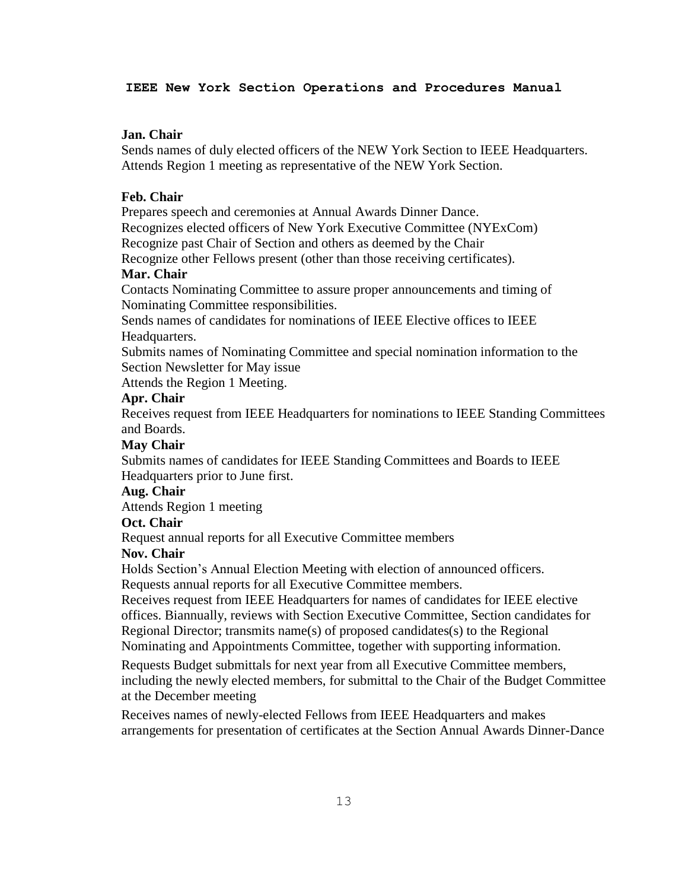#### **Jan. Chair**

Sends names of duly elected officers of the NEW York Section to IEEE Headquarters. Attends Region 1 meeting as representative of the NEW York Section.

### **Feb. Chair**

Prepares speech and ceremonies at Annual Awards Dinner Dance.

Recognizes elected officers of New York Executive Committee (NYExCom)

Recognize past Chair of Section and others as deemed by the Chair

Recognize other Fellows present (other than those receiving certificates).

# **Mar. Chair**

Contacts Nominating Committee to assure proper announcements and timing of Nominating Committee responsibilities.

Sends names of candidates for nominations of IEEE Elective offices to IEEE Headquarters.

Submits names of Nominating Committee and special nomination information to the Section Newsletter for May issue

Attends the Region 1 Meeting.

#### **Apr. Chair**

Receives request from IEEE Headquarters for nominations to IEEE Standing Committees and Boards.

#### **May Chair**

Submits names of candidates for IEEE Standing Committees and Boards to IEEE Headquarters prior to June first.

## **Aug. Chair**

Attends Region 1 meeting

#### **Oct. Chair**

Request annual reports for all Executive Committee members

#### **Nov. Chair**

Holds Section's Annual Election Meeting with election of announced officers. Requests annual reports for all Executive Committee members.

Receives request from IEEE Headquarters for names of candidates for IEEE elective offices. Biannually, reviews with Section Executive Committee, Section candidates for Regional Director; transmits name(s) of proposed candidates(s) to the Regional Nominating and Appointments Committee, together with supporting information.

Requests Budget submittals for next year from all Executive Committee members, including the newly elected members, for submittal to the Chair of the Budget Committee at the December meeting

Receives names of newly-elected Fellows from IEEE Headquarters and makes arrangements for presentation of certificates at the Section Annual Awards Dinner-Dance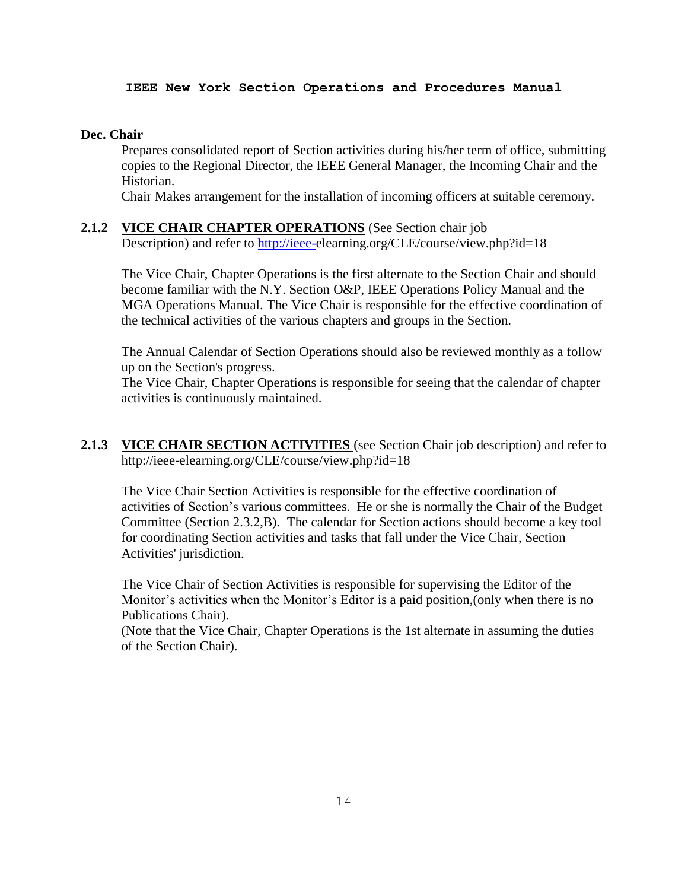### **Dec. Chair**

Prepares consolidated report of Section activities during his/her term of office, submitting copies to the Regional Director, the IEEE General Manager, the Incoming Chair and the Historian.

Chair Makes arrangement for the installation of incoming officers at suitable ceremony.

**2.1.2 VICE CHAIR CHAPTER OPERATIONS** (See Section chair job Description) and refer to [http://ieee-e](http://ieee-/)learning.org/CLE/course/view.php?id=18

The Vice Chair, Chapter Operations is the first alternate to the Section Chair and should become familiar with the N.Y. Section O&P, IEEE Operations Policy Manual and the MGA Operations Manual. The Vice Chair is responsible for the effective coordination of the technical activities of the various chapters and groups in the Section.

The Annual Calendar of Section Operations should also be reviewed monthly as a follow up on the Section's progress.

The Vice Chair, Chapter Operations is responsible for seeing that the calendar of chapter activities is continuously maintained.

**2.1.3 VICE CHAIR SECTION ACTIVITIES** (see Section Chair job description) and refer to http://ieee-elearning.org/CLE/course/view.php?id=18

The Vice Chair Section Activities is responsible for the effective coordination of activities of Section's various committees. He or she is normally the Chair of the Budget Committee (Section 2.3.2,B). The calendar for Section actions should become a key tool for coordinating Section activities and tasks that fall under the Vice Chair, Section Activities' jurisdiction.

The Vice Chair of Section Activities is responsible for supervising the Editor of the Monitor's activities when the Monitor's Editor is a paid position,(only when there is no Publications Chair).

(Note that the Vice Chair, Chapter Operations is the 1st alternate in assuming the duties of the Section Chair).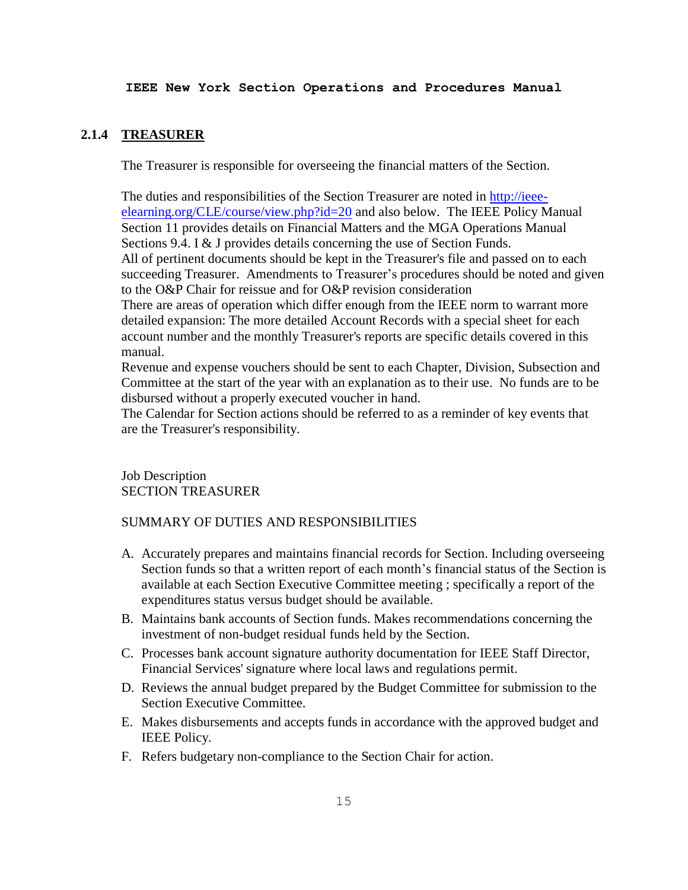# **2.1.4 TREASURER**

The Treasurer is responsible for overseeing the financial matters of the Section.

The duties and responsibilities of the Section Treasurer are noted in [http://ieee](http://ieee-elearning.org/CLE/course/view.php?id=20)[elearning.org/CLE/course/view.php?id=20](http://ieee-elearning.org/CLE/course/view.php?id=20) and also below. The IEEE Policy Manual Section 11 provides details on Financial Matters and the MGA Operations Manual Sections 9.4. I & J provides details concerning the use of Section Funds. All of pertinent documents should be kept in the Treasurer's file and passed on to each

succeeding Treasurer. Amendments to Treasurer's procedures should be noted and given to the O&P Chair for reissue and for O&P revision consideration

There are areas of operation which differ enough from the IEEE norm to warrant more detailed expansion: The more detailed Account Records with a special sheet for each account number and the monthly Treasurer's reports are specific details covered in this manual.

Revenue and expense vouchers should be sent to each Chapter, Division, Subsection and Committee at the start of the year with an explanation as to their use. No funds are to be disbursed without a properly executed voucher in hand.

The Calendar for Section actions should be referred to as a reminder of key events that are the Treasurer's responsibility.

Job Description SECTION TREASURER

# SUMMARY OF DUTIES AND RESPONSIBILITIES

- A. Accurately prepares and maintains financial records for Section. Including overseeing Section funds so that a written report of each month's financial status of the Section is available at each Section Executive Committee meeting ; specifically a report of the expenditures status versus budget should be available.
- B. Maintains bank accounts of Section funds. Makes recommendations concerning the investment of non-budget residual funds held by the Section.
- C. Processes bank account signature authority documentation for IEEE Staff Director, Financial Services' signature where local laws and regulations permit.
- D. Reviews the annual budget prepared by the Budget Committee for submission to the Section Executive Committee.
- E. Makes disbursements and accepts funds in accordance with the approved budget and IEEE Policy.
- F. Refers budgetary non-compliance to the Section Chair for action.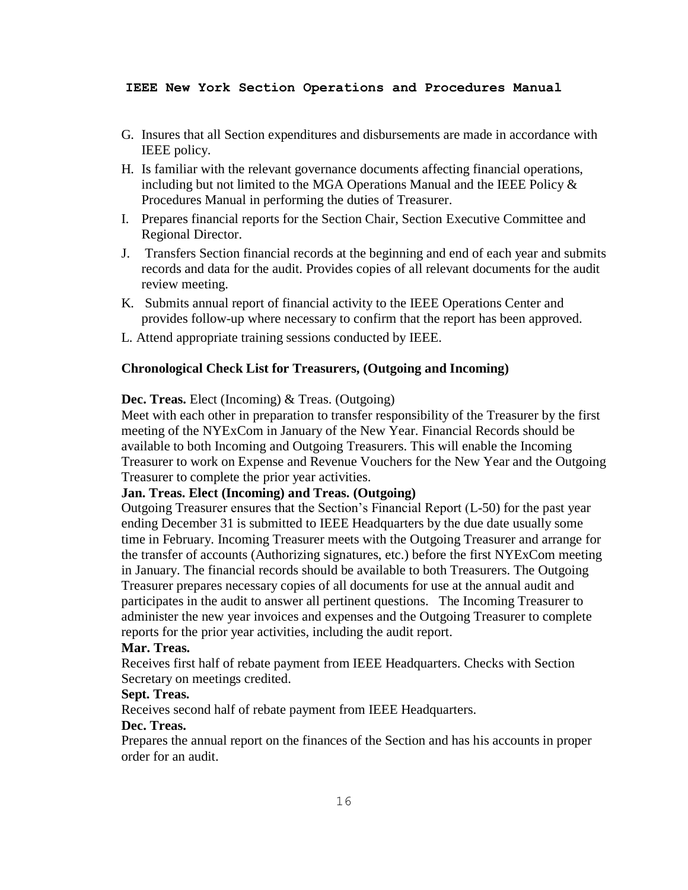- G. Insures that all Section expenditures and disbursements are made in accordance with IEEE policy.
- H. Is familiar with the relevant governance documents affecting financial operations, including but not limited to the MGA Operations Manual and the IEEE Policy  $\&$ Procedures Manual in performing the duties of Treasurer.
- I. Prepares financial reports for the Section Chair, Section Executive Committee and Regional Director.
- J. Transfers Section financial records at the beginning and end of each year and submits records and data for the audit. Provides copies of all relevant documents for the audit review meeting.
- K. Submits annual report of financial activity to the IEEE Operations Center and provides follow-up where necessary to confirm that the report has been approved.
- L. Attend appropriate training sessions conducted by IEEE.

#### **Chronological Check List for Treasurers, (Outgoing and Incoming)**

#### **Dec. Treas.** Elect (Incoming) & Treas. (Outgoing)

Meet with each other in preparation to transfer responsibility of the Treasurer by the first meeting of the NYExCom in January of the New Year. Financial Records should be available to both Incoming and Outgoing Treasurers. This will enable the Incoming Treasurer to work on Expense and Revenue Vouchers for the New Year and the Outgoing Treasurer to complete the prior year activities.

# **Jan. Treas. Elect (Incoming) and Treas. (Outgoing)**

Outgoing Treasurer ensures that the Section's Financial Report (L-50) for the past year ending December 31 is submitted to IEEE Headquarters by the due date usually some time in February. Incoming Treasurer meets with the Outgoing Treasurer and arrange for the transfer of accounts (Authorizing signatures, etc.) before the first NYExCom meeting in January. The financial records should be available to both Treasurers. The Outgoing Treasurer prepares necessary copies of all documents for use at the annual audit and participates in the audit to answer all pertinent questions. The Incoming Treasurer to administer the new year invoices and expenses and the Outgoing Treasurer to complete reports for the prior year activities, including the audit report.

## **Mar. Treas.**

Receives first half of rebate payment from IEEE Headquarters. Checks with Section Secretary on meetings credited.

## **Sept. Treas.**

Receives second half of rebate payment from IEEE Headquarters.

# **Dec. Treas.**

Prepares the annual report on the finances of the Section and has his accounts in proper order for an audit.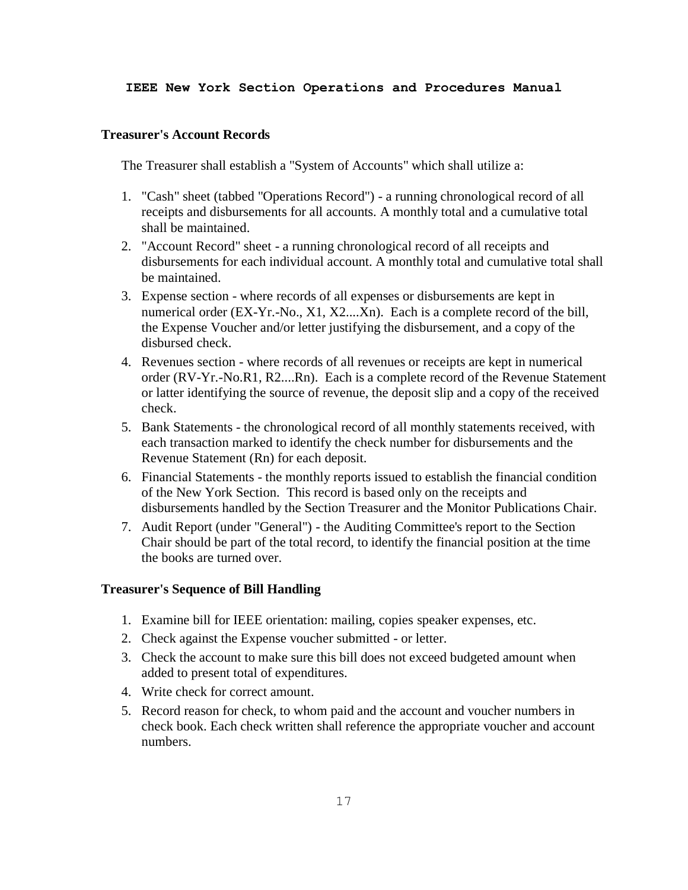#### **Treasurer's Account Records**

The Treasurer shall establish a "System of Accounts" which shall utilize a:

- 1. "Cash" sheet (tabbed "Operations Record") a running chronological record of all receipts and disbursements for all accounts. A monthly total and a cumulative total shall be maintained.
- 2. "Account Record" sheet a running chronological record of all receipts and disbursements for each individual account. A monthly total and cumulative total shall be maintained.
- 3. Expense section where records of all expenses or disbursements are kept in numerical order (EX-Yr.-No., X1, X2....Xn). Each is a complete record of the bill, the Expense Voucher and/or letter justifying the disbursement, and a copy of the disbursed check.
- 4. Revenues section where records of all revenues or receipts are kept in numerical order (RV-Yr.-No.R1, R2....Rn). Each is a complete record of the Revenue Statement or latter identifying the source of revenue, the deposit slip and a copy of the received check.
- 5. Bank Statements the chronological record of all monthly statements received, with each transaction marked to identify the check number for disbursements and the Revenue Statement (Rn) for each deposit.
- 6. Financial Statements the monthly reports issued to establish the financial condition of the New York Section. This record is based only on the receipts and disbursements handled by the Section Treasurer and the Monitor Publications Chair.
- 7. Audit Report (under "General") the Auditing Committee's report to the Section Chair should be part of the total record, to identify the financial position at the time the books are turned over.

#### **Treasurer's Sequence of Bill Handling**

- 1. Examine bill for IEEE orientation: mailing, copies speaker expenses, etc.
- 2. Check against the Expense voucher submitted or letter.
- 3. Check the account to make sure this bill does not exceed budgeted amount when added to present total of expenditures.
- 4. Write check for correct amount.
- 5. Record reason for check, to whom paid and the account and voucher numbers in check book. Each check written shall reference the appropriate voucher and account numbers.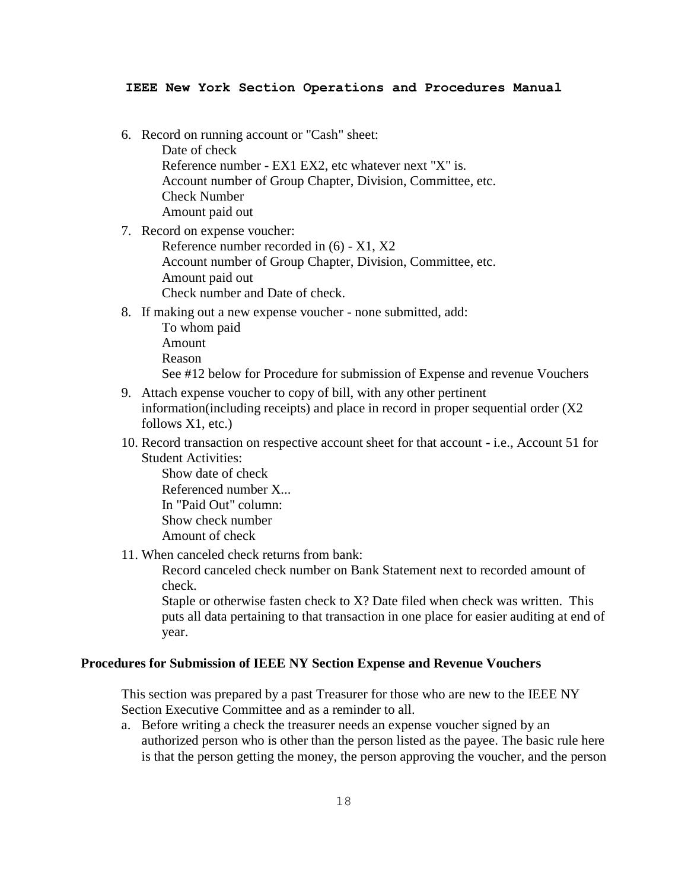- 6. Record on running account or "Cash" sheet: Date of check Reference number - EX1 EX2, etc whatever next "X" is. Account number of Group Chapter, Division, Committee, etc. Check Number Amount paid out
- 7. Record on expense voucher:

Reference number recorded in (6) - X1, X2 Account number of Group Chapter, Division, Committee, etc. Amount paid out Check number and Date of check.

- 8. If making out a new expense voucher none submitted, add:
	- To whom paid Amount Reason

See #12 below for Procedure for submission of Expense and revenue Vouchers

- 9. Attach expense voucher to copy of bill, with any other pertinent information(including receipts) and place in record in proper sequential order (X2 follows X1, etc.)
- 10. Record transaction on respective account sheet for that account i.e., Account 51 for Student Activities:

Show date of check Referenced number X... In "Paid Out" column: Show check number Amount of check

11. When canceled check returns from bank:

Record canceled check number on Bank Statement next to recorded amount of check.

Staple or otherwise fasten check to X? Date filed when check was written. This puts all data pertaining to that transaction in one place for easier auditing at end of year.

## **Procedures for Submission of IEEE NY Section Expense and Revenue Vouchers**

This section was prepared by a past Treasurer for those who are new to the IEEE NY Section Executive Committee and as a reminder to all.

a. Before writing a check the treasurer needs an expense voucher signed by an authorized person who is other than the person listed as the payee. The basic rule here is that the person getting the money, the person approving the voucher, and the person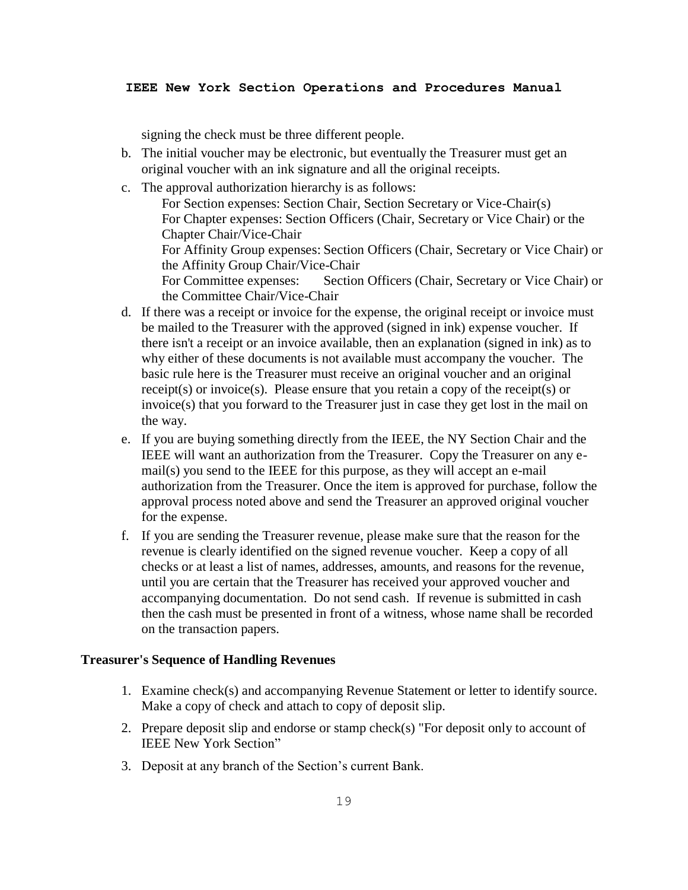signing the check must be three different people.

- b. The initial voucher may be electronic, but eventually the Treasurer must get an original voucher with an ink signature and all the original receipts.
- c. The approval authorization hierarchy is as follows:

For Section expenses: Section Chair, Section Secretary or Vice-Chair(s) For Chapter expenses: Section Officers (Chair, Secretary or Vice Chair) or the Chapter Chair/Vice-Chair For Affinity Group expenses: Section Officers (Chair, Secretary or Vice Chair) or the Affinity Group Chair/Vice-Chair For Committee expenses: Section Officers (Chair, Secretary or Vice Chair) or the Committee Chair/Vice-Chair

- d. If there was a receipt or invoice for the expense, the original receipt or invoice must be mailed to the Treasurer with the approved (signed in ink) expense voucher. If there isn't a receipt or an invoice available, then an explanation (signed in ink) as to why either of these documents is not available must accompany the voucher. The basic rule here is the Treasurer must receive an original voucher and an original receipt(s) or invoice(s). Please ensure that you retain a copy of the receipt(s) or invoice(s) that you forward to the Treasurer just in case they get lost in the mail on the way.
- e. If you are buying something directly from the IEEE, the NY Section Chair and the IEEE will want an authorization from the Treasurer. Copy the Treasurer on any email(s) you send to the IEEE for this purpose, as they will accept an e-mail authorization from the Treasurer. Once the item is approved for purchase, follow the approval process noted above and send the Treasurer an approved original voucher for the expense.
- f. If you are sending the Treasurer revenue, please make sure that the reason for the revenue is clearly identified on the signed revenue voucher. Keep a copy of all checks or at least a list of names, addresses, amounts, and reasons for the revenue, until you are certain that the Treasurer has received your approved voucher and accompanying documentation. Do not send cash. If revenue is submitted in cash then the cash must be presented in front of a witness, whose name shall be recorded on the transaction papers.

### **Treasurer's Sequence of Handling Revenues**

- 1. Examine check(s) and accompanying Revenue Statement or letter to identify source. Make a copy of check and attach to copy of deposit slip.
- 2. Prepare deposit slip and endorse or stamp check(s) "For deposit only to account of IEEE New York Section"
- 3. Deposit at any branch of the Section's current Bank.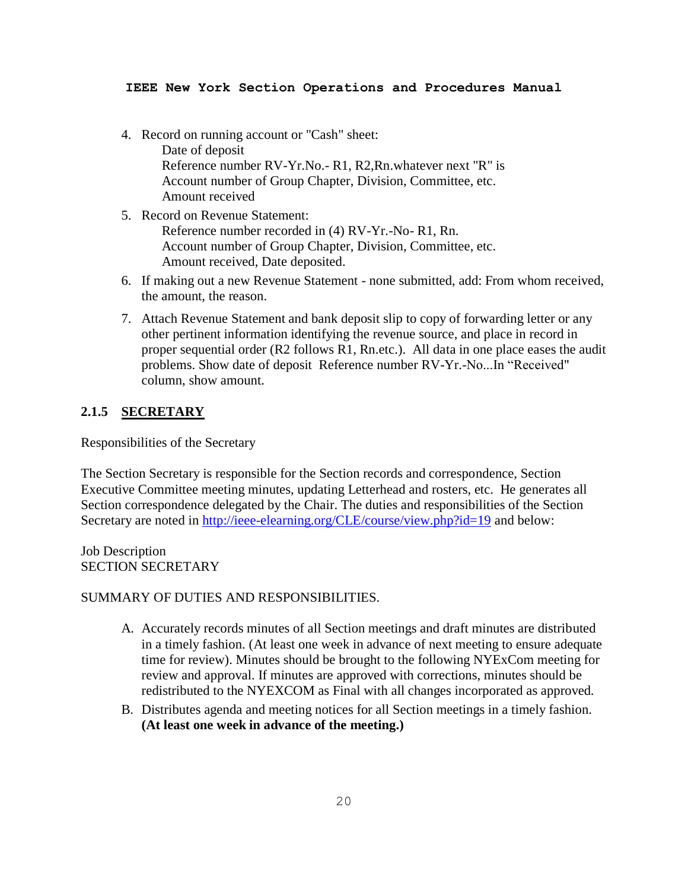- 4. Record on running account or "Cash" sheet: Date of deposit Reference number RV-Yr.No.- R1, R2,Rn.whatever next "R" is Account number of Group Chapter, Division, Committee, etc. Amount received
- 5. Record on Revenue Statement: Reference number recorded in (4) RV-Yr.-No- R1, Rn. Account number of Group Chapter, Division, Committee, etc. Amount received, Date deposited.
- 6. If making out a new Revenue Statement none submitted, add: From whom received, the amount, the reason.
- 7. Attach Revenue Statement and bank deposit slip to copy of forwarding letter or any other pertinent information identifying the revenue source, and place in record in proper sequential order (R2 follows R1, Rn.etc.). All data in one place eases the audit problems. Show date of deposit Reference number RV-Yr.-No...In "Received" column, show amount.

# **2.1.5 SECRETARY**

Responsibilities of the Secretary

The Section Secretary is responsible for the Section records and correspondence, Section Executive Committee meeting minutes, updating Letterhead and rosters, etc. He generates all Section correspondence delegated by the Chair. The duties and responsibilities of the Section Secretary are noted in <http://ieee-elearning.org/CLE/course/view.php?id=19> and below:

Job Description SECTION SECRETARY

## SUMMARY OF DUTIES AND RESPONSIBILITIES.

- A. Accurately records minutes of all Section meetings and draft minutes are distributed in a timely fashion. (At least one week in advance of next meeting to ensure adequate time for review). Minutes should be brought to the following NYExCom meeting for review and approval. If minutes are approved with corrections, minutes should be redistributed to the NYEXCOM as Final with all changes incorporated as approved.
- B. Distributes agenda and meeting notices for all Section meetings in a timely fashion. **(At least one week in advance of the meeting.)**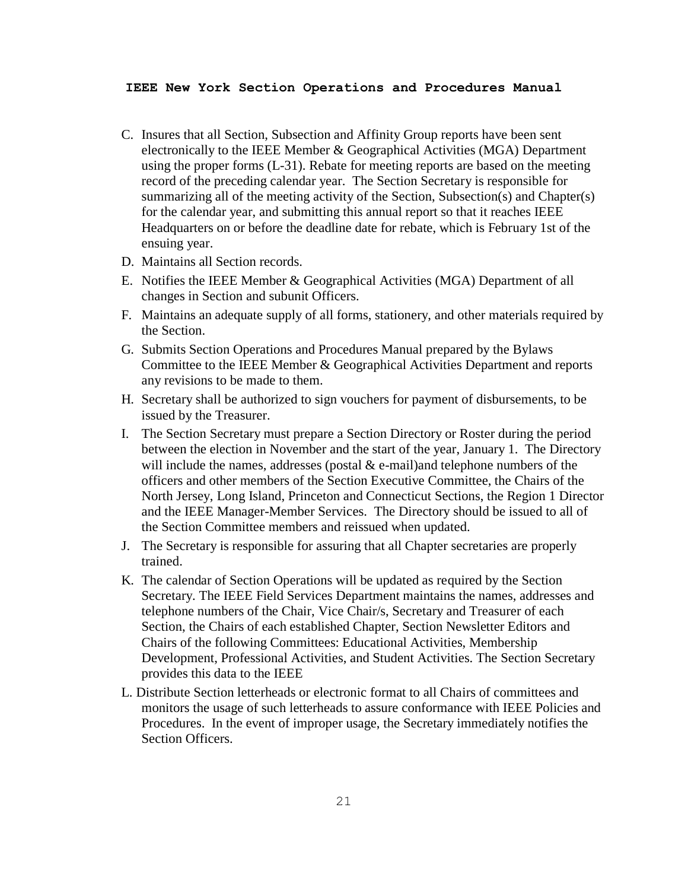- C. Insures that all Section, Subsection and Affinity Group reports have been sent electronically to the IEEE Member & Geographical Activities (MGA) Department using the proper forms (L-31). Rebate for meeting reports are based on the meeting record of the preceding calendar year. The Section Secretary is responsible for summarizing all of the meeting activity of the Section, Subsection(s) and Chapter(s) for the calendar year, and submitting this annual report so that it reaches IEEE Headquarters on or before the deadline date for rebate, which is February 1st of the ensuing year.
- D. Maintains all Section records.
- E. Notifies the IEEE Member & Geographical Activities (MGA) Department of all changes in Section and subunit Officers.
- F. Maintains an adequate supply of all forms, stationery, and other materials required by the Section.
- G. Submits Section Operations and Procedures Manual prepared by the Bylaws Committee to the IEEE Member & Geographical Activities Department and reports any revisions to be made to them.
- H. Secretary shall be authorized to sign vouchers for payment of disbursements, to be issued by the Treasurer.
- I. The Section Secretary must prepare a Section Directory or Roster during the period between the election in November and the start of the year, January 1. The Directory will include the names, addresses (postal  $&$  e-mail)and telephone numbers of the officers and other members of the Section Executive Committee, the Chairs of the North Jersey, Long Island, Princeton and Connecticut Sections, the Region 1 Director and the IEEE Manager-Member Services. The Directory should be issued to all of the Section Committee members and reissued when updated.
- J. The Secretary is responsible for assuring that all Chapter secretaries are properly trained.
- K. The calendar of Section Operations will be updated as required by the Section Secretary. The IEEE Field Services Department maintains the names, addresses and telephone numbers of the Chair, Vice Chair/s, Secretary and Treasurer of each Section, the Chairs of each established Chapter, Section Newsletter Editors and Chairs of the following Committees: Educational Activities, Membership Development, Professional Activities, and Student Activities. The Section Secretary provides this data to the IEEE
- L. Distribute Section letterheads or electronic format to all Chairs of committees and monitors the usage of such letterheads to assure conformance with IEEE Policies and Procedures. In the event of improper usage, the Secretary immediately notifies the Section Officers.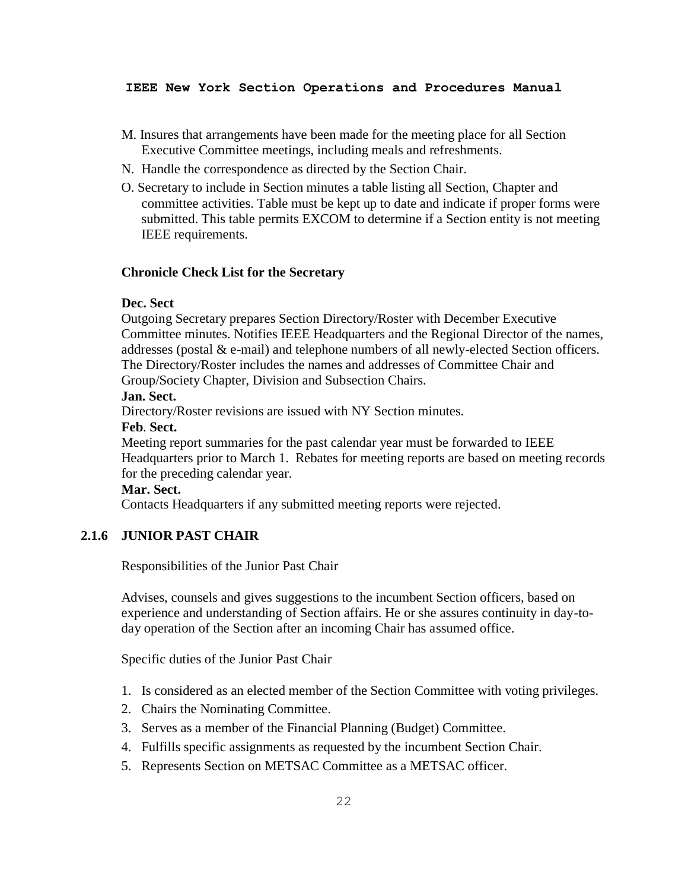- M. Insures that arrangements have been made for the meeting place for all Section Executive Committee meetings, including meals and refreshments.
- N. Handle the correspondence as directed by the Section Chair.
- O. Secretary to include in Section minutes a table listing all Section, Chapter and committee activities. Table must be kept up to date and indicate if proper forms were submitted. This table permits EXCOM to determine if a Section entity is not meeting IEEE requirements.

#### **Chronicle Check List for the Secretary**

## **Dec. Sect**

Outgoing Secretary prepares Section Directory/Roster with December Executive Committee minutes. Notifies IEEE Headquarters and the Regional Director of the names, addresses (postal & e-mail) and telephone numbers of all newly-elected Section officers. The Directory/Roster includes the names and addresses of Committee Chair and Group/Society Chapter, Division and Subsection Chairs.

#### **Jan. Sect.**

Directory/Roster revisions are issued with NY Section minutes.

# **Feb**. **Sect.**

Meeting report summaries for the past calendar year must be forwarded to IEEE Headquarters prior to March 1. Rebates for meeting reports are based on meeting records for the preceding calendar year.

# **Mar. Sect.**

Contacts Headquarters if any submitted meeting reports were rejected.

## **2.1.6 JUNIOR PAST CHAIR**

Responsibilities of the Junior Past Chair

Advises, counsels and gives suggestions to the incumbent Section officers, based on experience and understanding of Section affairs. He or she assures continuity in day-today operation of the Section after an incoming Chair has assumed office.

Specific duties of the Junior Past Chair

- 1. Is considered as an elected member of the Section Committee with voting privileges.
- 2. Chairs the Nominating Committee.
- 3. Serves as a member of the Financial Planning (Budget) Committee.
- 4. Fulfills specific assignments as requested by the incumbent Section Chair.
- 5. Represents Section on METSAC Committee as a METSAC officer.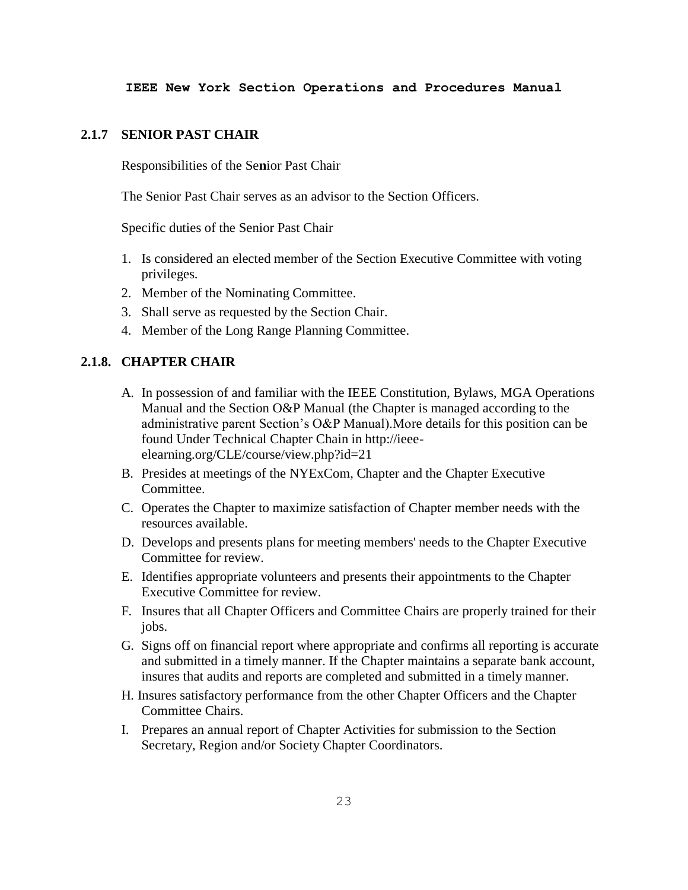## **2.1.7 SENIOR PAST CHAIR**

Responsibilities of the Se**n**ior Past Chair

The Senior Past Chair serves as an advisor to the Section Officers.

Specific duties of the Senior Past Chair

- 1. Is considered an elected member of the Section Executive Committee with voting privileges.
- 2. Member of the Nominating Committee.
- 3. Shall serve as requested by the Section Chair.
- 4. Member of the Long Range Planning Committee.

# **2.1.8. CHAPTER CHAIR**

- A. In possession of and familiar with the IEEE Constitution, Bylaws, MGA Operations Manual and the Section O&P Manual (the Chapter is managed according to the administrative parent Section's O&P Manual).More details for this position can be found Under Technical Chapter Chain in http://ieeeelearning.org/CLE/course/view.php?id=21
- B. Presides at meetings of the NYExCom, Chapter and the Chapter Executive Committee.
- C. Operates the Chapter to maximize satisfaction of Chapter member needs with the resources available.
- D. Develops and presents plans for meeting members' needs to the Chapter Executive Committee for review.
- E. Identifies appropriate volunteers and presents their appointments to the Chapter Executive Committee for review.
- F. Insures that all Chapter Officers and Committee Chairs are properly trained for their jobs.
- G. Signs off on financial report where appropriate and confirms all reporting is accurate and submitted in a timely manner. If the Chapter maintains a separate bank account, insures that audits and reports are completed and submitted in a timely manner.
- H. Insures satisfactory performance from the other Chapter Officers and the Chapter Committee Chairs.
- I. Prepares an annual report of Chapter Activities for submission to the Section Secretary, Region and/or Society Chapter Coordinators.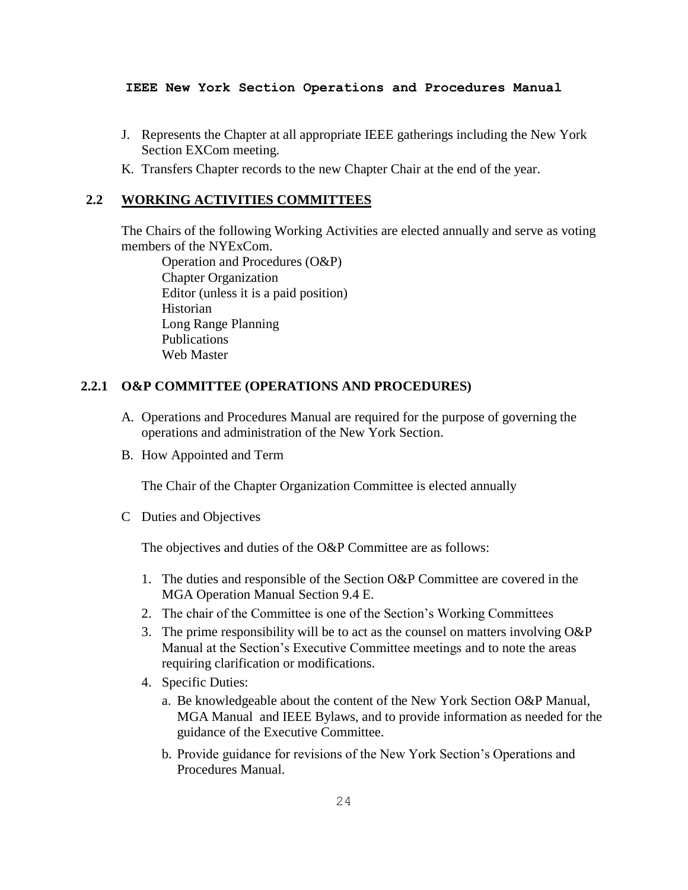- J. Represents the Chapter at all appropriate IEEE gatherings including the New York Section EXCom meeting.
- K. Transfers Chapter records to the new Chapter Chair at the end of the year.

# **2.2 WORKING ACTIVITIES COMMITTEES**

The Chairs of the following Working Activities are elected annually and serve as voting members of the NYExCom.

Operation and Procedures (O&P) Chapter Organization Editor (unless it is a paid position) Historian Long Range Planning Publications Web Master

# **2.2.1 O&P COMMITTEE (OPERATIONS AND PROCEDURES)**

- A. Operations and Procedures Manual are required for the purpose of governing the operations and administration of the New York Section.
- B. How Appointed and Term

The Chair of the Chapter Organization Committee is elected annually

C Duties and Objectives

The objectives and duties of the O&P Committee are as follows:

- 1. The duties and responsible of the Section O&P Committee are covered in the MGA Operation Manual Section 9.4 E.
- 2. The chair of the Committee is one of the Section's Working Committees
- 3. The prime responsibility will be to act as the counsel on matters involving O&P Manual at the Section's Executive Committee meetings and to note the areas requiring clarification or modifications.
- 4. Specific Duties:
	- a. Be knowledgeable about the content of the New York Section O&P Manual, MGA Manual and IEEE Bylaws, and to provide information as needed for the guidance of the Executive Committee.
	- b. Provide guidance for revisions of the New York Section's Operations and Procedures Manual.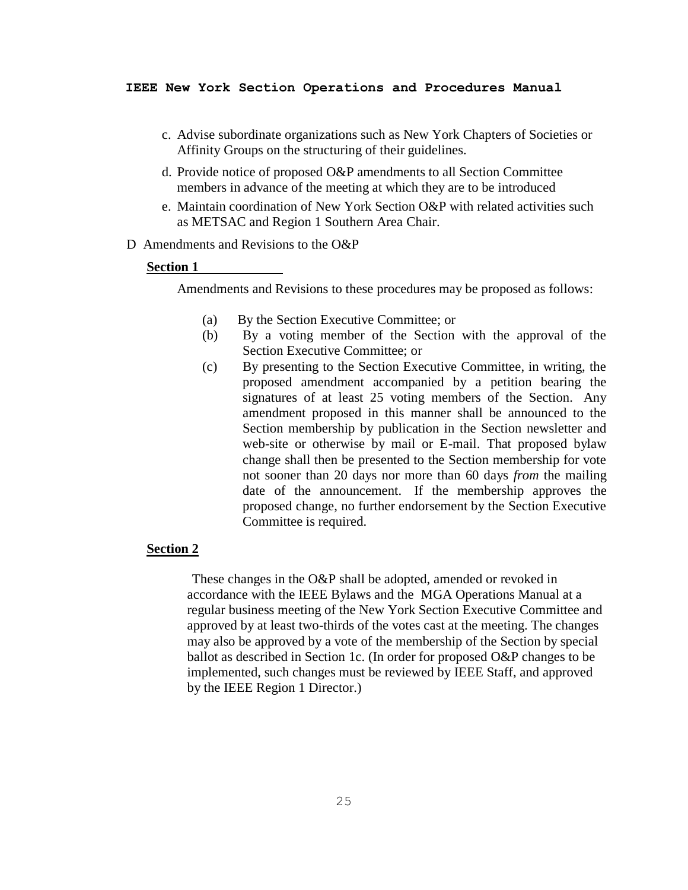- c. Advise subordinate organizations such as New York Chapters of Societies or Affinity Groups on the structuring of their guidelines.
- d. Provide notice of proposed O&P amendments to all Section Committee members in advance of the meeting at which they are to be introduced
- e. Maintain coordination of New York Section O&P with related activities such as METSAC and Region 1 Southern Area Chair.
- D Amendments and Revisions to the O&P

#### **Section 1**

Amendments and Revisions to these procedures may be proposed as follows:

- (a) By the Section Executive Committee; or
- (b) By a voting member of the Section with the approval of the Section Executive Committee; or
- (c) By presenting to the Section Executive Committee, in writing, the proposed amendment accompanied by a petition bearing the signatures of at least 25 voting members of the Section. Any amendment proposed in this manner shall be announced to the Section membership by publication in the Section newsletter and web-site or otherwise by mail or E-mail. That proposed bylaw change shall then be presented to the Section membership for vote not sooner than 20 days nor more than 60 days *from* the mailing date of the announcement. If the membership approves the proposed change, no further endorsement by the Section Executive Committee is required.

## **Section 2**

These changes in the O&P shall be adopted, amended or revoked in accordance with the IEEE Bylaws and the MGA Operations Manual at a regular business meeting of the New York Section Executive Committee and approved by at least two-thirds of the votes cast at the meeting. The changes may also be approved by a vote of the membership of the Section by special ballot as described in Section 1c. (In order for proposed O&P changes to be implemented, such changes must be reviewed by IEEE Staff, and approved by the IEEE Region 1 Director.)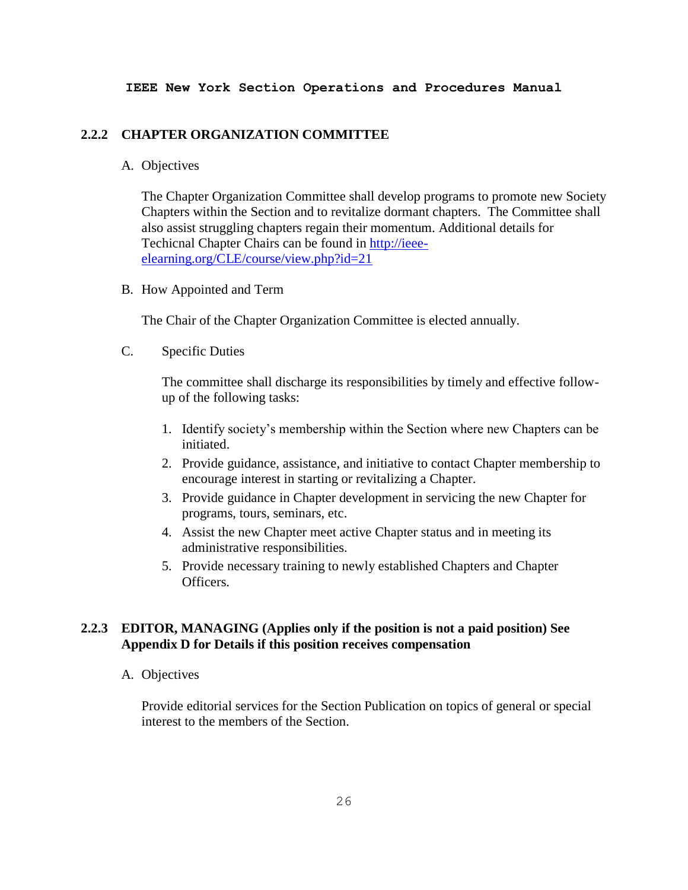### **2.2.2 CHAPTER ORGANIZATION COMMITTEE**

## A. Objectives

The Chapter Organization Committee shall develop programs to promote new Society Chapters within the Section and to revitalize dormant chapters. The Committee shall also assist struggling chapters regain their momentum. Additional details for Techicnal Chapter Chairs can be found in [http://ieee](http://ieee-elearning.org/CLE/course/view.php?id=21)[elearning.org/CLE/course/view.php?id=21](http://ieee-elearning.org/CLE/course/view.php?id=21)

B. How Appointed and Term

The Chair of the Chapter Organization Committee is elected annually.

C. Specific Duties

The committee shall discharge its responsibilities by timely and effective followup of the following tasks:

- 1. Identify society's membership within the Section where new Chapters can be initiated.
- 2. Provide guidance, assistance, and initiative to contact Chapter membership to encourage interest in starting or revitalizing a Chapter.
- 3. Provide guidance in Chapter development in servicing the new Chapter for programs, tours, seminars, etc.
- 4. Assist the new Chapter meet active Chapter status and in meeting its administrative responsibilities.
- 5. Provide necessary training to newly established Chapters and Chapter Officers.

# **2.2.3 EDITOR, MANAGING (Applies only if the position is not a paid position) See Appendix D for Details if this position receives compensation**

A. Objectives

Provide editorial services for the Section Publication on topics of general or special interest to the members of the Section.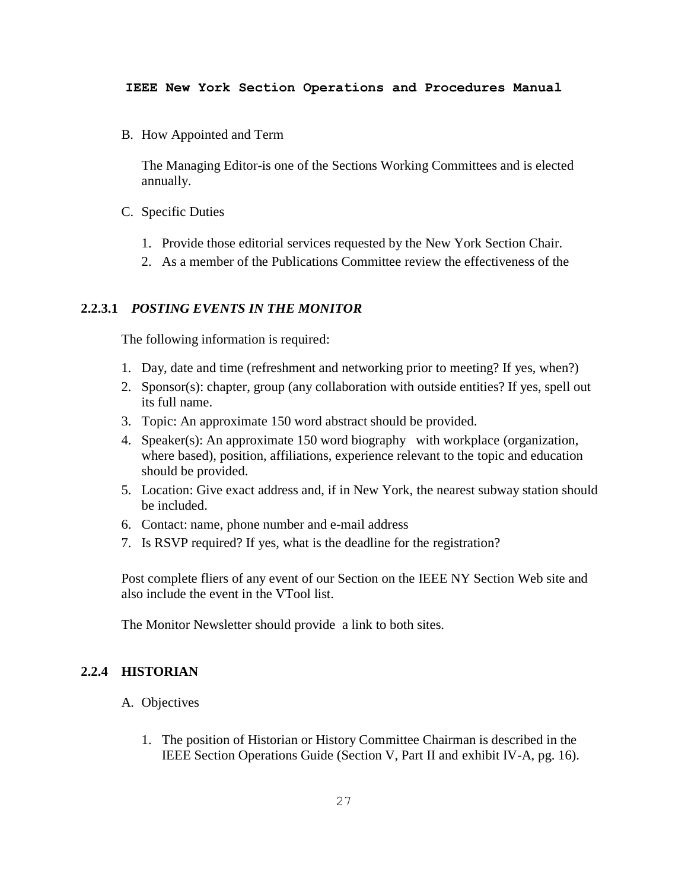B. How Appointed and Term

The Managing Editor-is one of the Sections Working Committees and is elected annually.

- C. Specific Duties
	- 1. Provide those editorial services requested by the New York Section Chair.
	- 2. As a member of the Publications Committee review the effectiveness of the

## **2.2.3.1** *POSTING EVENTS IN THE MONITOR*

The following information is required:

- 1. Day, date and time (refreshment and networking prior to meeting? If yes, when?)
- 2. Sponsor(s): chapter, group (any collaboration with outside entities? If yes, spell out its full name.
- 3. Topic: An approximate 150 word abstract should be provided.
- 4. Speaker(s): An approximate 150 word biography with workplace (organization, where based), position, affiliations, experience relevant to the topic and education should be provided.
- 5. Location: Give exact address and, if in New York, the nearest subway station should be included.
- 6. Contact: name, phone number and e-mail address
- 7. Is RSVP required? If yes, what is the deadline for the registration?

Post complete fliers of any event of our Section on the IEEE NY Section Web site and also include the event in the VTool list.

The Monitor Newsletter should provide a link to both sites.

#### **2.2.4 HISTORIAN**

- A. Objectives
	- 1. The position of Historian or History Committee Chairman is described in the IEEE Section Operations Guide (Section V, Part II and exhibit IV-A, pg. 16).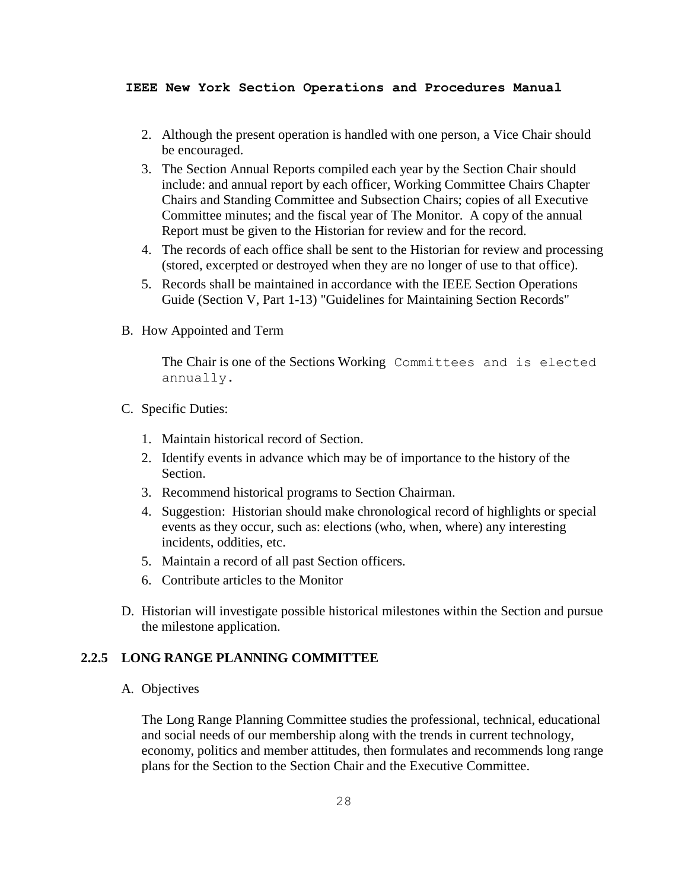- 2. Although the present operation is handled with one person, a Vice Chair should be encouraged.
- 3. The Section Annual Reports compiled each year by the Section Chair should include: and annual report by each officer, Working Committee Chairs Chapter Chairs and Standing Committee and Subsection Chairs; copies of all Executive Committee minutes; and the fiscal year of The Monitor. A copy of the annual Report must be given to the Historian for review and for the record.
- 4. The records of each office shall be sent to the Historian for review and processing (stored, excerpted or destroyed when they are no longer of use to that office).
- 5. Records shall be maintained in accordance with the IEEE Section Operations Guide (Section V, Part 1-13) "Guidelines for Maintaining Section Records"
- B. How Appointed and Term

The Chair is one of the Sections Working Committees and is elected annually.

- C. Specific Duties:
	- 1. Maintain historical record of Section.
	- 2. Identify events in advance which may be of importance to the history of the Section.
	- 3. Recommend historical programs to Section Chairman.
	- 4. Suggestion: Historian should make chronological record of highlights or special events as they occur, such as: elections (who, when, where) any interesting incidents, oddities, etc.
	- 5. Maintain a record of all past Section officers.
	- 6. Contribute articles to the Monitor
- D. Historian will investigate possible historical milestones within the Section and pursue the milestone application.

# **2.2.5 LONG RANGE PLANNING COMMITTEE**

A. Objectives

The Long Range Planning Committee studies the professional, technical, educational and social needs of our membership along with the trends in current technology, economy, politics and member attitudes, then formulates and recommends long range plans for the Section to the Section Chair and the Executive Committee.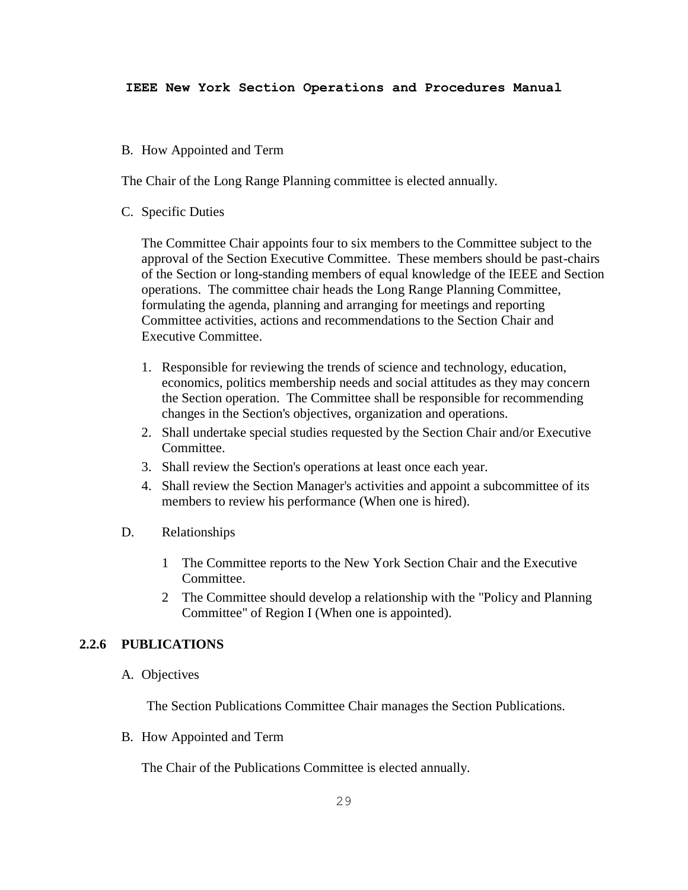## B. How Appointed and Term

The Chair of the Long Range Planning committee is elected annually.

C. Specific Duties

The Committee Chair appoints four to six members to the Committee subject to the approval of the Section Executive Committee. These members should be past-chairs of the Section or long-standing members of equal knowledge of the IEEE and Section operations. The committee chair heads the Long Range Planning Committee, formulating the agenda, planning and arranging for meetings and reporting Committee activities, actions and recommendations to the Section Chair and Executive Committee.

- 1. Responsible for reviewing the trends of science and technology, education, economics, politics membership needs and social attitudes as they may concern the Section operation. The Committee shall be responsible for recommending changes in the Section's objectives, organization and operations.
- 2. Shall undertake special studies requested by the Section Chair and/or Executive Committee.
- 3. Shall review the Section's operations at least once each year.
- 4. Shall review the Section Manager's activities and appoint a subcommittee of its members to review his performance (When one is hired).
- D. Relationships
	- 1 The Committee reports to the New York Section Chair and the Executive Committee.
	- 2 The Committee should develop a relationship with the "Policy and Planning Committee" of Region I (When one is appointed).

# **2.2.6 PUBLICATIONS**

A. Objectives

The Section Publications Committee Chair manages the Section Publications.

B. How Appointed and Term

The Chair of the Publications Committee is elected annually.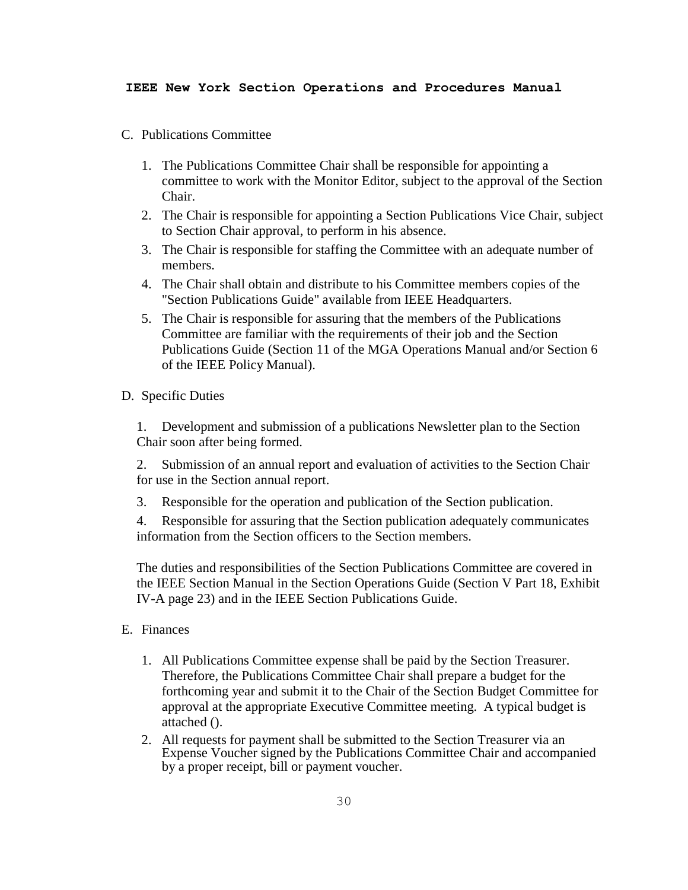- C. Publications Committee
	- 1. The Publications Committee Chair shall be responsible for appointing a committee to work with the Monitor Editor, subject to the approval of the Section Chair.
	- 2. The Chair is responsible for appointing a Section Publications Vice Chair, subject to Section Chair approval, to perform in his absence.
	- 3. The Chair is responsible for staffing the Committee with an adequate number of members.
	- 4. The Chair shall obtain and distribute to his Committee members copies of the "Section Publications Guide" available from IEEE Headquarters.
	- 5. The Chair is responsible for assuring that the members of the Publications Committee are familiar with the requirements of their job and the Section Publications Guide (Section 11 of the MGA Operations Manual and/or Section 6 of the IEEE Policy Manual).
- D. Specific Duties

1. Development and submission of a publications Newsletter plan to the Section Chair soon after being formed.

2. Submission of an annual report and evaluation of activities to the Section Chair for use in the Section annual report.

3. Responsible for the operation and publication of the Section publication.

4. Responsible for assuring that the Section publication adequately communicates information from the Section officers to the Section members.

The duties and responsibilities of the Section Publications Committee are covered in the IEEE Section Manual in the Section Operations Guide (Section V Part 18, Exhibit IV-A page 23) and in the IEEE Section Publications Guide.

- E. Finances
	- 1. All Publications Committee expense shall be paid by the Section Treasurer. Therefore, the Publications Committee Chair shall prepare a budget for the forthcoming year and submit it to the Chair of the Section Budget Committee for approval at the appropriate Executive Committee meeting. A typical budget is attached ().
	- 2. All requests for payment shall be submitted to the Section Treasurer via an Expense Voucher signed by the Publications Committee Chair and accompanied by a proper receipt, bill or payment voucher.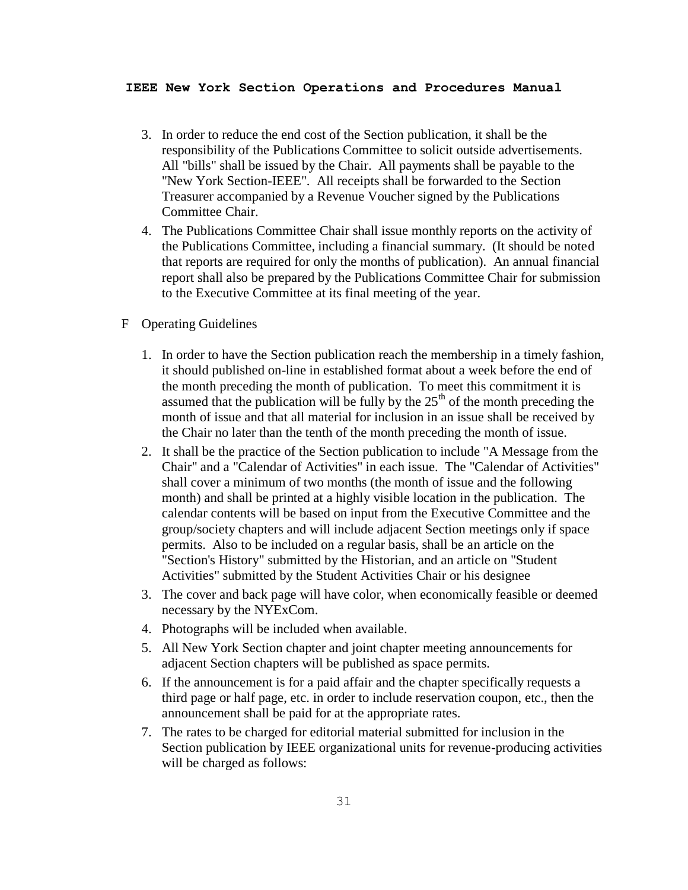- 3. In order to reduce the end cost of the Section publication, it shall be the responsibility of the Publications Committee to solicit outside advertisements. All "bills" shall be issued by the Chair. All payments shall be payable to the "New York Section-IEEE". All receipts shall be forwarded to the Section Treasurer accompanied by a Revenue Voucher signed by the Publications Committee Chair.
- 4. The Publications Committee Chair shall issue monthly reports on the activity of the Publications Committee, including a financial summary. (It should be noted that reports are required for only the months of publication). An annual financial report shall also be prepared by the Publications Committee Chair for submission to the Executive Committee at its final meeting of the year.
- F Operating Guidelines
	- 1. In order to have the Section publication reach the membership in a timely fashion, it should published on-line in established format about a week before the end of the month preceding the month of publication. To meet this commitment it is assumed that the publication will be fully by the  $25<sup>th</sup>$  of the month preceding the month of issue and that all material for inclusion in an issue shall be received by the Chair no later than the tenth of the month preceding the month of issue.
	- 2. It shall be the practice of the Section publication to include "A Message from the Chair" and a "Calendar of Activities" in each issue. The "Calendar of Activities" shall cover a minimum of two months (the month of issue and the following month) and shall be printed at a highly visible location in the publication. The calendar contents will be based on input from the Executive Committee and the group/society chapters and will include adjacent Section meetings only if space permits. Also to be included on a regular basis, shall be an article on the "Section's History" submitted by the Historian, and an article on "Student Activities" submitted by the Student Activities Chair or his designee
	- 3. The cover and back page will have color, when economically feasible or deemed necessary by the NYExCom.
	- 4. Photographs will be included when available.
	- 5. All New York Section chapter and joint chapter meeting announcements for adjacent Section chapters will be published as space permits.
	- 6. If the announcement is for a paid affair and the chapter specifically requests a third page or half page, etc. in order to include reservation coupon, etc., then the announcement shall be paid for at the appropriate rates.
	- 7. The rates to be charged for editorial material submitted for inclusion in the Section publication by IEEE organizational units for revenue-producing activities will be charged as follows: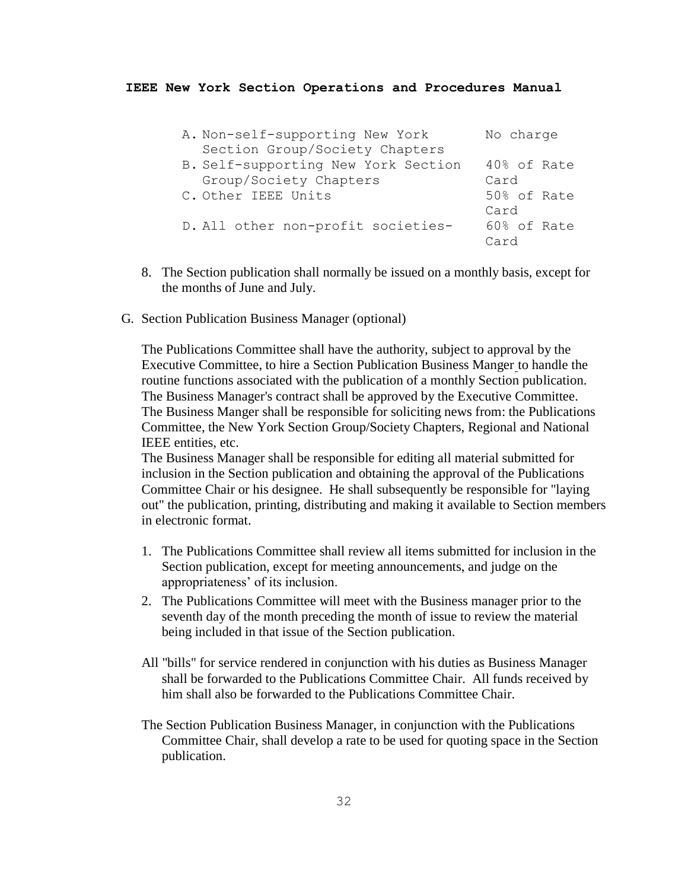| A. Non-self-supporting New York     | No charge   |
|-------------------------------------|-------------|
| Section Group/Society Chapters      |             |
| B. Self-supporting New York Section | 40% of Rate |
| Group/Society Chapters              | Card        |
| C. Other IEEE Units                 | 50% of Rate |
|                                     | Card        |
| D. All other non-profit societies-  | 60% of Rate |
|                                     | Card        |

- 8. The Section publication shall normally be issued on a monthly basis, except for the months of June and July.
- G. Section Publication Business Manager (optional)

The Publications Committee shall have the authority, subject to approval by the Executive Committee, to hire a Section Publication Business Manger to handle the routine functions associated with the publication of a monthly Section publication. The Business Manager's contract shall be approved by the Executive Committee. The Business Manger shall be responsible for soliciting news from: the Publications Committee, the New York Section Group/Society Chapters, Regional and National IEEE entities, etc.

The Business Manager shall be responsible for editing all material submitted for inclusion in the Section publication and obtaining the approval of the Publications Committee Chair or his designee. He shall subsequently be responsible for "laying out" the publication, printing, distributing and making it available to Section members in electronic format.

- 1. The Publications Committee shall review all items submitted for inclusion in the Section publication, except for meeting announcements, and judge on the appropriateness' of its inclusion.
- 2. The Publications Committee will meet with the Business manager prior to the seventh day of the month preceding the month of issue to review the material being included in that issue of the Section publication.
- All "bills" for service rendered in conjunction with his duties as Business Manager shall be forwarded to the Publications Committee Chair. All funds received by him shall also be forwarded to the Publications Committee Chair.
- The Section Publication Business Manager, in conjunction with the Publications Committee Chair, shall develop a rate to be used for quoting space in the Section publication.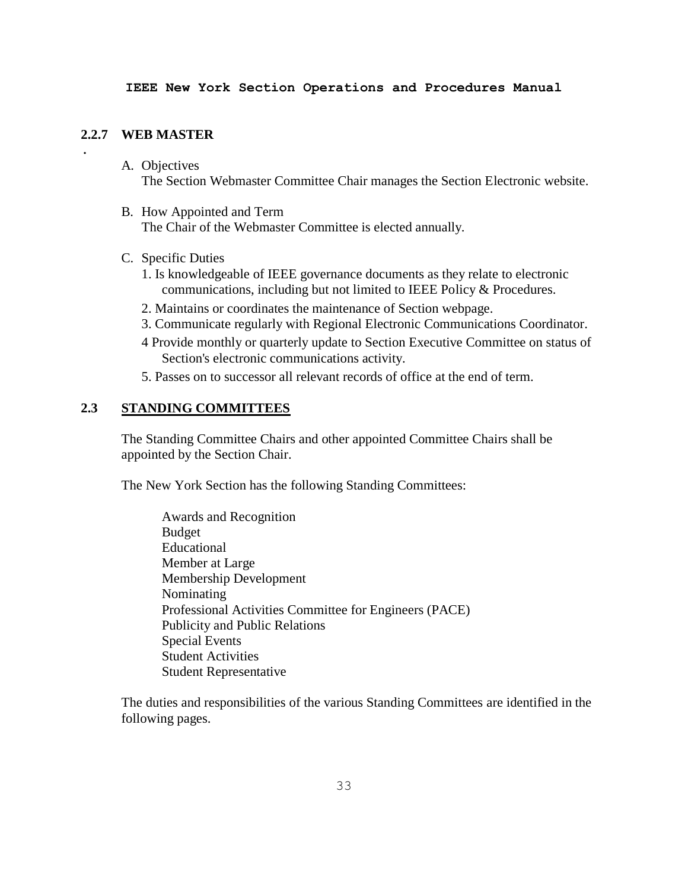### **2.2.7 WEB MASTER**

.

- A. Objectives The Section Webmaster Committee Chair manages the Section Electronic website.
- B. How Appointed and Term The Chair of the Webmaster Committee is elected annually.
- C. Specific Duties
	- 1. Is knowledgeable of IEEE governance documents as they relate to electronic communications, including but not limited to IEEE Policy & Procedures.
	- 2. Maintains or coordinates the maintenance of Section webpage.
	- 3. Communicate regularly with Regional Electronic Communications Coordinator.
	- 4 Provide monthly or quarterly update to Section Executive Committee on status of Section's electronic communications activity.
	- 5. Passes on to successor all relevant records of office at the end of term.

# **2.3 STANDING COMMITTEES**

The Standing Committee Chairs and other appointed Committee Chairs shall be appointed by the Section Chair.

The New York Section has the following Standing Committees:

Awards and Recognition Budget Educational Member at Large Membership Development Nominating Professional Activities Committee for Engineers (PACE) Publicity and Public Relations Special Events Student Activities Student Representative

The duties and responsibilities of the various Standing Committees are identified in the following pages.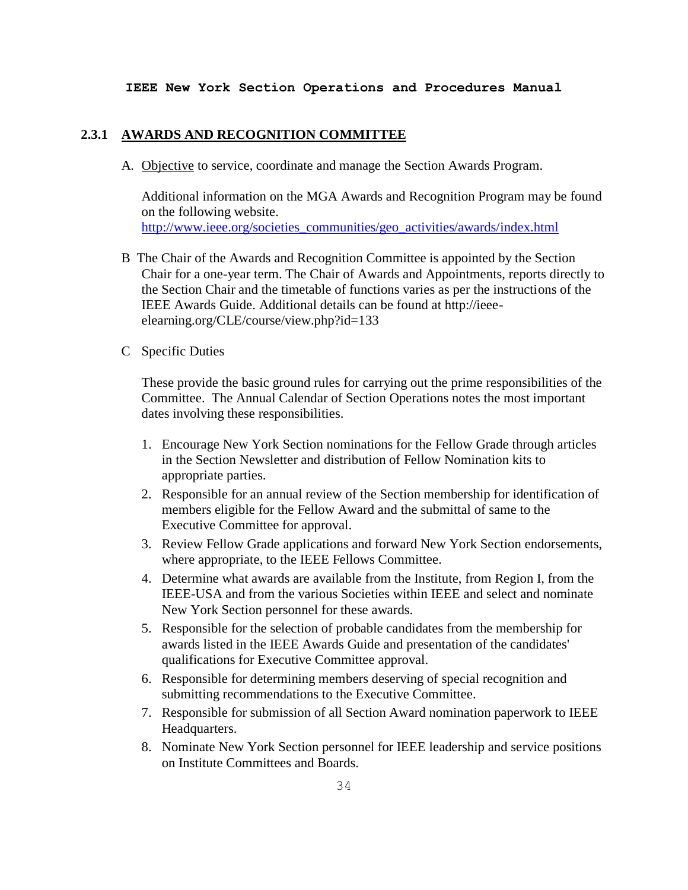# **2.3.1 AWARDS AND RECOGNITION COMMITTEE**

A. Objective to service, coordinate and manage the Section Awards Program.

Additional information on the MGA Awards and Recognition Program may be found on the following website. [http://www.ieee.org/societies\\_communities/geo\\_activities/awards/index.html](http://www.ieee.org/societies_communities/geo_activities/awards/index.html)

- B The Chair of the Awards and Recognition Committee is appointed by the Section Chair for a one-year term. The Chair of Awards and Appointments, reports directly to the Section Chair and the timetable of functions varies as per the instructions of the IEEE Awards Guide. Additional details can be found at http://ieeeelearning.org/CLE/course/view.php?id=133
- C Specific Duties

These provide the basic ground rules for carrying out the prime responsibilities of the Committee. The Annual Calendar of Section Operations notes the most important dates involving these responsibilities.

- 1. Encourage New York Section nominations for the Fellow Grade through articles in the Section Newsletter and distribution of Fellow Nomination kits to appropriate parties.
- 2. Responsible for an annual review of the Section membership for identification of members eligible for the Fellow Award and the submittal of same to the Executive Committee for approval.
- 3. Review Fellow Grade applications and forward New York Section endorsements, where appropriate, to the IEEE Fellows Committee.
- 4. Determine what awards are available from the Institute, from Region I, from the IEEE-USA and from the various Societies within IEEE and select and nominate New York Section personnel for these awards.
- 5. Responsible for the selection of probable candidates from the membership for awards listed in the IEEE Awards Guide and presentation of the candidates' qualifications for Executive Committee approval.
- 6. Responsible for determining members deserving of special recognition and submitting recommendations to the Executive Committee.
- 7. Responsible for submission of all Section Award nomination paperwork to IEEE Headquarters.
- 8. Nominate New York Section personnel for IEEE leadership and service positions on Institute Committees and Boards.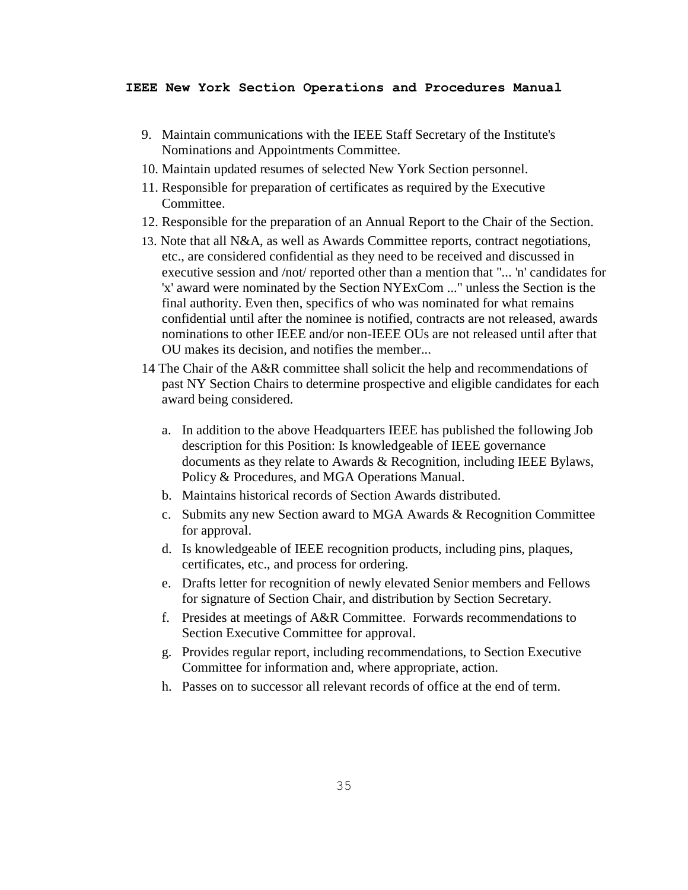- 9. Maintain communications with the IEEE Staff Secretary of the Institute's Nominations and Appointments Committee.
- 10. Maintain updated resumes of selected New York Section personnel.
- 11. Responsible for preparation of certificates as required by the Executive Committee.
- 12. Responsible for the preparation of an Annual Report to the Chair of the Section.
- 13. Note that all N&A, as well as Awards Committee reports, contract negotiations, etc., are considered confidential as they need to be received and discussed in executive session and /not/ reported other than a mention that "... 'n' candidates for 'x' award were nominated by the Section NYExCom ..." unless the Section is the final authority. Even then, specifics of who was nominated for what remains confidential until after the nominee is notified, contracts are not released, awards nominations to other IEEE and/or non-IEEE OUs are not released until after that OU makes its decision, and notifies the member...
- 14 The Chair of the A&R committee shall solicit the help and recommendations of past NY Section Chairs to determine prospective and eligible candidates for each award being considered.
	- a. In addition to the above Headquarters IEEE has published the following Job description for this Position: Is knowledgeable of IEEE governance documents as they relate to Awards & Recognition, including IEEE Bylaws, Policy & Procedures, and MGA Operations Manual.
	- b. Maintains historical records of Section Awards distributed.
	- c. Submits any new Section award to MGA Awards & Recognition Committee for approval.
	- d. Is knowledgeable of IEEE recognition products, including pins, plaques, certificates, etc., and process for ordering.
	- e. Drafts letter for recognition of newly elevated Senior members and Fellows for signature of Section Chair, and distribution by Section Secretary.
	- f. Presides at meetings of A&R Committee. Forwards recommendations to Section Executive Committee for approval.
	- g. Provides regular report, including recommendations, to Section Executive Committee for information and, where appropriate, action.
	- h. Passes on to successor all relevant records of office at the end of term.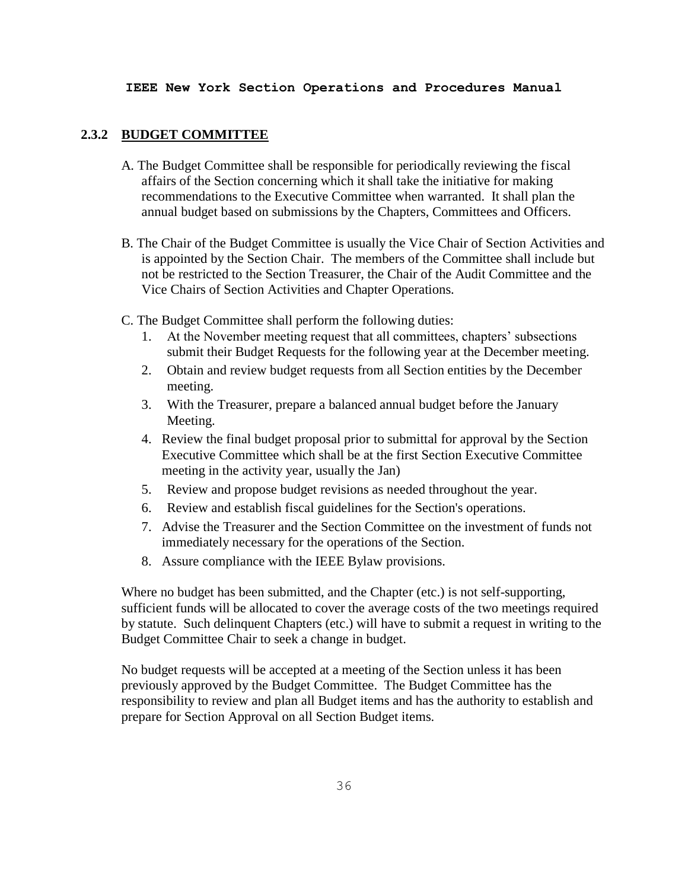## **2.3.2 BUDGET COMMITTEE**

- A. The Budget Committee shall be responsible for periodically reviewing the fiscal affairs of the Section concerning which it shall take the initiative for making recommendations to the Executive Committee when warranted. It shall plan the annual budget based on submissions by the Chapters, Committees and Officers.
- B. The Chair of the Budget Committee is usually the Vice Chair of Section Activities and is appointed by the Section Chair. The members of the Committee shall include but not be restricted to the Section Treasurer, the Chair of the Audit Committee and the Vice Chairs of Section Activities and Chapter Operations.
- C. The Budget Committee shall perform the following duties:
	- 1. At the November meeting request that all committees, chapters' subsections submit their Budget Requests for the following year at the December meeting.
	- 2. Obtain and review budget requests from all Section entities by the December meeting.
	- 3. With the Treasurer, prepare a balanced annual budget before the January Meeting.
	- 4. Review the final budget proposal prior to submittal for approval by the Section Executive Committee which shall be at the first Section Executive Committee meeting in the activity year, usually the Jan)
	- 5. Review and propose budget revisions as needed throughout the year.
	- 6. Review and establish fiscal guidelines for the Section's operations.
	- 7. Advise the Treasurer and the Section Committee on the investment of funds not immediately necessary for the operations of the Section.
	- 8. Assure compliance with the IEEE Bylaw provisions.

Where no budget has been submitted, and the Chapter (etc.) is not self-supporting, sufficient funds will be allocated to cover the average costs of the two meetings required by statute. Such delinquent Chapters (etc.) will have to submit a request in writing to the Budget Committee Chair to seek a change in budget.

No budget requests will be accepted at a meeting of the Section unless it has been previously approved by the Budget Committee. The Budget Committee has the responsibility to review and plan all Budget items and has the authority to establish and prepare for Section Approval on all Section Budget items.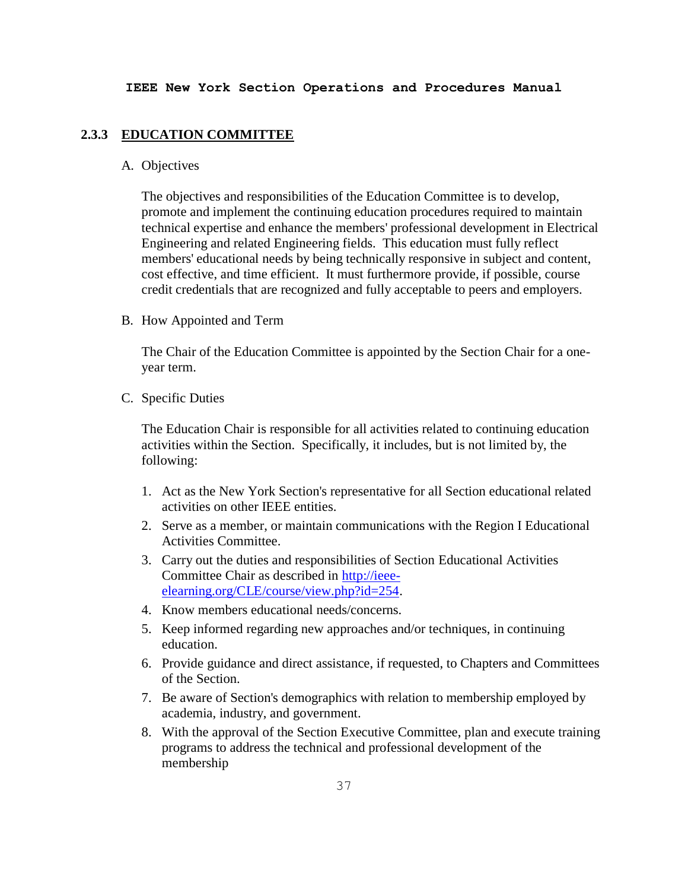#### **2.3.3 EDUCATION COMMITTEE**

## A. Objectives

The objectives and responsibilities of the Education Committee is to develop, promote and implement the continuing education procedures required to maintain technical expertise and enhance the members' professional development in Electrical Engineering and related Engineering fields. This education must fully reflect members' educational needs by being technically responsive in subject and content, cost effective, and time efficient. It must furthermore provide, if possible, course credit credentials that are recognized and fully acceptable to peers and employers.

B. How Appointed and Term

The Chair of the Education Committee is appointed by the Section Chair for a oneyear term.

C. Specific Duties

The Education Chair is responsible for all activities related to continuing education activities within the Section. Specifically, it includes, but is not limited by, the following:

- 1. Act as the New York Section's representative for all Section educational related activities on other IEEE entities.
- 2. Serve as a member, or maintain communications with the Region I Educational Activities Committee.
- 3. Carry out the duties and responsibilities of Section Educational Activities Committee Chair as described in [http://ieee](http://ieee-elearning.org/CLE/course/view.php?id=254)[elearning.org/CLE/course/view.php?id=254.](http://ieee-elearning.org/CLE/course/view.php?id=254)
- 4. Know members educational needs/concerns.
- 5. Keep informed regarding new approaches and/or techniques, in continuing education.
- 6. Provide guidance and direct assistance, if requested, to Chapters and Committees of the Section.
- 7. Be aware of Section's demographics with relation to membership employed by academia, industry, and government.
- 8. With the approval of the Section Executive Committee, plan and execute training programs to address the technical and professional development of the membership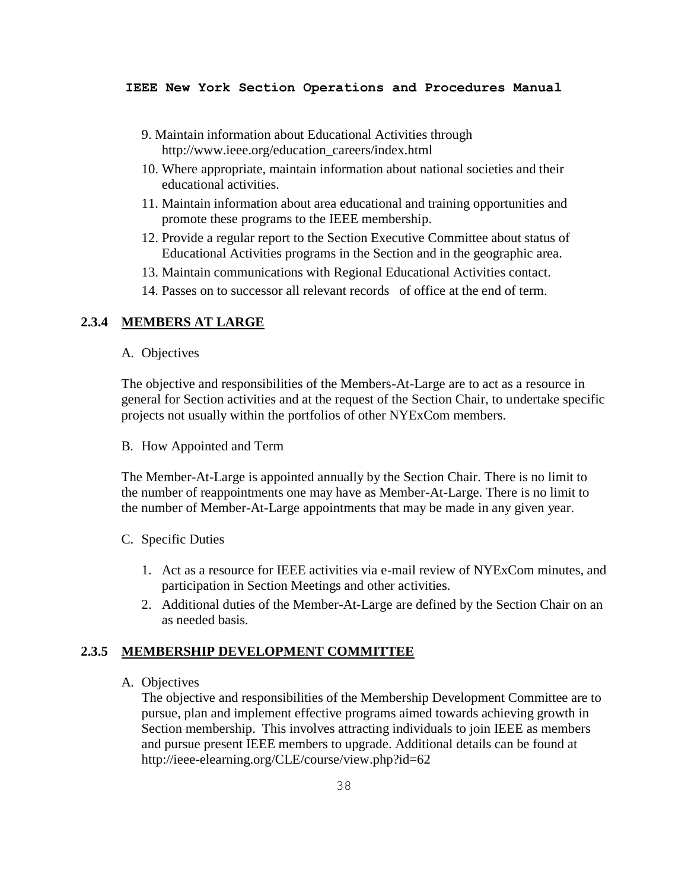- 9. Maintain information about Educational Activities through http://www.ieee.org/education\_careers/index.html
- 10. Where appropriate, maintain information about national societies and their educational activities.
- 11. Maintain information about area educational and training opportunities and promote these programs to the IEEE membership.
- 12. Provide a regular report to the Section Executive Committee about status of Educational Activities programs in the Section and in the geographic area.
- 13. Maintain communications with Regional Educational Activities contact.
- 14. Passes on to successor all relevant records of office at the end of term.

## **2.3.4 MEMBERS AT LARGE**

A. Objectives

The objective and responsibilities of the Members-At-Large are to act as a resource in general for Section activities and at the request of the Section Chair, to undertake specific projects not usually within the portfolios of other NYExCom members.

B. How Appointed and Term

The Member-At-Large is appointed annually by the Section Chair. There is no limit to the number of reappointments one may have as Member-At-Large. There is no limit to the number of Member-At-Large appointments that may be made in any given year.

- C. Specific Duties
	- 1. Act as a resource for IEEE activities via e-mail review of NYExCom minutes, and participation in Section Meetings and other activities.
	- 2. Additional duties of the Member-At-Large are defined by the Section Chair on an as needed basis.

## **2.3.5 MEMBERSHIP DEVELOPMENT COMMITTEE**

A. Objectives

The objective and responsibilities of the Membership Development Committee are to pursue, plan and implement effective programs aimed towards achieving growth in Section membership. This involves attracting individuals to join IEEE as members and pursue present IEEE members to upgrade. Additional details can be found at http://ieee-elearning.org/CLE/course/view.php?id=62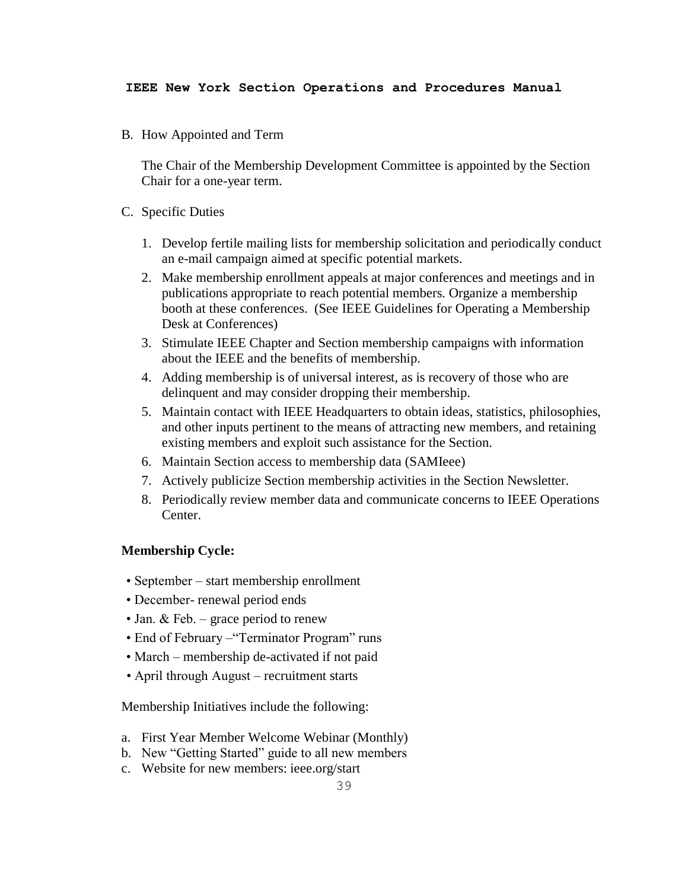B. How Appointed and Term

The Chair of the Membership Development Committee is appointed by the Section Chair for a one-year term.

- C. Specific Duties
	- 1. Develop fertile mailing lists for membership solicitation and periodically conduct an e-mail campaign aimed at specific potential markets.
	- 2. Make membership enrollment appeals at major conferences and meetings and in publications appropriate to reach potential members. Organize a membership booth at these conferences. (See IEEE Guidelines for Operating a Membership Desk at Conferences)
	- 3. Stimulate IEEE Chapter and Section membership campaigns with information about the IEEE and the benefits of membership.
	- 4. Adding membership is of universal interest, as is recovery of those who are delinquent and may consider dropping their membership.
	- 5. Maintain contact with IEEE Headquarters to obtain ideas, statistics, philosophies, and other inputs pertinent to the means of attracting new members, and retaining existing members and exploit such assistance for the Section.
	- 6. Maintain Section access to membership data (SAMIeee)
	- 7. Actively publicize Section membership activities in the Section Newsletter.
	- 8. Periodically review member data and communicate concerns to IEEE Operations Center.

# **Membership Cycle:**

- September start membership enrollment
- December- renewal period ends
- Jan. & Feb. grace period to renew
- End of February "Terminator Program" runs
- March membership de-activated if not paid
- April through August recruitment starts

Membership Initiatives include the following:

- a. First Year Member Welcome Webinar (Monthly)
- b. New "Getting Started" guide to all new members
- c. Website for new members: ieee.org/start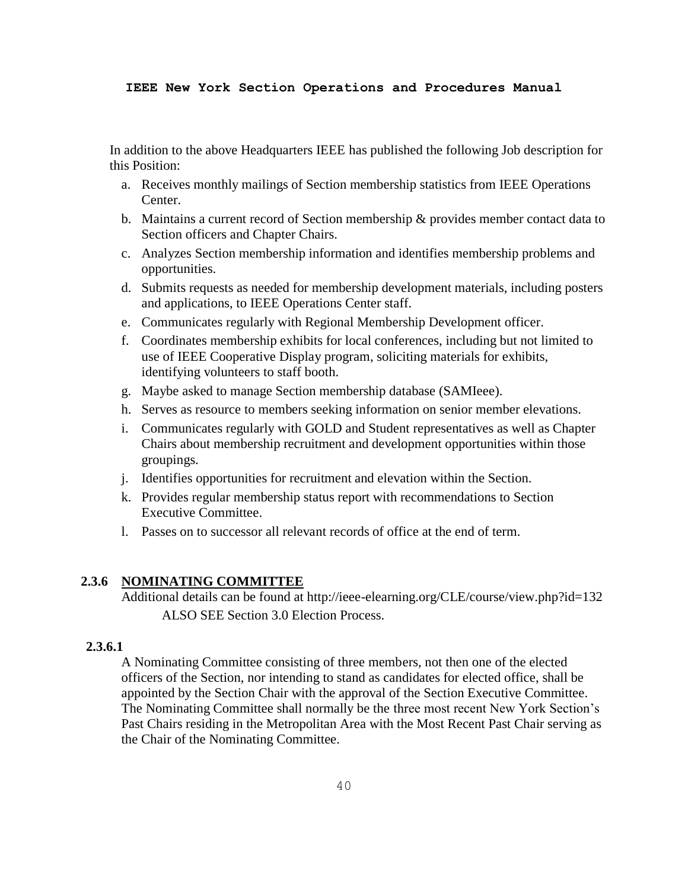In addition to the above Headquarters IEEE has published the following Job description for this Position:

- a. Receives monthly mailings of Section membership statistics from IEEE Operations Center.
- b. Maintains a current record of Section membership & provides member contact data to Section officers and Chapter Chairs.
- c. Analyzes Section membership information and identifies membership problems and opportunities.
- d. Submits requests as needed for membership development materials, including posters and applications, to IEEE Operations Center staff.
- e. Communicates regularly with Regional Membership Development officer.
- f. Coordinates membership exhibits for local conferences, including but not limited to use of IEEE Cooperative Display program, soliciting materials for exhibits, identifying volunteers to staff booth.
- g. Maybe asked to manage Section membership database (SAMIeee).
- h. Serves as resource to members seeking information on senior member elevations.
- i. Communicates regularly with GOLD and Student representatives as well as Chapter Chairs about membership recruitment and development opportunities within those groupings.
- j. Identifies opportunities for recruitment and elevation within the Section.
- k. Provides regular membership status report with recommendations to Section Executive Committee.
- l. Passes on to successor all relevant records of office at the end of term.

## **2.3.6 NOMINATING COMMITTEE**

Additional details can be found at http://ieee-elearning.org/CLE/course/view.php?id=132 ALSO SEE Section 3.0 Election Process.

## **2.3.6.1**

A Nominating Committee consisting of three members, not then one of the elected officers of the Section, nor intending to stand as candidates for elected office, shall be appointed by the Section Chair with the approval of the Section Executive Committee. The Nominating Committee shall normally be the three most recent New York Section's Past Chairs residing in the Metropolitan Area with the Most Recent Past Chair serving as the Chair of the Nominating Committee.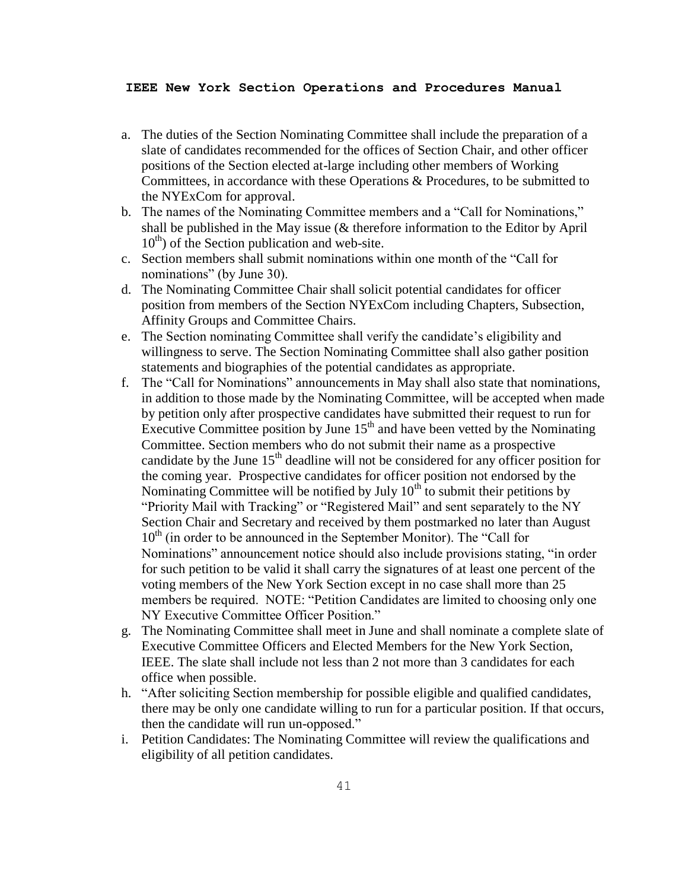- a. The duties of the Section Nominating Committee shall include the preparation of a slate of candidates recommended for the offices of Section Chair, and other officer positions of the Section elected at-large including other members of Working Committees, in accordance with these Operations & Procedures, to be submitted to the NYExCom for approval.
- b. The names of the Nominating Committee members and a "Call for Nominations," shall be published in the May issue (& therefore information to the Editor by April  $10^{th}$ ) of the Section publication and web-site.
- c. Section members shall submit nominations within one month of the "Call for nominations" (by June 30).
- d. The Nominating Committee Chair shall solicit potential candidates for officer position from members of the Section NYExCom including Chapters, Subsection, Affinity Groups and Committee Chairs.
- e. The Section nominating Committee shall verify the candidate's eligibility and willingness to serve. The Section Nominating Committee shall also gather position statements and biographies of the potential candidates as appropriate.
- f. The "Call for Nominations" announcements in May shall also state that nominations, in addition to those made by the Nominating Committee, will be accepted when made by petition only after prospective candidates have submitted their request to run for Executive Committee position by June  $15<sup>th</sup>$  and have been vetted by the Nominating Committee. Section members who do not submit their name as a prospective candidate by the June  $15<sup>th</sup>$  deadline will not be considered for any officer position for the coming year. Prospective candidates for officer position not endorsed by the Nominating Committee will be notified by July  $10<sup>th</sup>$  to submit their petitions by "Priority Mail with Tracking" or "Registered Mail" and sent separately to the NY Section Chair and Secretary and received by them postmarked no later than August  $10<sup>th</sup>$  (in order to be announced in the September Monitor). The "Call for Nominations" announcement notice should also include provisions stating, "in order for such petition to be valid it shall carry the signatures of at least one percent of the voting members of the New York Section except in no case shall more than 25 members be required. NOTE: "Petition Candidates are limited to choosing only one NY Executive Committee Officer Position."
- g. The Nominating Committee shall meet in June and shall nominate a complete slate of Executive Committee Officers and Elected Members for the New York Section, IEEE. The slate shall include not less than 2 not more than 3 candidates for each office when possible.
- h. "After soliciting Section membership for possible eligible and qualified candidates, there may be only one candidate willing to run for a particular position. If that occurs, then the candidate will run un-opposed."
- i. Petition Candidates: The Nominating Committee will review the qualifications and eligibility of all petition candidates.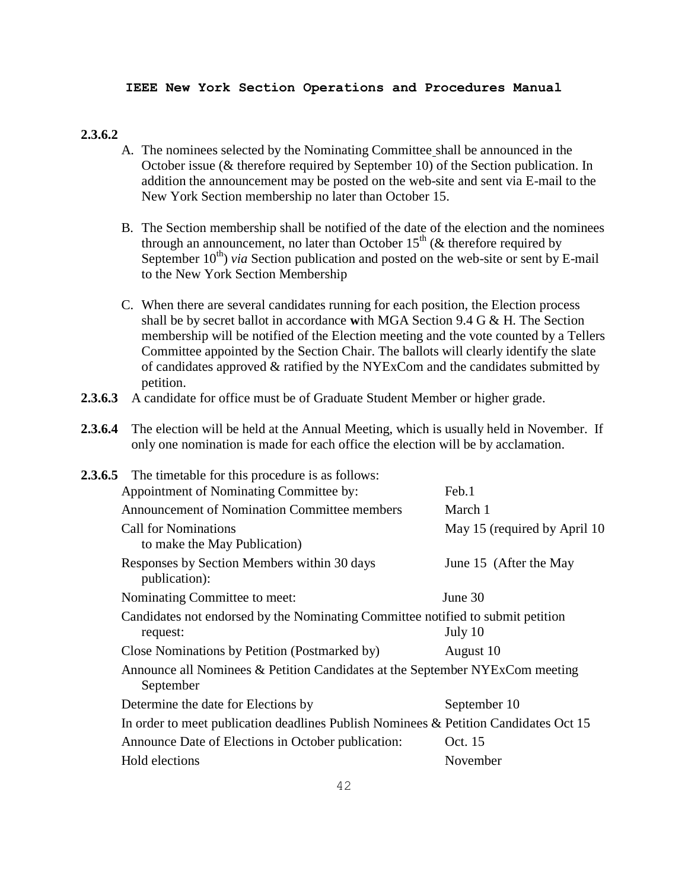#### **2.3.6.2**

- A. The nominees selected by the Nominating Committee shall be announced in the October issue (& therefore required by September 10) of the Section publication. In addition the announcement may be posted on the web-site and sent via E-mail to the New York Section membership no later than October 15.
- B. The Section membership shall be notified of the date of the election and the nominees through an announcement, no later than October  $15<sup>th</sup>$  ( $\&$  therefore required by September  $10^{th}$ ) *via* Section publication and posted on the web-site or sent by E-mail to the New York Section Membership
- C. When there are several candidates running for each position, the Election process shall be by secret ballot in accordance **w**ith MGA Section 9.4 G & H. The Section membership will be notified of the Election meeting and the vote counted by a Tellers Committee appointed by the Section Chair. The ballots will clearly identify the slate of candidates approved & ratified by the NYExCom and the candidates submitted by petition.
- **2.3.6.3** A candidate for office must be of Graduate Student Member or higher grade.
- **2.3.6.4** The election will be held at the Annual Meeting, which is usually held in November. If only one nomination is made for each office the election will be by acclamation.

| <b>2.3.6.5</b> The timetable for this procedure is as follows:                            |                               |  |
|-------------------------------------------------------------------------------------------|-------------------------------|--|
| Appointment of Nominating Committee by:                                                   | Feb.1                         |  |
| <b>Announcement of Nomination Committee members</b>                                       | March 1                       |  |
| <b>Call for Nominations</b><br>to make the May Publication)                               | May 15 (required by April 10) |  |
| Responses by Section Members within 30 days<br>publication):                              | June 15 (After the May        |  |
| Nominating Committee to meet:                                                             | June 30                       |  |
| Candidates not endorsed by the Nominating Committee notified to submit petition           |                               |  |
| request:                                                                                  | July 10                       |  |
| Close Nominations by Petition (Postmarked by)                                             | August 10                     |  |
| Announce all Nominees & Petition Candidates at the September NYExCom meeting<br>September |                               |  |
| Determine the date for Elections by                                                       | September 10                  |  |
| In order to meet publication deadlines Publish Nominees & Petition Candidates Oct 15      |                               |  |
| Announce Date of Elections in October publication:                                        | Oct. 15                       |  |
| Hold elections                                                                            | November                      |  |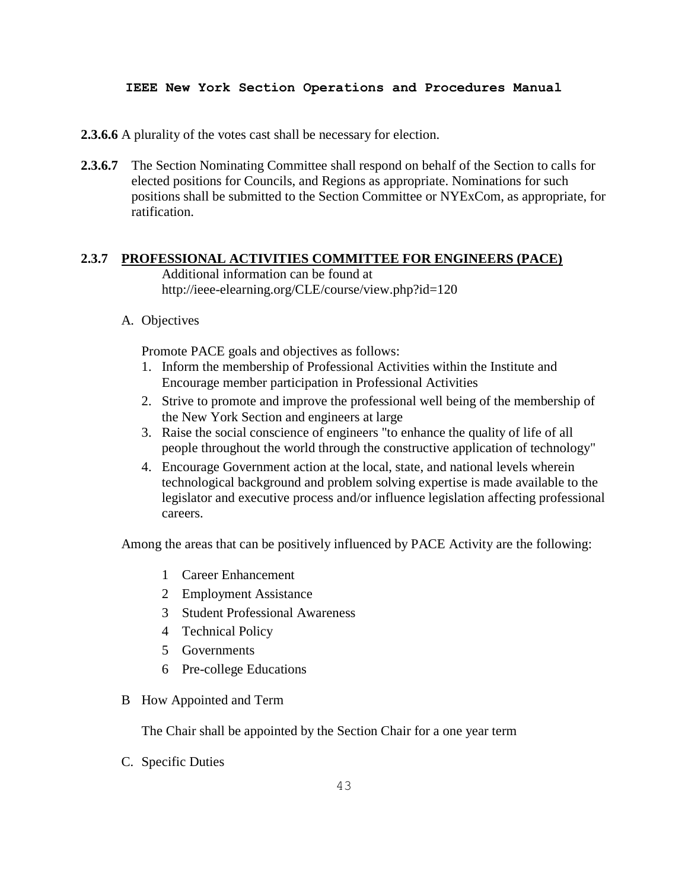**2.3.6.6** A plurality of the votes cast shall be necessary for election.

**2.3.6.7** The Section Nominating Committee shall respond on behalf of the Section to calls for elected positions for Councils, and Regions as appropriate. Nominations for such positions shall be submitted to the Section Committee or NYExCom, as appropriate, for ratification.

## **2.3.7 PROFESSIONAL ACTIVITIES COMMITTEE FOR ENGINEERS (PACE)**

Additional information can be found at http://ieee-elearning.org/CLE/course/view.php?id=120

A. Objectives

Promote PACE goals and objectives as follows:

- 1. Inform the membership of Professional Activities within the Institute and Encourage member participation in Professional Activities
- 2. Strive to promote and improve the professional well being of the membership of the New York Section and engineers at large
- 3. Raise the social conscience of engineers "to enhance the quality of life of all people throughout the world through the constructive application of technology"
- 4. Encourage Government action at the local, state, and national levels wherein technological background and problem solving expertise is made available to the legislator and executive process and/or influence legislation affecting professional careers.

Among the areas that can be positively influenced by PACE Activity are the following:

- 1 Career Enhancement
- 2 Employment Assistance
- 3 Student Professional Awareness
- 4 Technical Policy
- 5 Governments
- 6 Pre-college Educations
- B How Appointed and Term

The Chair shall be appointed by the Section Chair for a one year term

C. Specific Duties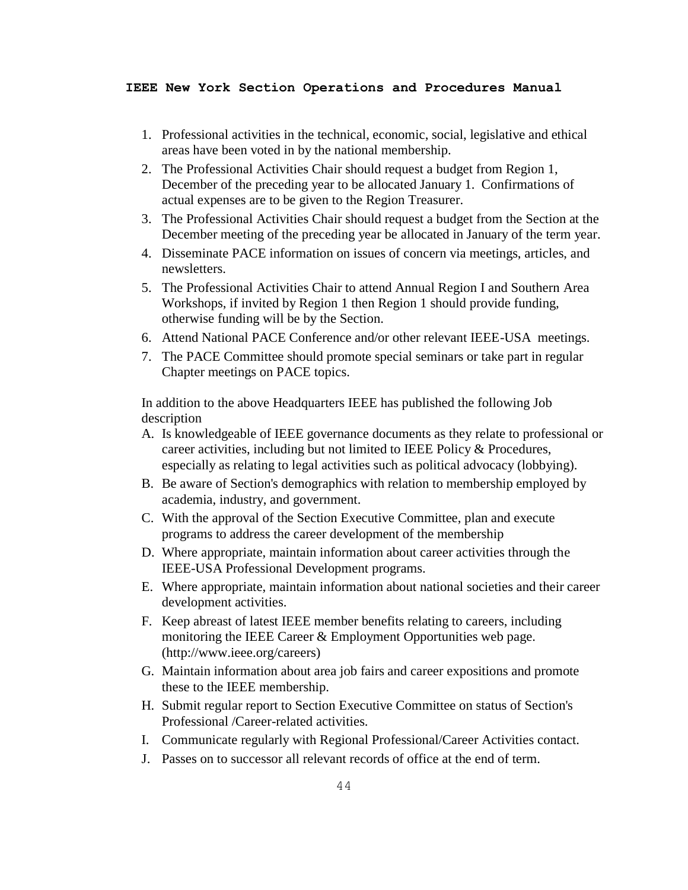- 1. Professional activities in the technical, economic, social, legislative and ethical areas have been voted in by the national membership.
- 2. The Professional Activities Chair should request a budget from Region 1, December of the preceding year to be allocated January 1. Confirmations of actual expenses are to be given to the Region Treasurer.
- 3. The Professional Activities Chair should request a budget from the Section at the December meeting of the preceding year be allocated in January of the term year.
- 4. Disseminate PACE information on issues of concern via meetings, articles, and newsletters.
- 5. The Professional Activities Chair to attend Annual Region I and Southern Area Workshops, if invited by Region 1 then Region 1 should provide funding, otherwise funding will be by the Section.
- 6. Attend National PACE Conference and/or other relevant IEEE-USA meetings.
- 7. The PACE Committee should promote special seminars or take part in regular Chapter meetings on PACE topics.

In addition to the above Headquarters IEEE has published the following Job description

- A. Is knowledgeable of IEEE governance documents as they relate to professional or career activities, including but not limited to IEEE Policy & Procedures, especially as relating to legal activities such as political advocacy (lobbying).
- B. Be aware of Section's demographics with relation to membership employed by academia, industry, and government.
- C. With the approval of the Section Executive Committee, plan and execute programs to address the career development of the membership
- D. Where appropriate, maintain information about career activities through the IEEE-USA Professional Development programs.
- E. Where appropriate, maintain information about national societies and their career development activities.
- F. Keep abreast of latest IEEE member benefits relating to careers, including monitoring the IEEE Career & Employment Opportunities web page. (http://www.ieee.org/careers)
- G. Maintain information about area job fairs and career expositions and promote these to the IEEE membership.
- H. Submit regular report to Section Executive Committee on status of Section's Professional /Career-related activities.
- I. Communicate regularly with Regional Professional/Career Activities contact.
- J. Passes on to successor all relevant records of office at the end of term.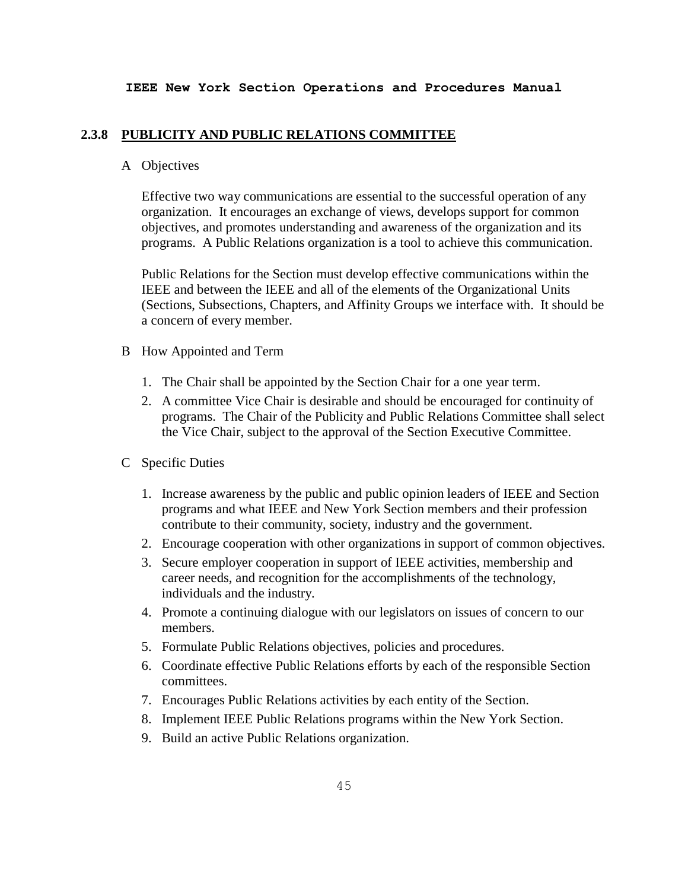#### **2.3.8 PUBLICITY AND PUBLIC RELATIONS COMMITTEE**

## A Objectives

Effective two way communications are essential to the successful operation of any organization. It encourages an exchange of views, develops support for common objectives, and promotes understanding and awareness of the organization and its programs. A Public Relations organization is a tool to achieve this communication.

Public Relations for the Section must develop effective communications within the IEEE and between the IEEE and all of the elements of the Organizational Units (Sections, Subsections, Chapters, and Affinity Groups we interface with. It should be a concern of every member.

## B How Appointed and Term

- 1. The Chair shall be appointed by the Section Chair for a one year term.
- 2. A committee Vice Chair is desirable and should be encouraged for continuity of programs. The Chair of the Publicity and Public Relations Committee shall select the Vice Chair, subject to the approval of the Section Executive Committee.
- C Specific Duties
	- 1. Increase awareness by the public and public opinion leaders of IEEE and Section programs and what IEEE and New York Section members and their profession contribute to their community, society, industry and the government.
	- 2. Encourage cooperation with other organizations in support of common objectives.
	- 3. Secure employer cooperation in support of IEEE activities, membership and career needs, and recognition for the accomplishments of the technology, individuals and the industry.
	- 4. Promote a continuing dialogue with our legislators on issues of concern to our members.
	- 5. Formulate Public Relations objectives, policies and procedures.
	- 6. Coordinate effective Public Relations efforts by each of the responsible Section committees.
	- 7. Encourages Public Relations activities by each entity of the Section.
	- 8. Implement IEEE Public Relations programs within the New York Section.
	- 9. Build an active Public Relations organization.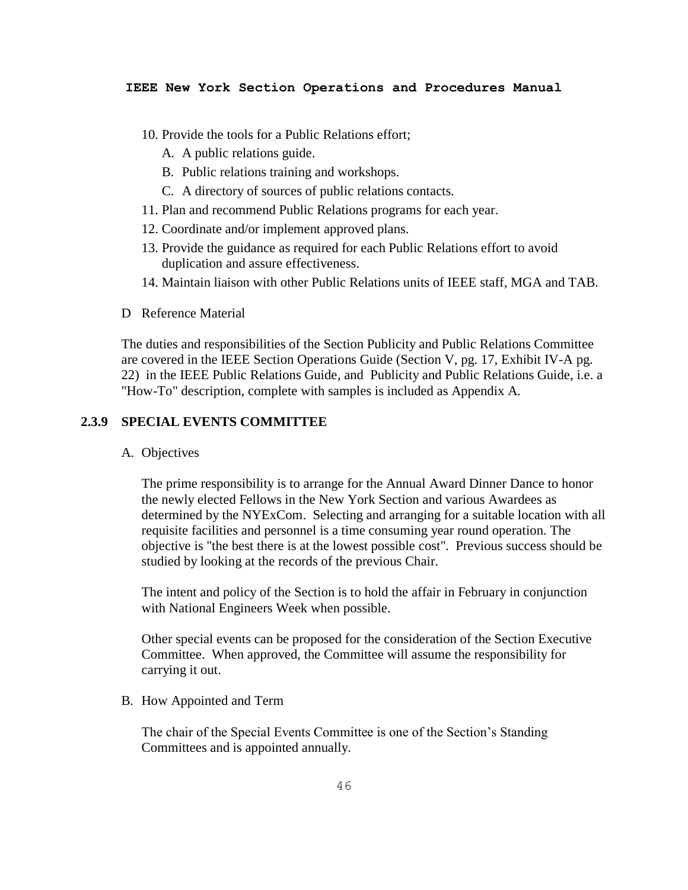- 10. Provide the tools for a Public Relations effort;
	- A. A public relations guide.
	- B. Public relations training and workshops.
	- C. A directory of sources of public relations contacts.
- 11. Plan and recommend Public Relations programs for each year.
- 12. Coordinate and/or implement approved plans.
- 13. Provide the guidance as required for each Public Relations effort to avoid duplication and assure effectiveness.
- 14. Maintain liaison with other Public Relations units of IEEE staff, MGA and TAB.
- D Reference Material

The duties and responsibilities of the Section Publicity and Public Relations Committee are covered in the IEEE Section Operations Guide (Section V, pg. 17, Exhibit IV-A pg. 22) in the IEEE Public Relations Guide, and Publicity and Public Relations Guide, i.e. a "How-To" description, complete with samples is included as Appendix A.

## **2.3.9 SPECIAL EVENTS COMMITTEE**

A. Objectives

The prime responsibility is to arrange for the Annual Award Dinner Dance to honor the newly elected Fellows in the New York Section and various Awardees as determined by the NYExCom. Selecting and arranging for a suitable location with all requisite facilities and personnel is a time consuming year round operation. The objective is "the best there is at the lowest possible cost". Previous success should be studied by looking at the records of the previous Chair.

The intent and policy of the Section is to hold the affair in February in conjunction with National Engineers Week when possible.

Other special events can be proposed for the consideration of the Section Executive Committee. When approved, the Committee will assume the responsibility for carrying it out.

B. How Appointed and Term

The chair of the Special Events Committee is one of the Section's Standing Committees and is appointed annually.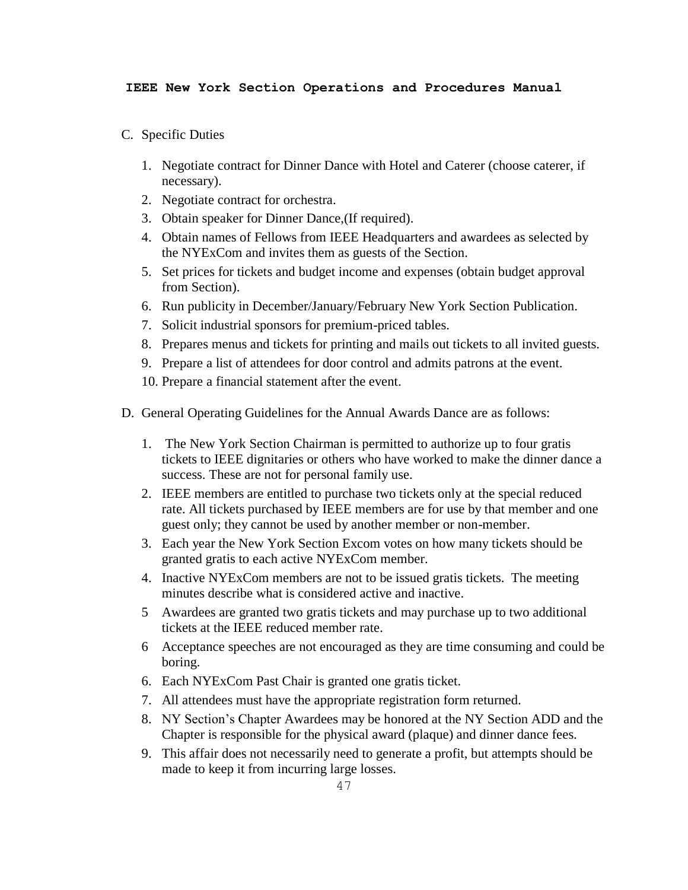- C. Specific Duties
	- 1. Negotiate contract for Dinner Dance with Hotel and Caterer (choose caterer, if necessary).
	- 2. Negotiate contract for orchestra.
	- 3. Obtain speaker for Dinner Dance,(If required).
	- 4. Obtain names of Fellows from IEEE Headquarters and awardees as selected by the NYExCom and invites them as guests of the Section.
	- 5. Set prices for tickets and budget income and expenses (obtain budget approval from Section).
	- 6. Run publicity in December/January/February New York Section Publication.
	- 7. Solicit industrial sponsors for premium-priced tables.
	- 8. Prepares menus and tickets for printing and mails out tickets to all invited guests.
	- 9. Prepare a list of attendees for door control and admits patrons at the event.
	- 10. Prepare a financial statement after the event.
- D. General Operating Guidelines for the Annual Awards Dance are as follows:
	- 1. The New York Section Chairman is permitted to authorize up to four gratis tickets to IEEE dignitaries or others who have worked to make the dinner dance a success. These are not for personal family use.
	- 2. IEEE members are entitled to purchase two tickets only at the special reduced rate. All tickets purchased by IEEE members are for use by that member and one guest only; they cannot be used by another member or non-member.
	- 3. Each year the New York Section Excom votes on how many tickets should be granted gratis to each active NYExCom member.
	- 4. Inactive NYExCom members are not to be issued gratis tickets. The meeting minutes describe what is considered active and inactive.
	- 5 Awardees are granted two gratis tickets and may purchase up to two additional tickets at the IEEE reduced member rate.
	- 6 Acceptance speeches are not encouraged as they are time consuming and could be boring.
	- 6. Each NYExCom Past Chair is granted one gratis ticket.
	- 7. All attendees must have the appropriate registration form returned.
	- 8. NY Section's Chapter Awardees may be honored at the NY Section ADD and the Chapter is responsible for the physical award (plaque) and dinner dance fees.
	- 9. This affair does not necessarily need to generate a profit, but attempts should be made to keep it from incurring large losses.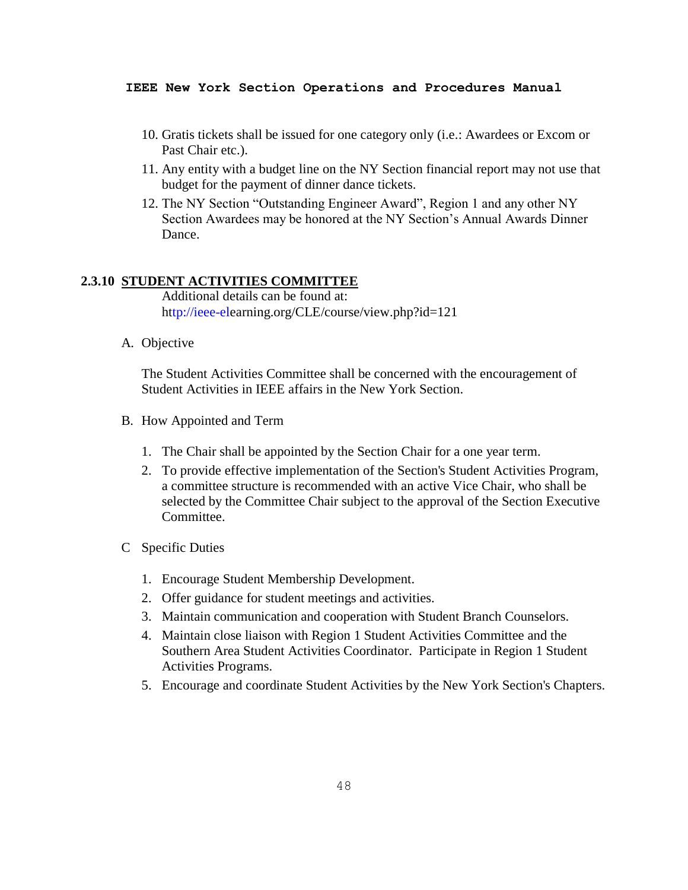- 10. Gratis tickets shall be issued for one category only (i.e.: Awardees or Excom or Past Chair etc.).
- 11. Any entity with a budget line on the NY Section financial report may not use that budget for the payment of dinner dance tickets.
- 12. The NY Section "Outstanding Engineer Award", Region 1 and any other NY Section Awardees may be honored at the NY Section's Annual Awards Dinner Dance.

## **2.3.10 STUDENT ACTIVITIES COMMITTEE**

Additional details can be found at: h[ttp://ieee-ele](tp://ieee-el/)arning.org/CLE/course/view.php?id=121

A. Objective

The Student Activities Committee shall be concerned with the encouragement of Student Activities in IEEE affairs in the New York Section.

- B. How Appointed and Term
	- 1. The Chair shall be appointed by the Section Chair for a one year term.
	- 2. To provide effective implementation of the Section's Student Activities Program, a committee structure is recommended with an active Vice Chair, who shall be selected by the Committee Chair subject to the approval of the Section Executive Committee.
- C Specific Duties
	- 1. Encourage Student Membership Development.
	- 2. Offer guidance for student meetings and activities.
	- 3. Maintain communication and cooperation with Student Branch Counselors.
	- 4. Maintain close liaison with Region 1 Student Activities Committee and the Southern Area Student Activities Coordinator. Participate in Region 1 Student Activities Programs.
	- 5. Encourage and coordinate Student Activities by the New York Section's Chapters.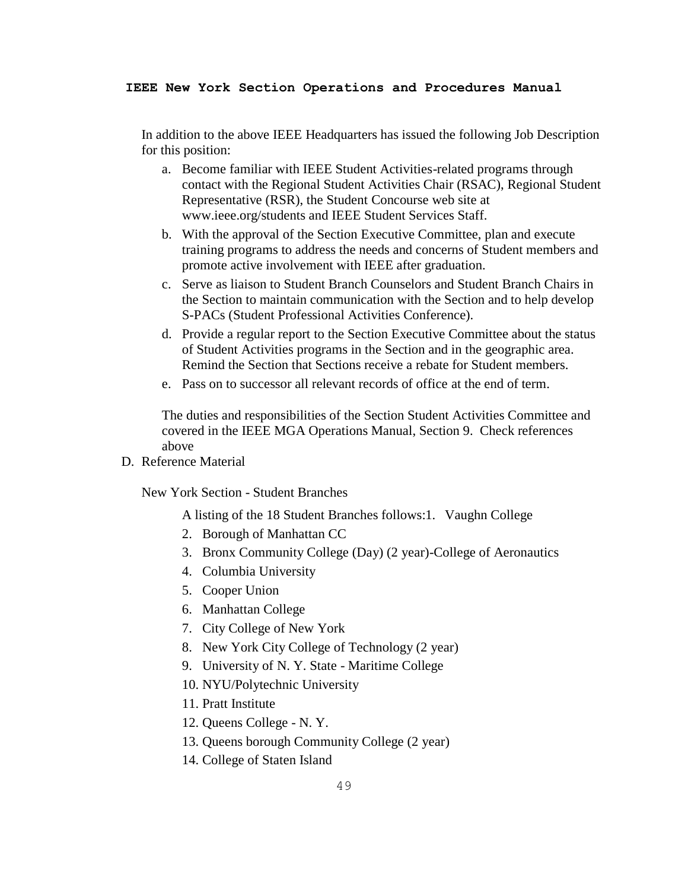In addition to the above IEEE Headquarters has issued the following Job Description for this position:

- a. Become familiar with IEEE Student Activities-related programs through contact with the Regional Student Activities Chair (RSAC), Regional Student Representative (RSR), the Student Concourse web site at www.ieee.org/students and IEEE Student Services Staff.
- b. With the approval of the Section Executive Committee, plan and execute training programs to address the needs and concerns of Student members and promote active involvement with IEEE after graduation.
- c. Serve as liaison to Student Branch Counselors and Student Branch Chairs in the Section to maintain communication with the Section and to help develop S-PACs (Student Professional Activities Conference).
- d. Provide a regular report to the Section Executive Committee about the status of Student Activities programs in the Section and in the geographic area. Remind the Section that Sections receive a rebate for Student members.
- e. Pass on to successor all relevant records of office at the end of term.

The duties and responsibilities of the Section Student Activities Committee and covered in the IEEE MGA Operations Manual, Section 9. Check references above

D. Reference Material

New York Section - Student Branches

A listing of the 18 Student Branches follows:1. Vaughn College

- 2. Borough of Manhattan CC
- 3. Bronx Community College (Day) (2 year)-College of Aeronautics
- 4. Columbia University
- 5. Cooper Union
- 6. Manhattan College
- 7. City College of New York
- 8. New York City College of Technology (2 year)
- 9. University of N. Y. State Maritime College
- 10. NYU/Polytechnic University
- 11. Pratt Institute
- 12. Queens College N. Y.
- 13. Queens borough Community College (2 year)
- 14. College of Staten Island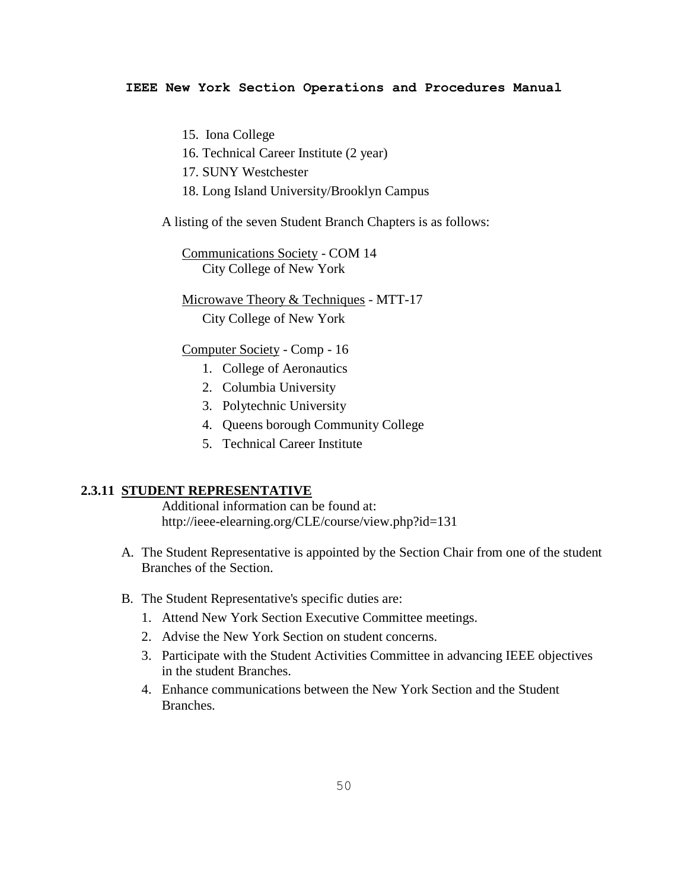15. Iona College

- 16. Technical Career Institute (2 year)
- 17. SUNY Westchester
- 18. Long Island University/Brooklyn Campus

A listing of the seven Student Branch Chapters is as follows:

Communications Society - COM 14 City College of New York

Microwave Theory & Techniques - MTT-17 City College of New York

#### Computer Society - Comp - 16

- 1. College of Aeronautics
- 2. Columbia University
- 3. Polytechnic University
- 4. Queens borough Community College
- 5. Technical Career Institute

## **2.3.11 STUDENT REPRESENTATIVE**

Additional information can be found at: <http://ieee-elearning.org/CLE/course/view.php?id=131>

- A. The Student Representative is appointed by the Section Chair from one of the student Branches of the Section.
- B. The Student Representative's specific duties are:
	- 1. Attend New York Section Executive Committee meetings.
	- 2. Advise the New York Section on student concerns.
	- 3. Participate with the Student Activities Committee in advancing IEEE objectives in the student Branches.
	- 4. Enhance communications between the New York Section and the Student Branches.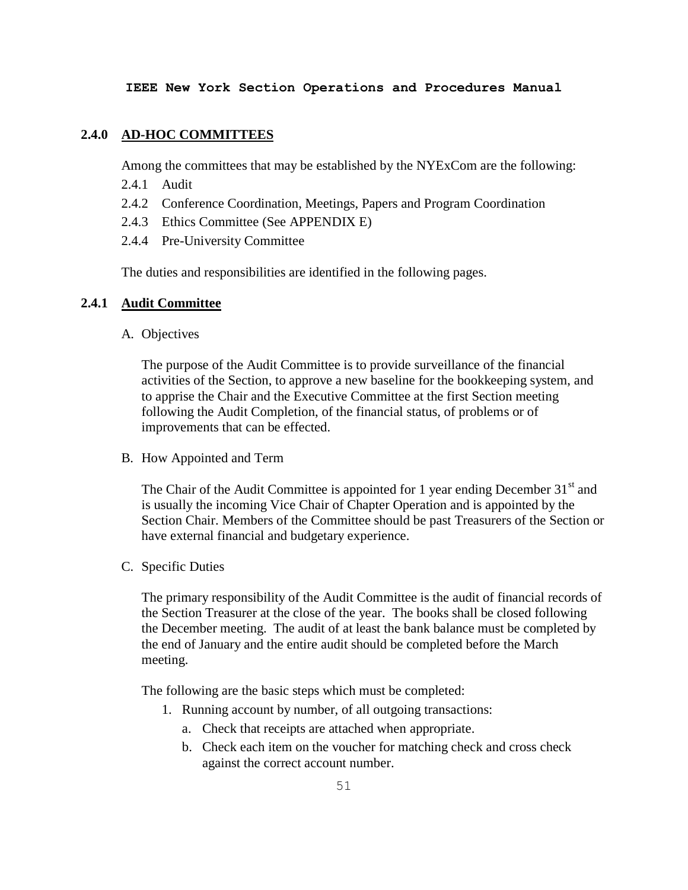# **2.4.0 AD-HOC COMMITTEES**

Among the committees that may be established by the NYExCom are the following:

- 2.4.1 Audit
- 2.4.2 Conference Coordination, Meetings, Papers and Program Coordination
- 2.4.3 Ethics Committee (See APPENDIX E)
- 2.4.4 Pre-University Committee

The duties and responsibilities are identified in the following pages.

## **2.4.1 Audit Committee**

A. Objectives

The purpose of the Audit Committee is to provide surveillance of the financial activities of the Section, to approve a new baseline for the bookkeeping system, and to apprise the Chair and the Executive Committee at the first Section meeting following the Audit Completion, of the financial status, of problems or of improvements that can be effected.

B. How Appointed and Term

The Chair of the Audit Committee is appointed for 1 year ending December  $31<sup>st</sup>$  and is usually the incoming Vice Chair of Chapter Operation and is appointed by the Section Chair. Members of the Committee should be past Treasurers of the Section or have external financial and budgetary experience.

C. Specific Duties

The primary responsibility of the Audit Committee is the audit of financial records of the Section Treasurer at the close of the year. The books shall be closed following the December meeting. The audit of at least the bank balance must be completed by the end of January and the entire audit should be completed before the March meeting.

The following are the basic steps which must be completed:

- 1. Running account by number, of all outgoing transactions:
	- a. Check that receipts are attached when appropriate.
	- b. Check each item on the voucher for matching check and cross check against the correct account number.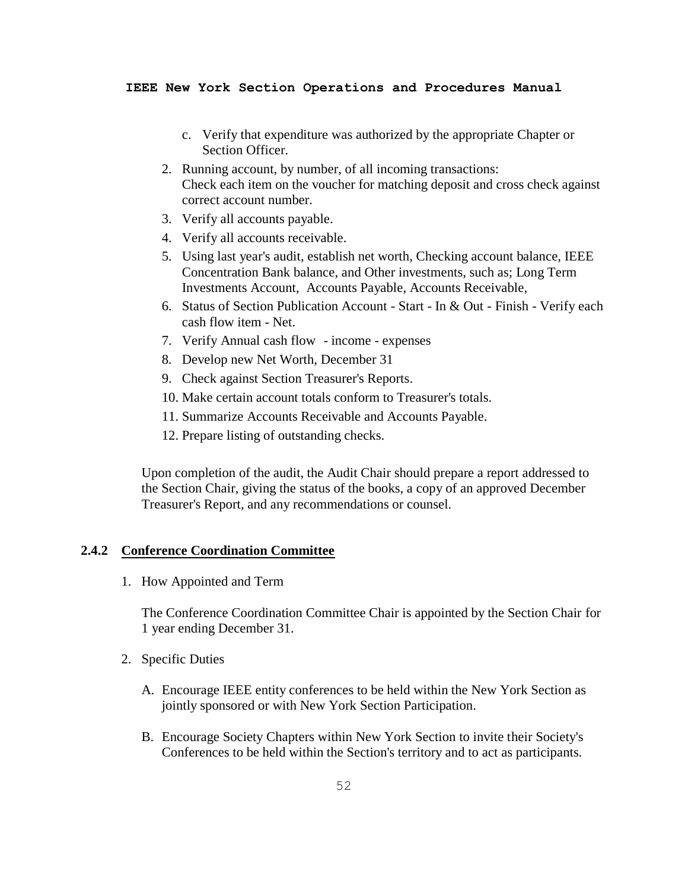- c. Verify that expenditure was authorized by the appropriate Chapter or Section Officer.
- 2. Running account, by number, of all incoming transactions: Check each item on the voucher for matching deposit and cross check against correct account number.
- 3. Verify all accounts payable.
- 4. Verify all accounts receivable.
- 5. Using last year's audit, establish net worth, Checking account balance, IEEE Concentration Bank balance, and Other investments, such as; Long Term Investments Account, Accounts Payable, Accounts Receivable,
- 6. Status of Section Publication Account Start In & Out Finish Verify each cash flow item - Net.
- 7. Verify Annual cash flow income expenses
- 8. Develop new Net Worth, December 31
- 9. Check against Section Treasurer's Reports.
- 10. Make certain account totals conform to Treasurer's totals.
- 11. Summarize Accounts Receivable and Accounts Payable.
- 12. Prepare listing of outstanding checks.

Upon completion of the audit, the Audit Chair should prepare a report addressed to the Section Chair, giving the status of the books, a copy of an approved December Treasurer's Report, and any recommendations or counsel.

## **2.4.2 Conference Coordination Committee**

1. How Appointed and Term

The Conference Coordination Committee Chair is appointed by the Section Chair for 1 year ending December 31.

- 2. Specific Duties
	- A. Encourage IEEE entity conferences to be held within the New York Section as jointly sponsored or with New York Section Participation.
	- B. Encourage Society Chapters within New York Section to invite their Society's Conferences to be held within the Section's territory and to act as participants.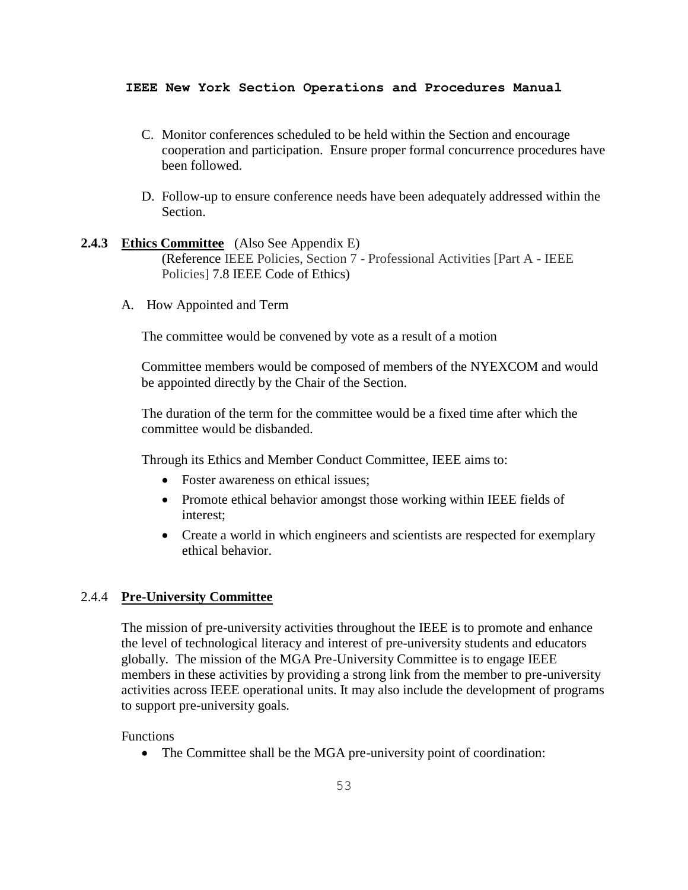- C. Monitor conferences scheduled to be held within the Section and encourage cooperation and participation. Ensure proper formal concurrence procedures have been followed.
- D. Follow-up to ensure conference needs have been adequately addressed within the Section.

## **2.4.3 Ethics Committee** (Also See Appendix E) (Reference IEEE Policies, Section 7 - Professional Activities [Part A - IEEE

- Policies] 7.8 IEEE Code of Ethics)
- A. How Appointed and Term

The committee would be convened by vote as a result of a motion

Committee members would be composed of members of the NYEXCOM and would be appointed directly by the Chair of the Section.

The duration of the term for the committee would be a fixed time after which the committee would be disbanded.

Through its Ethics and Member Conduct Committee, IEEE aims to:

- Foster awareness on ethical issues:
- Promote ethical behavior amongst those working within IEEE fields of interest;
- Create a world in which engineers and scientists are respected for exemplary ethical behavior.

## 2.4.4 **Pre-University Committee**

The mission of pre-university activities throughout the IEEE is to promote and enhance the level of technological literacy and interest of pre-university students and educators globally. The mission of the MGA Pre-University Committee is to engage IEEE members in these activities by providing a strong link from the member to pre-university activities across IEEE operational units. It may also include the development of programs to support pre-university goals.

## Functions

• The Committee shall be the MGA pre-university point of coordination: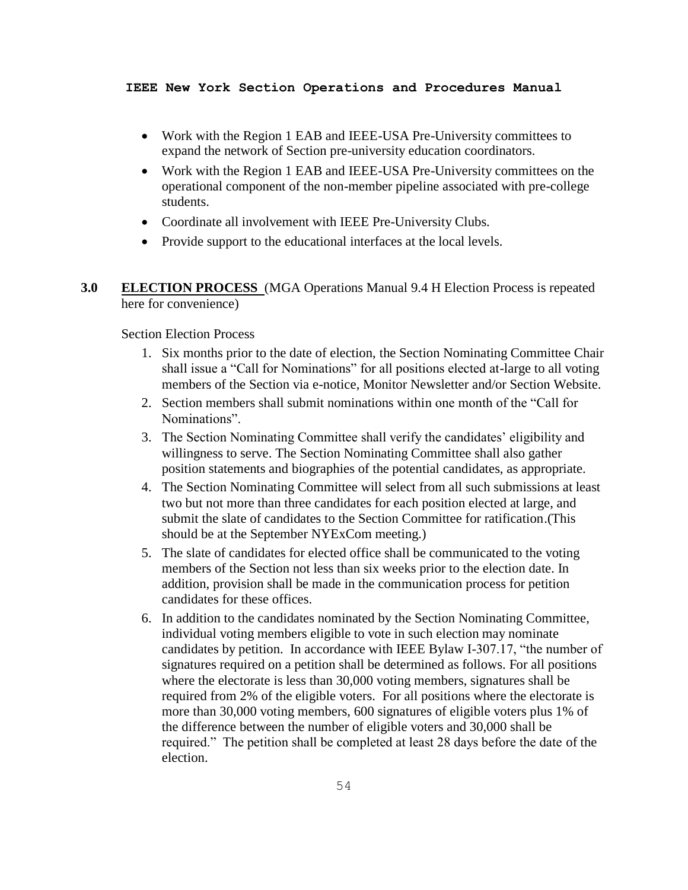- Work with the Region 1 EAB and IEEE-USA Pre-University committees to expand the network of Section pre-university education coordinators.
- Work with the Region 1 EAB and IEEE-USA Pre-University committees on the operational component of the non-member pipeline associated with pre-college students.
- Coordinate all involvement with IEEE Pre-University Clubs.
- Provide support to the educational interfaces at the local levels.
- **3.0 ELECTION PROCESS** (MGA Operations Manual 9.4 H Election Process is repeated here for convenience)

Section Election Process

- 1. Six months prior to the date of election, the Section Nominating Committee Chair shall issue a "Call for Nominations" for all positions elected at-large to all voting members of the Section via e-notice, Monitor Newsletter and/or Section Website.
- 2. Section members shall submit nominations within one month of the "Call for Nominations".
- 3. The Section Nominating Committee shall verify the candidates' eligibility and willingness to serve. The Section Nominating Committee shall also gather position statements and biographies of the potential candidates, as appropriate.
- 4. The Section Nominating Committee will select from all such submissions at least two but not more than three candidates for each position elected at large, and submit the slate of candidates to the Section Committee for ratification.(This should be at the September NYExCom meeting.)
- 5. The slate of candidates for elected office shall be communicated to the voting members of the Section not less than six weeks prior to the election date. In addition, provision shall be made in the communication process for petition candidates for these offices.
- 6. In addition to the candidates nominated by the Section Nominating Committee, individual voting members eligible to vote in such election may nominate candidates by petition. In accordance with IEEE Bylaw I-307.17, "the number of signatures required on a petition shall be determined as follows. For all positions where the electorate is less than 30,000 voting members, signatures shall be required from 2% of the eligible voters. For all positions where the electorate is more than 30,000 voting members, 600 signatures of eligible voters plus 1% of the difference between the number of eligible voters and 30,000 shall be required." The petition shall be completed at least 28 days before the date of the election.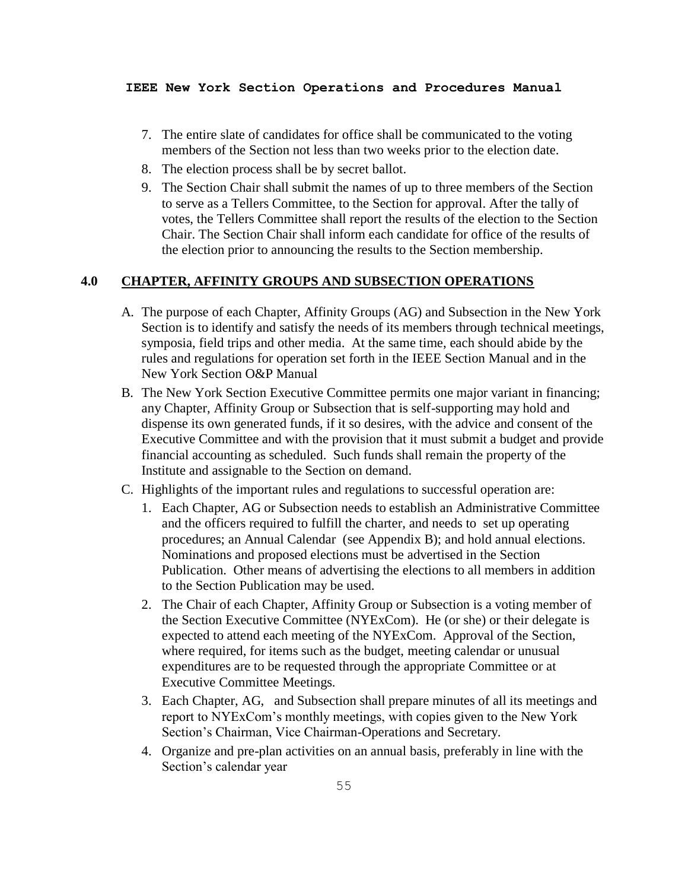- 7. The entire slate of candidates for office shall be communicated to the voting members of the Section not less than two weeks prior to the election date.
- 8. The election process shall be by secret ballot.
- 9. The Section Chair shall submit the names of up to three members of the Section to serve as a Tellers Committee, to the Section for approval. After the tally of votes, the Tellers Committee shall report the results of the election to the Section Chair. The Section Chair shall inform each candidate for office of the results of the election prior to announcing the results to the Section membership.

# **4.0 CHAPTER, AFFINITY GROUPS AND SUBSECTION OPERATIONS**

- A. The purpose of each Chapter, Affinity Groups (AG) and Subsection in the New York Section is to identify and satisfy the needs of its members through technical meetings, symposia, field trips and other media. At the same time, each should abide by the rules and regulations for operation set forth in the IEEE Section Manual and in the New York Section O&P Manual
- B. The New York Section Executive Committee permits one major variant in financing; any Chapter, Affinity Group or Subsection that is self-supporting may hold and dispense its own generated funds, if it so desires, with the advice and consent of the Executive Committee and with the provision that it must submit a budget and provide financial accounting as scheduled. Such funds shall remain the property of the Institute and assignable to the Section on demand.
- C. Highlights of the important rules and regulations to successful operation are:
	- 1. Each Chapter, AG or Subsection needs to establish an Administrative Committee and the officers required to fulfill the charter, and needs to set up operating procedures; an Annual Calendar (see Appendix B); and hold annual elections. Nominations and proposed elections must be advertised in the Section Publication. Other means of advertising the elections to all members in addition to the Section Publication may be used.
	- 2. The Chair of each Chapter, Affinity Group or Subsection is a voting member of the Section Executive Committee (NYExCom). He (or she) or their delegate is expected to attend each meeting of the NYExCom. Approval of the Section, where required, for items such as the budget, meeting calendar or unusual expenditures are to be requested through the appropriate Committee or at Executive Committee Meetings.
	- 3. Each Chapter, AG, and Subsection shall prepare minutes of all its meetings and report to NYExCom's monthly meetings, with copies given to the New York Section's Chairman, Vice Chairman-Operations and Secretary.
	- 4. Organize and pre-plan activities on an annual basis, preferably in line with the Section's calendar year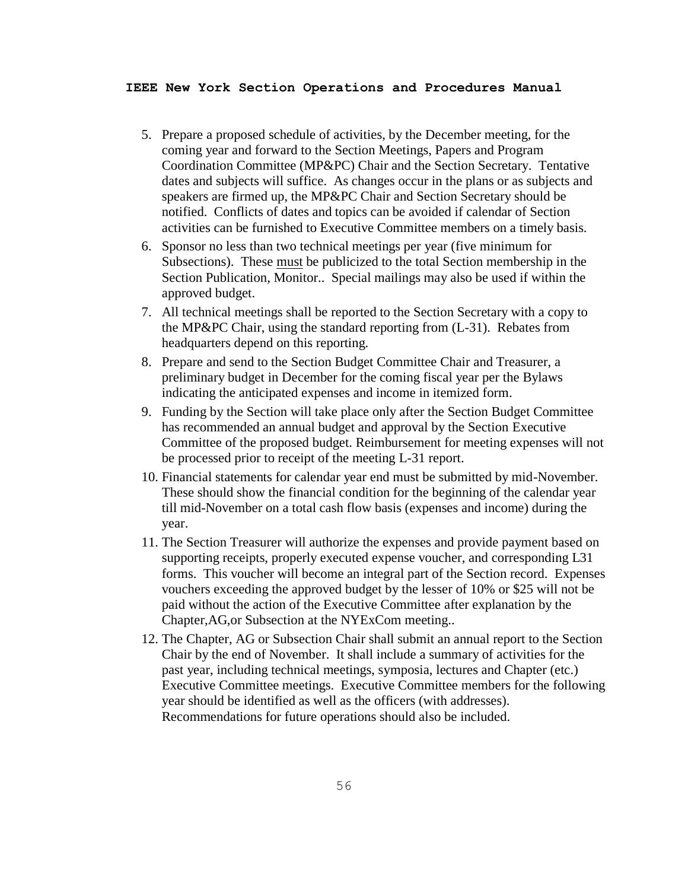- 5. Prepare a proposed schedule of activities, by the December meeting, for the coming year and forward to the Section Meetings, Papers and Program Coordination Committee (MP&PC) Chair and the Section Secretary. Tentative dates and subjects will suffice. As changes occur in the plans or as subjects and speakers are firmed up, the MP&PC Chair and Section Secretary should be notified. Conflicts of dates and topics can be avoided if calendar of Section activities can be furnished to Executive Committee members on a timely basis.
- 6. Sponsor no less than two technical meetings per year (five minimum for Subsections). These must be publicized to the total Section membership in the Section Publication, Monitor.. Special mailings may also be used if within the approved budget.
- 7. All technical meetings shall be reported to the Section Secretary with a copy to the MP&PC Chair, using the standard reporting from (L-31). Rebates from headquarters depend on this reporting.
- 8. Prepare and send to the Section Budget Committee Chair and Treasurer, a preliminary budget in December for the coming fiscal year per the Bylaws indicating the anticipated expenses and income in itemized form.
- 9. Funding by the Section will take place only after the Section Budget Committee has recommended an annual budget and approval by the Section Executive Committee of the proposed budget. Reimbursement for meeting expenses will not be processed prior to receipt of the meeting L-31 report.
- 10. Financial statements for calendar year end must be submitted by mid-November. These should show the financial condition for the beginning of the calendar year till mid-November on a total cash flow basis (expenses and income) during the year.
- 11. The Section Treasurer will authorize the expenses and provide payment based on supporting receipts, properly executed expense voucher, and corresponding L31 forms. This voucher will become an integral part of the Section record. Expenses vouchers exceeding the approved budget by the lesser of 10% or \$25 will not be paid without the action of the Executive Committee after explanation by the Chapter,AG,or Subsection at the NYExCom meeting..
- 12. The Chapter, AG or Subsection Chair shall submit an annual report to the Section Chair by the end of November. It shall include a summary of activities for the past year, including technical meetings, symposia, lectures and Chapter (etc.) Executive Committee meetings. Executive Committee members for the following year should be identified as well as the officers (with addresses). Recommendations for future operations should also be included.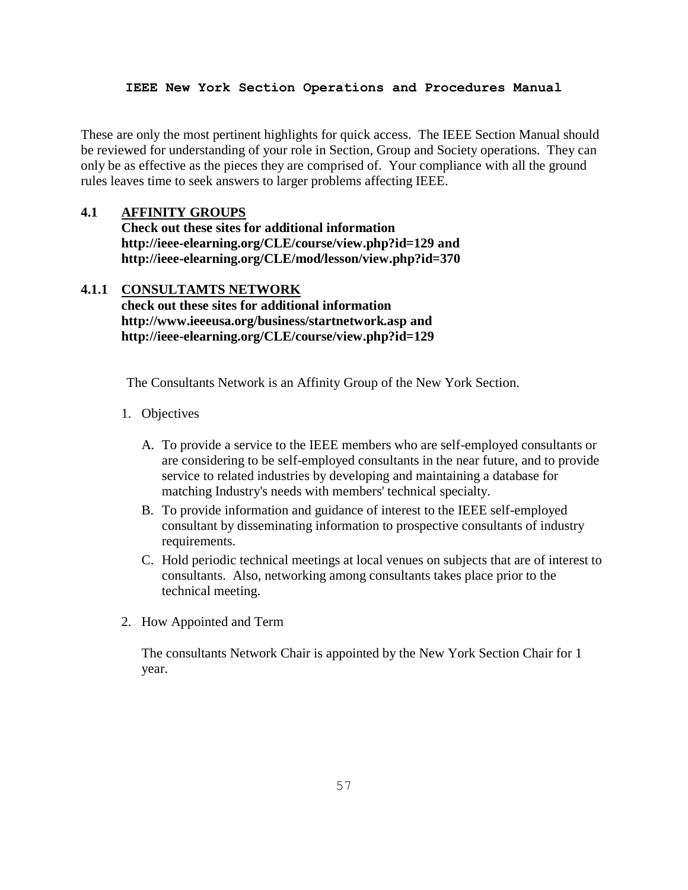These are only the most pertinent highlights for quick access. The IEEE Section Manual should be reviewed for understanding of your role in Section, Group and Society operations. They can only be as effective as the pieces they are comprised of. Your compliance with all the ground rules leaves time to seek answers to larger problems affecting IEEE.

## **4.1 AFFINITY GROUPS**

**Check out these sites for additional information <http://ieee-elearning.org/CLE/course/view.php?id=129> and http://ieee-elearning.org/CLE/mod/lesson/view.php?id=370**

# **4.1.1 CONSULTAMTS NETWORK**

**check out these sites for additional information <http://www.ieeeusa.org/business/startnetwork.asp> and http://ieee-elearning.org/CLE/course/view.php?id=129**

The Consultants Network is an Affinity Group of the New York Section.

- 1. Objectives
	- A. To provide a service to the IEEE members who are self-employed consultants or are considering to be self-employed consultants in the near future, and to provide service to related industries by developing and maintaining a database for matching Industry's needs with members' technical specialty.
	- B. To provide information and guidance of interest to the IEEE self-employed consultant by disseminating information to prospective consultants of industry requirements.
	- C. Hold periodic technical meetings at local venues on subjects that are of interest to consultants. Also, networking among consultants takes place prior to the technical meeting.
- 2. How Appointed and Term

The consultants Network Chair is appointed by the New York Section Chair for 1 year.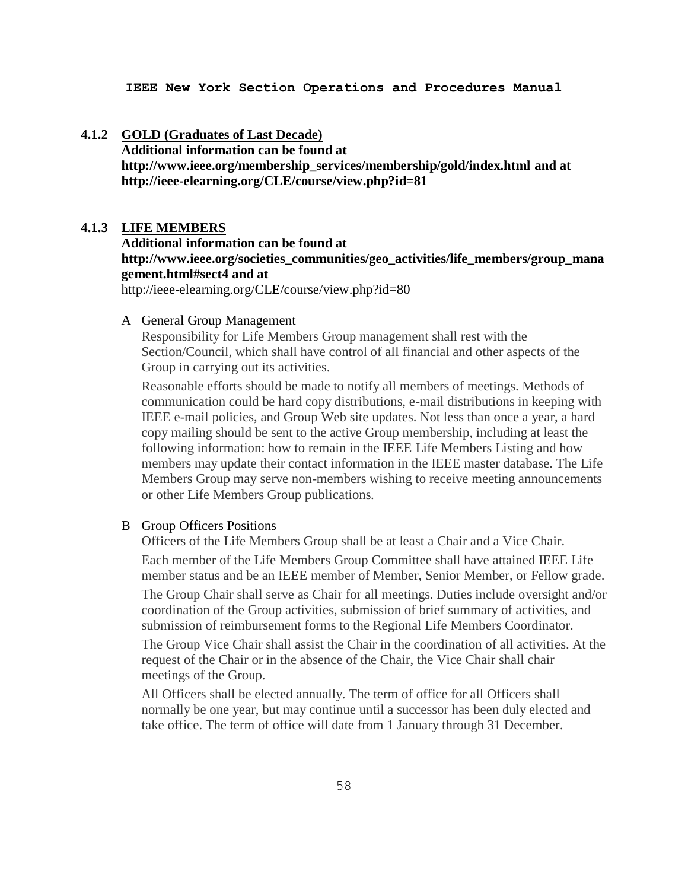#### **4.1.2 GOLD (Graduates of Last Decade)**

**Additional information can be found at** 

**[http://www.ieee.org/membership\\_services/membership/gold/index.html](http://www.ieee.org/membership_services/membership/gold/index.html) and at http://ieee-elearning.org/CLE/course/view.php?id=81**

#### **4.1.3 LIFE MEMBERS**

**Additional information can be found at [http://www.ieee.org/societies\\_communities/geo\\_activities/life\\_members/group\\_mana](http://www.ieee.org/societies_communities/geo_activities/life_members/group_management.html#sect4) [gement.html#sect4](http://www.ieee.org/societies_communities/geo_activities/life_members/group_management.html#sect4) and at** 

<http://ieee-elearning.org/CLE/course/view.php?id=80>

## A General Group Management

Responsibility for Life Members Group management shall rest with the Section/Council, which shall have control of all financial and other aspects of the Group in carrying out its activities.

Reasonable efforts should be made to notify all members of meetings. Methods of communication could be hard copy distributions, e-mail distributions in keeping with IEEE e-mail policies, and Group Web site updates. Not less than once a year, a hard copy mailing should be sent to the active Group membership, including at least the following information: how to remain in the IEEE Life Members Listing and how members may update their contact information in the IEEE master database. The Life Members Group may serve non-members wishing to receive meeting announcements or other Life Members Group publications.

## B Group Officers Positions

Officers of the Life Members Group shall be at least a Chair and a Vice Chair.

Each member of the Life Members Group Committee shall have attained IEEE Life member status and be an IEEE member of Member, Senior Member, or Fellow grade.

The Group Chair shall serve as Chair for all meetings. Duties include oversight and/or coordination of the Group activities, submission of brief summary of activities, and submission of reimbursement forms to the Regional Life Members Coordinator.

The Group Vice Chair shall assist the Chair in the coordination of all activities. At the request of the Chair or in the absence of the Chair, the Vice Chair shall chair meetings of the Group.

All Officers shall be elected annually. The term of office for all Officers shall normally be one year, but may continue until a successor has been duly elected and take office. The term of office will date from 1 January through 31 December.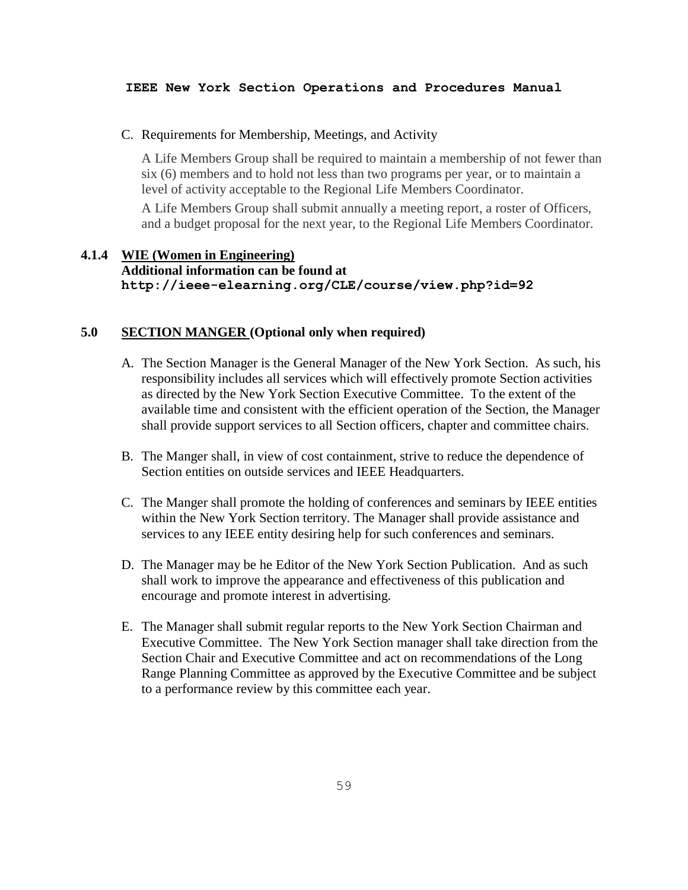#### C. Requirements for Membership, Meetings, and Activity

A Life Members Group shall be required to maintain a membership of not fewer than six (6) members and to hold not less than two programs per year, or to maintain a level of activity acceptable to the Regional Life Members Coordinator.

A Life Members Group shall submit annually a meeting report, a roster of Officers, and a budget proposal for the next year, to the Regional Life Members Coordinator.

# **4.1.4 WIE (Women in Engineering) Additional information can be found at http://ieee-elearning.org/CLE/course/view.php?id=92**

## **5.0 SECTION MANGER (Optional only when required)**

- A. The Section Manager is the General Manager of the New York Section. As such, his responsibility includes all services which will effectively promote Section activities as directed by the New York Section Executive Committee. To the extent of the available time and consistent with the efficient operation of the Section, the Manager shall provide support services to all Section officers, chapter and committee chairs.
- B. The Manger shall, in view of cost containment, strive to reduce the dependence of Section entities on outside services and IEEE Headquarters.
- C. The Manger shall promote the holding of conferences and seminars by IEEE entities within the New York Section territory. The Manager shall provide assistance and services to any IEEE entity desiring help for such conferences and seminars.
- D. The Manager may be he Editor of the New York Section Publication. And as such shall work to improve the appearance and effectiveness of this publication and encourage and promote interest in advertising.
- E. The Manager shall submit regular reports to the New York Section Chairman and Executive Committee. The New York Section manager shall take direction from the Section Chair and Executive Committee and act on recommendations of the Long Range Planning Committee as approved by the Executive Committee and be subject to a performance review by this committee each year.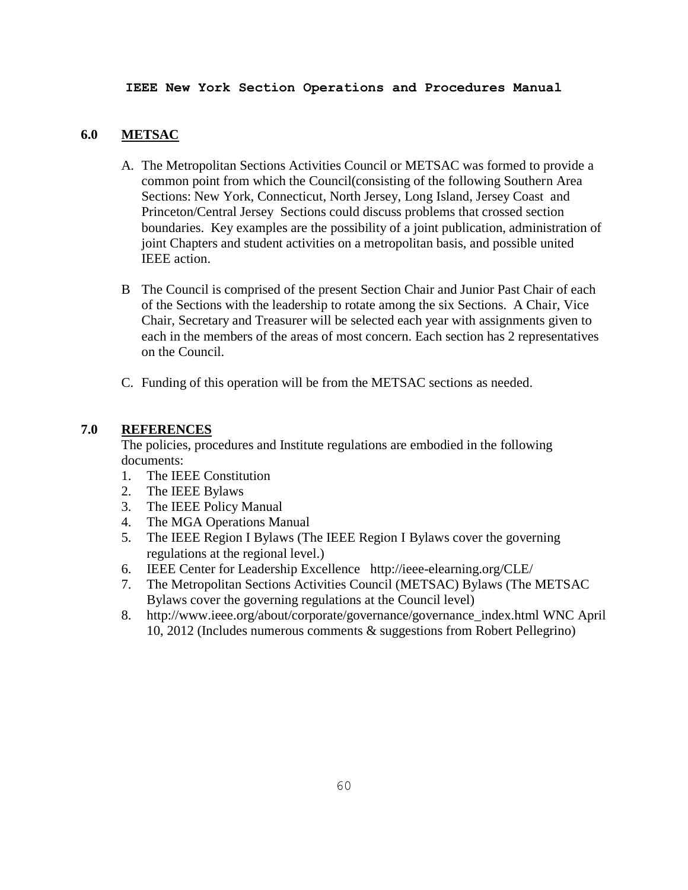## **6.0 METSAC**

- A. The Metropolitan Sections Activities Council or METSAC was formed to provide a common point from which the Council(consisting of the following Southern Area Sections: New York, Connecticut, North Jersey, Long Island, Jersey Coast and Princeton/Central Jersey Sections could discuss problems that crossed section boundaries. Key examples are the possibility of a joint publication, administration of joint Chapters and student activities on a metropolitan basis, and possible united IEEE action.
- B The Council is comprised of the present Section Chair and Junior Past Chair of each of the Sections with the leadership to rotate among the six Sections. A Chair, Vice Chair, Secretary and Treasurer will be selected each year with assignments given to each in the members of the areas of most concern. Each section has 2 representatives on the Council.
- C. Funding of this operation will be from the METSAC sections as needed.

# **7.0 REFERENCES**

The policies, procedures and Institute regulations are embodied in the following documents:

- 1. The IEEE Constitution
- 2. The IEEE Bylaws
- 3. The IEEE Policy Manual
- 4. The MGA Operations Manual
- 5. The IEEE Region I Bylaws (The IEEE Region I Bylaws cover the governing regulations at the regional level.)
- 6. [IEEE Center for Leadership Excellence](http://ieee-elearning.org/CLE/) http://ieee-elearning.org/CLE/
- 7. The Metropolitan Sections Activities Council (METSAC) Bylaws (The METSAC Bylaws cover the governing regulations at the Council level)
- 8. [http://www.ieee.org/about/corporate/governance/governance\\_index.html](http://www.ieee.org/about/corporate/governance/governance_index.html) WNC April 10, 2012 (Includes numerous comments & suggestions from Robert Pellegrino)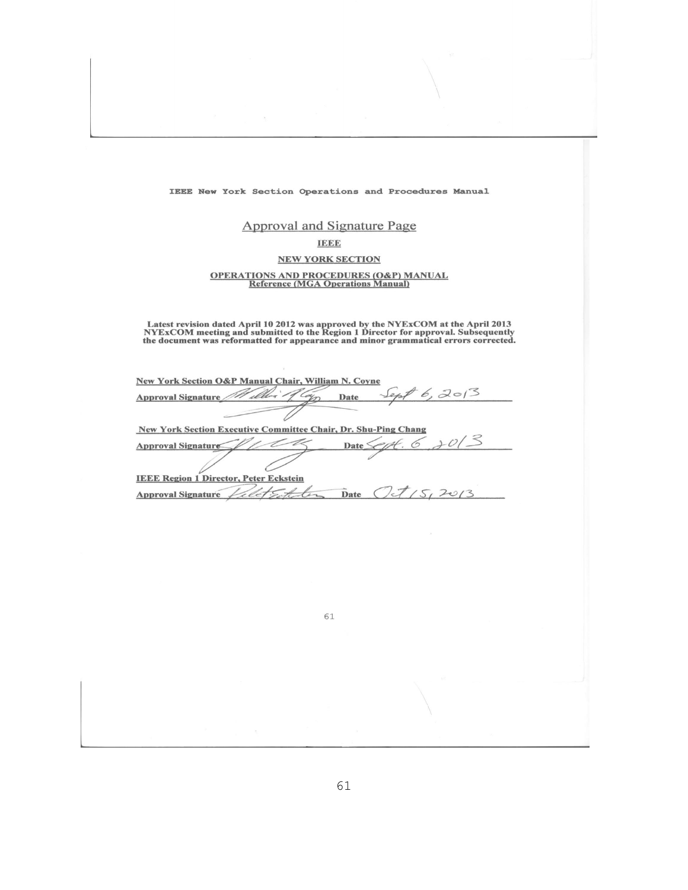## **Approval and Signature Page**

#### **IEEE**

## **NEW YORK SECTION**

# **OPERATIONS AND PROCEDURES (O&P) MANUAL Reference (MGA Operations Manual)**

Latest revision dated April 10 2012 was approved by the NYExCOM at the April 2013<br>NYExCOM meeting and submitted to the Region 1 Director for approval. Subsequently<br>the document was reformatted for appearance and minor gram

 $\overline{\mathcal{A}}$ 

| New York Section O&P Manual Chair, William N. Coyne                   |  |  |  |  |
|-----------------------------------------------------------------------|--|--|--|--|
| 6, 2013<br>ilber<br>Approval Signature<br>Date                        |  |  |  |  |
|                                                                       |  |  |  |  |
| <b>New York Section Executive Committee Chair, Dr. Shu-Ping Chang</b> |  |  |  |  |
| Date <sup>'</sup><br>Approval Signature                               |  |  |  |  |
|                                                                       |  |  |  |  |
| <b>IEEE Region 1 Director, Peter Eckstein</b>                         |  |  |  |  |
| <b>Approval Signature</b><br>Date                                     |  |  |  |  |

61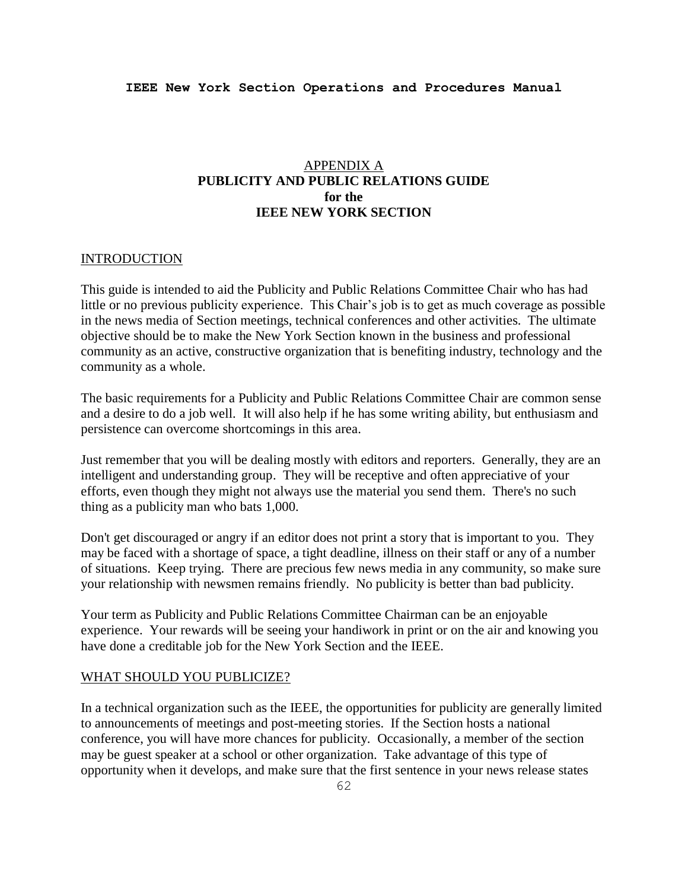# APPENDIX A **PUBLICITY AND PUBLIC RELATIONS GUIDE for the IEEE NEW YORK SECTION**

## **INTRODUCTION**

This guide is intended to aid the Publicity and Public Relations Committee Chair who has had little or no previous publicity experience. This Chair's job is to get as much coverage as possible in the news media of Section meetings, technical conferences and other activities. The ultimate objective should be to make the New York Section known in the business and professional community as an active, constructive organization that is benefiting industry, technology and the community as a whole.

The basic requirements for a Publicity and Public Relations Committee Chair are common sense and a desire to do a job well. It will also help if he has some writing ability, but enthusiasm and persistence can overcome shortcomings in this area.

Just remember that you will be dealing mostly with editors and reporters. Generally, they are an intelligent and understanding group. They will be receptive and often appreciative of your efforts, even though they might not always use the material you send them. There's no such thing as a publicity man who bats 1,000.

Don't get discouraged or angry if an editor does not print a story that is important to you. They may be faced with a shortage of space, a tight deadline, illness on their staff or any of a number of situations. Keep trying. There are precious few news media in any community, so make sure your relationship with newsmen remains friendly. No publicity is better than bad publicity.

Your term as Publicity and Public Relations Committee Chairman can be an enjoyable experience. Your rewards will be seeing your handiwork in print or on the air and knowing you have done a creditable job for the New York Section and the IEEE.

#### WHAT SHOULD YOU PUBLICIZE?

In a technical organization such as the IEEE, the opportunities for publicity are generally limited to announcements of meetings and post-meeting stories. If the Section hosts a national conference, you will have more chances for publicity. Occasionally, a member of the section may be guest speaker at a school or other organization. Take advantage of this type of opportunity when it develops, and make sure that the first sentence in your news release states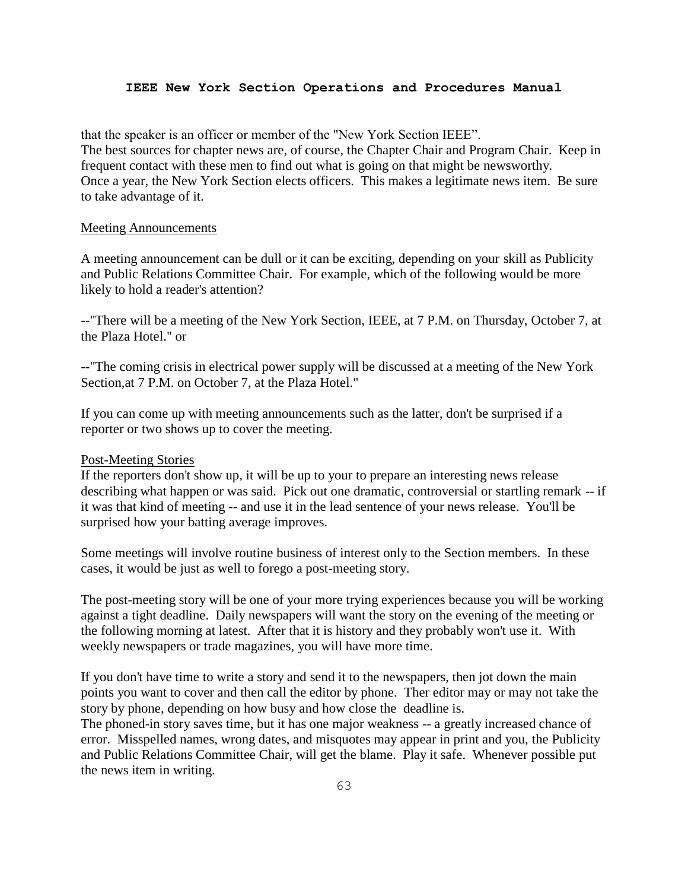that the speaker is an officer or member of the "New York Section IEEE". The best sources for chapter news are, of course, the Chapter Chair and Program Chair. Keep in frequent contact with these men to find out what is going on that might be newsworthy. Once a year, the New York Section elects officers. This makes a legitimate news item. Be sure to take advantage of it.

#### Meeting Announcements

A meeting announcement can be dull or it can be exciting, depending on your skill as Publicity and Public Relations Committee Chair. For example, which of the following would be more likely to hold a reader's attention?

--"There will be a meeting of the New York Section, IEEE, at 7 P.M. on Thursday, October 7, at the Plaza Hotel." or

--"The coming crisis in electrical power supply will be discussed at a meeting of the New York Section,at 7 P.M. on October 7, at the Plaza Hotel."

If you can come up with meeting announcements such as the latter, don't be surprised if a reporter or two shows up to cover the meeting.

#### Post-Meeting Stories

If the reporters don't show up, it will be up to your to prepare an interesting news release describing what happen or was said. Pick out one dramatic, controversial or startling remark -- if it was that kind of meeting -- and use it in the lead sentence of your news release. You'll be surprised how your batting average improves.

Some meetings will involve routine business of interest only to the Section members. In these cases, it would be just as well to forego a post-meeting story.

The post-meeting story will be one of your more trying experiences because you will be working against a tight deadline. Daily newspapers will want the story on the evening of the meeting or the following morning at latest. After that it is history and they probably won't use it. With weekly newspapers or trade magazines, you will have more time.

If you don't have time to write a story and send it to the newspapers, then jot down the main points you want to cover and then call the editor by phone. Ther editor may or may not take the story by phone, depending on how busy and how close the deadline is.

The phoned-in story saves time, but it has one major weakness -- a greatly increased chance of error. Misspelled names, wrong dates, and misquotes may appear in print and you, the Publicity and Public Relations Committee Chair, will get the blame. Play it safe. Whenever possible put the news item in writing.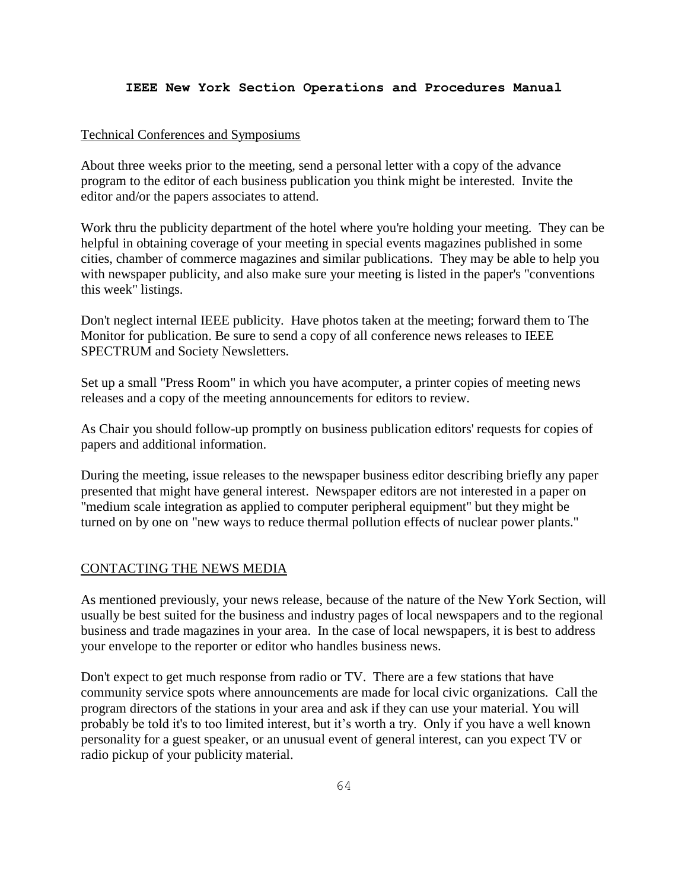## Technical Conferences and Symposiums

About three weeks prior to the meeting, send a personal letter with a copy of the advance program to the editor of each business publication you think might be interested. Invite the editor and/or the papers associates to attend.

Work thru the publicity department of the hotel where you're holding your meeting. They can be helpful in obtaining coverage of your meeting in special events magazines published in some cities, chamber of commerce magazines and similar publications. They may be able to help you with newspaper publicity, and also make sure your meeting is listed in the paper's "conventions this week" listings.

Don't neglect internal IEEE publicity. Have photos taken at the meeting; forward them to The Monitor for publication. Be sure to send a copy of all conference news releases to IEEE SPECTRUM and Society Newsletters.

Set up a small "Press Room" in which you have acomputer, a printer copies of meeting news releases and a copy of the meeting announcements for editors to review.

As Chair you should follow-up promptly on business publication editors' requests for copies of papers and additional information.

During the meeting, issue releases to the newspaper business editor describing briefly any paper presented that might have general interest. Newspaper editors are not interested in a paper on "medium scale integration as applied to computer peripheral equipment" but they might be turned on by one on "new ways to reduce thermal pollution effects of nuclear power plants."

## CONTACTING THE NEWS MEDIA

As mentioned previously, your news release, because of the nature of the New York Section, will usually be best suited for the business and industry pages of local newspapers and to the regional business and trade magazines in your area. In the case of local newspapers, it is best to address your envelope to the reporter or editor who handles business news.

Don't expect to get much response from radio or TV. There are a few stations that have community service spots where announcements are made for local civic organizations. Call the program directors of the stations in your area and ask if they can use your material. You will probably be told it's to too limited interest, but it's worth a try. Only if you have a well known personality for a guest speaker, or an unusual event of general interest, can you expect TV or radio pickup of your publicity material.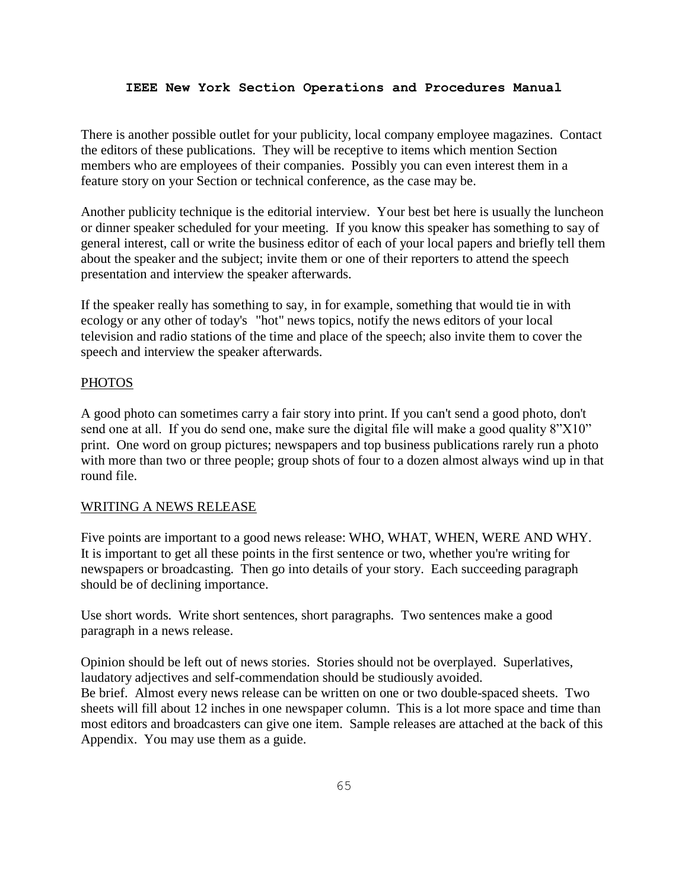There is another possible outlet for your publicity, local company employee magazines. Contact the editors of these publications. They will be receptive to items which mention Section members who are employees of their companies. Possibly you can even interest them in a feature story on your Section or technical conference, as the case may be.

Another publicity technique is the editorial interview. Your best bet here is usually the luncheon or dinner speaker scheduled for your meeting. If you know this speaker has something to say of general interest, call or write the business editor of each of your local papers and briefly tell them about the speaker and the subject; invite them or one of their reporters to attend the speech presentation and interview the speaker afterwards.

If the speaker really has something to say, in for example, something that would tie in with ecology or any other of today's "hot" news topics, notify the news editors of your local television and radio stations of the time and place of the speech; also invite them to cover the speech and interview the speaker afterwards.

#### **PHOTOS**

A good photo can sometimes carry a fair story into print. If you can't send a good photo, don't send one at all. If you do send one, make sure the digital file will make a good quality 8"X10" print. One word on group pictures; newspapers and top business publications rarely run a photo with more than two or three people; group shots of four to a dozen almost always wind up in that round file.

## WRITING A NEWS RELEASE

Five points are important to a good news release: WHO, WHAT, WHEN, WERE AND WHY. It is important to get all these points in the first sentence or two, whether you're writing for newspapers or broadcasting. Then go into details of your story. Each succeeding paragraph should be of declining importance.

Use short words. Write short sentences, short paragraphs. Two sentences make a good paragraph in a news release.

Opinion should be left out of news stories. Stories should not be overplayed. Superlatives, laudatory adjectives and self-commendation should be studiously avoided. Be brief. Almost every news release can be written on one or two double-spaced sheets. Two sheets will fill about 12 inches in one newspaper column. This is a lot more space and time than most editors and broadcasters can give one item. Sample releases are attached at the back of this Appendix. You may use them as a guide.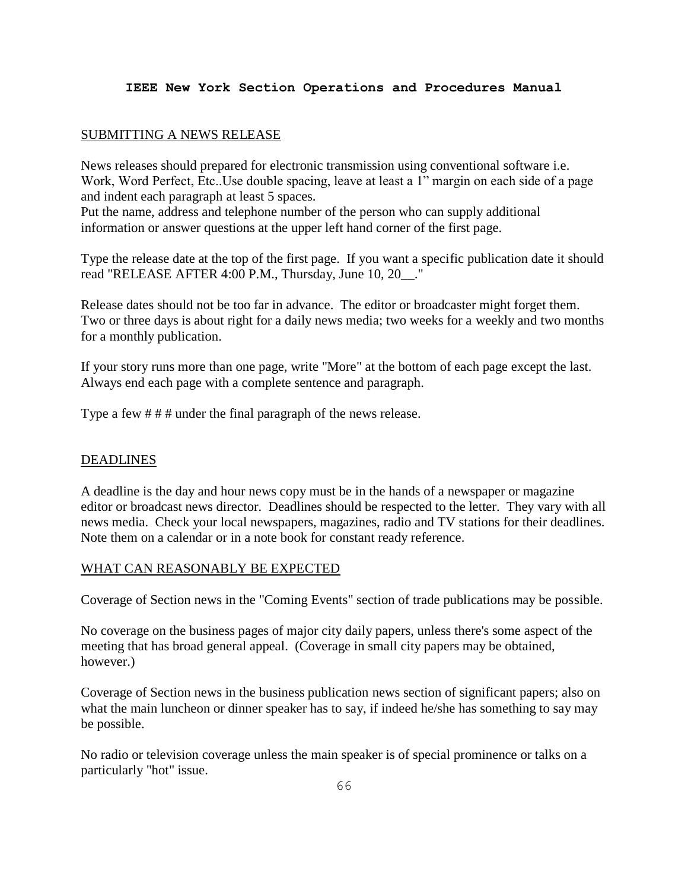## SUBMITTING A NEWS RELEASE

News releases should prepared for electronic transmission using conventional software i.e. Work, Word Perfect, Etc..Use double spacing, leave at least a 1" margin on each side of a page and indent each paragraph at least 5 spaces.

Put the name, address and telephone number of the person who can supply additional information or answer questions at the upper left hand corner of the first page.

Type the release date at the top of the first page. If you want a specific publication date it should read "RELEASE AFTER 4:00 P.M., Thursday, June 10, 20\_\_."

Release dates should not be too far in advance. The editor or broadcaster might forget them. Two or three days is about right for a daily news media; two weeks for a weekly and two months for a monthly publication.

If your story runs more than one page, write "More" at the bottom of each page except the last. Always end each page with a complete sentence and paragraph.

Type a few # # # under the final paragraph of the news release.

#### DEADLINES

A deadline is the day and hour news copy must be in the hands of a newspaper or magazine editor or broadcast news director. Deadlines should be respected to the letter. They vary with all news media. Check your local newspapers, magazines, radio and TV stations for their deadlines. Note them on a calendar or in a note book for constant ready reference.

## WHAT CAN REASONABLY BE EXPECTED

Coverage of Section news in the "Coming Events" section of trade publications may be possible.

No coverage on the business pages of major city daily papers, unless there's some aspect of the meeting that has broad general appeal. (Coverage in small city papers may be obtained, however.)

Coverage of Section news in the business publication news section of significant papers; also on what the main luncheon or dinner speaker has to say, if indeed he/she has something to say may be possible.

No radio or television coverage unless the main speaker is of special prominence or talks on a particularly "hot" issue.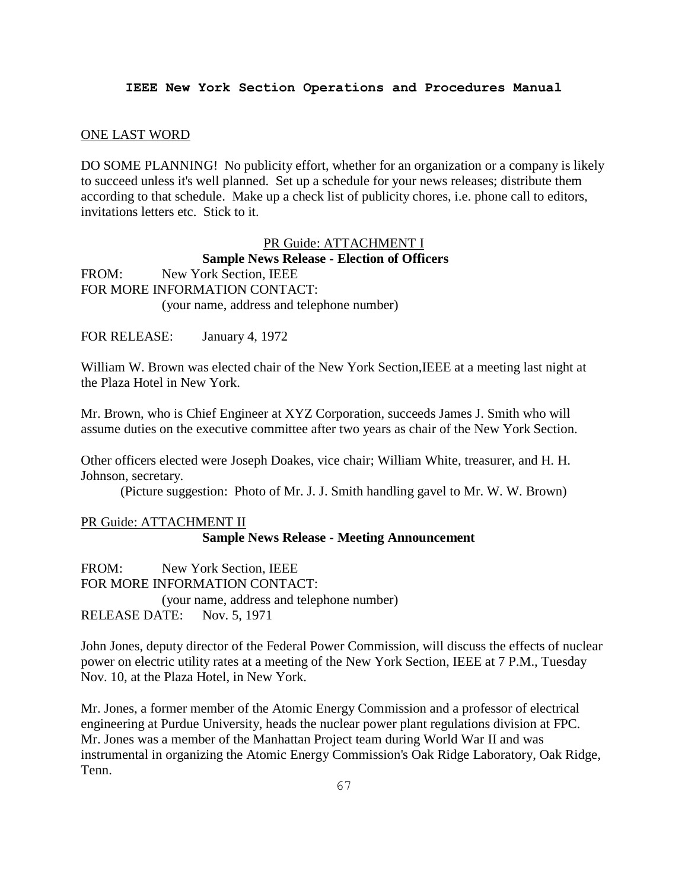#### ONE LAST WORD

DO SOME PLANNING! No publicity effort, whether for an organization or a company is likely to succeed unless it's well planned. Set up a schedule for your news releases; distribute them according to that schedule. Make up a check list of publicity chores, i.e. phone call to editors, invitations letters etc. Stick to it.

PR Guide: ATTACHMENT I **Sample News Release - Election of Officers** FROM: New York Section, IEEE FOR MORE INFORMATION CONTACT: (your name, address and telephone number)

FOR RELEASE: January 4, 1972

William W. Brown was elected chair of the New York Section,IEEE at a meeting last night at the Plaza Hotel in New York.

Mr. Brown, who is Chief Engineer at XYZ Corporation, succeeds James J. Smith who will assume duties on the executive committee after two years as chair of the New York Section.

Other officers elected were Joseph Doakes, vice chair; William White, treasurer, and H. H. Johnson, secretary.

(Picture suggestion: Photo of Mr. J. J. Smith handling gavel to Mr. W. W. Brown)

# PR Guide: ATTACHMENT II **Sample News Release - Meeting Announcement**

FROM: New York Section, IEEE FOR MORE INFORMATION CONTACT: (your name, address and telephone number) RELEASE DATE: Nov. 5, 1971

John Jones, deputy director of the Federal Power Commission, will discuss the effects of nuclear power on electric utility rates at a meeting of the New York Section, IEEE at 7 P.M., Tuesday Nov. 10, at the Plaza Hotel, in New York.

Mr. Jones, a former member of the Atomic Energy Commission and a professor of electrical engineering at Purdue University, heads the nuclear power plant regulations division at FPC. Mr. Jones was a member of the Manhattan Project team during World War II and was instrumental in organizing the Atomic Energy Commission's Oak Ridge Laboratory, Oak Ridge, Tenn.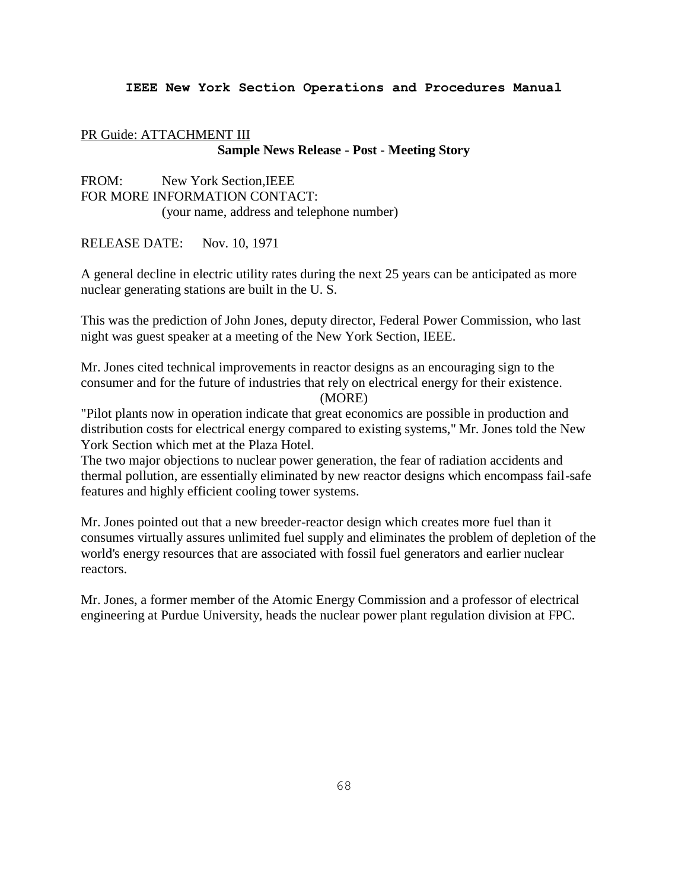# PR Guide: ATTACHMENT III **Sample News Release - Post - Meeting Story**

FROM: New York Section,IEEE FOR MORE INFORMATION CONTACT: (your name, address and telephone number)

RELEASE DATE: Nov. 10, 1971

A general decline in electric utility rates during the next 25 years can be anticipated as more nuclear generating stations are built in the U. S.

This was the prediction of John Jones, deputy director, Federal Power Commission, who last night was guest speaker at a meeting of the New York Section, IEEE.

Mr. Jones cited technical improvements in reactor designs as an encouraging sign to the consumer and for the future of industries that rely on electrical energy for their existence.

(MORE)

"Pilot plants now in operation indicate that great economics are possible in production and distribution costs for electrical energy compared to existing systems," Mr. Jones told the New York Section which met at the Plaza Hotel.

The two major objections to nuclear power generation, the fear of radiation accidents and thermal pollution, are essentially eliminated by new reactor designs which encompass fail-safe features and highly efficient cooling tower systems.

Mr. Jones pointed out that a new breeder-reactor design which creates more fuel than it consumes virtually assures unlimited fuel supply and eliminates the problem of depletion of the world's energy resources that are associated with fossil fuel generators and earlier nuclear reactors.

Mr. Jones, a former member of the Atomic Energy Commission and a professor of electrical engineering at Purdue University, heads the nuclear power plant regulation division at FPC.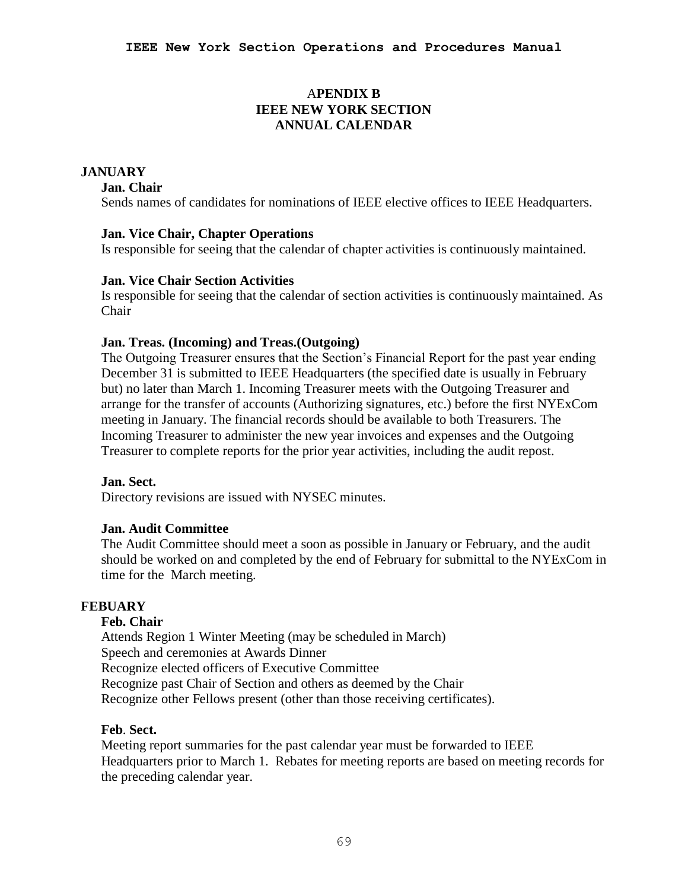# A**PENDIX B IEEE NEW YORK SECTION ANNUAL CALENDAR**

# **JANUARY**

## **Jan. Chair**

Sends names of candidates for nominations of IEEE elective offices to IEEE Headquarters.

## **Jan. Vice Chair, Chapter Operations**

Is responsible for seeing that the calendar of chapter activities is continuously maintained.

## **Jan. Vice Chair Section Activities**

Is responsible for seeing that the calendar of section activities is continuously maintained. As Chair

## **Jan. Treas. (Incoming) and Treas.(Outgoing)**

The Outgoing Treasurer ensures that the Section's Financial Report for the past year ending December 31 is submitted to IEEE Headquarters (the specified date is usually in February but) no later than March 1. Incoming Treasurer meets with the Outgoing Treasurer and arrange for the transfer of accounts (Authorizing signatures, etc.) before the first NYExCom meeting in January. The financial records should be available to both Treasurers. The Incoming Treasurer to administer the new year invoices and expenses and the Outgoing Treasurer to complete reports for the prior year activities, including the audit repost.

## **Jan. Sect.**

Directory revisions are issued with NYSEC minutes.

## **Jan. Audit Committee**

The Audit Committee should meet a soon as possible in January or February, and the audit should be worked on and completed by the end of February for submittal to the NYExCom in time for the March meeting.

# **FEBUARY**

## **Feb. Chair**

Attends Region 1 Winter Meeting (may be scheduled in March) Speech and ceremonies at Awards Dinner Recognize elected officers of Executive Committee Recognize past Chair of Section and others as deemed by the Chair Recognize other Fellows present (other than those receiving certificates).

# **Feb**. **Sect.**

Meeting report summaries for the past calendar year must be forwarded to IEEE Headquarters prior to March 1. Rebates for meeting reports are based on meeting records for the preceding calendar year.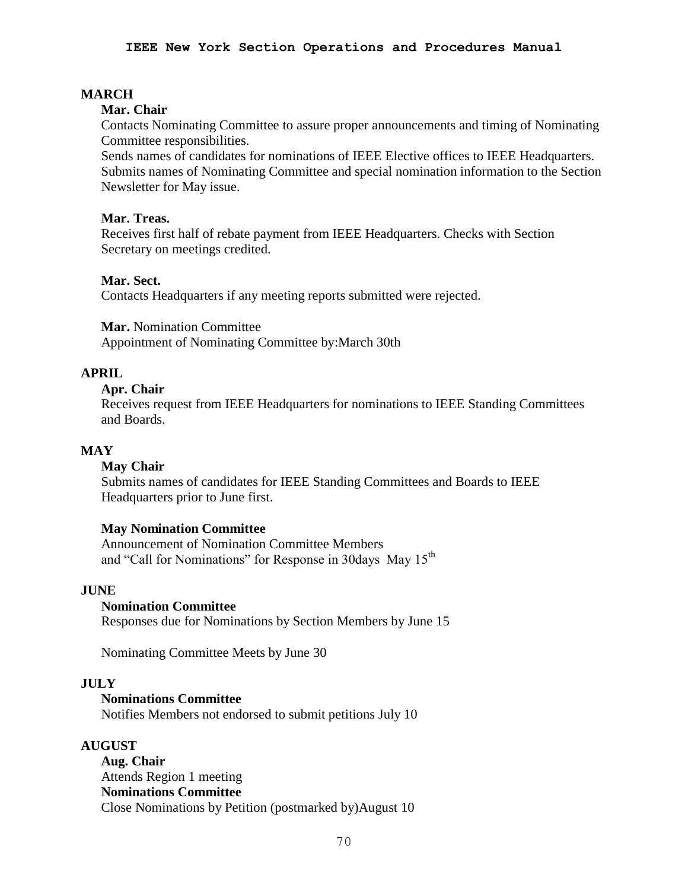# **MARCH**

## **Mar. Chair**

Contacts Nominating Committee to assure proper announcements and timing of Nominating Committee responsibilities.

Sends names of candidates for nominations of IEEE Elective offices to IEEE Headquarters. Submits names of Nominating Committee and special nomination information to the Section Newsletter for May issue.

## **Mar. Treas.**

Receives first half of rebate payment from IEEE Headquarters. Checks with Section Secretary on meetings credited.

## **Mar. Sect.**

Contacts Headquarters if any meeting reports submitted were rejected.

**Mar.** Nomination Committee Appointment of Nominating Committee by:March 30th

# **APRIL**

# **Apr. Chair**

Receives request from IEEE Headquarters for nominations to IEEE Standing Committees and Boards.

# **MAY**

#### **May Chair**

Submits names of candidates for IEEE Standing Committees and Boards to IEEE Headquarters prior to June first.

## **May Nomination Committee**

Announcement of Nomination Committee Members and "Call for Nominations" for Response in 30days May 15<sup>th</sup>

#### **JUNE**

#### **Nomination Committee**

Responses due for Nominations by Section Members by June 15

Nominating Committee Meets by June 30

## **JULY**

## **Nominations Committee**

Notifies Members not endorsed to submit petitions July 10

## **AUGUST**

**Aug. Chair** Attends Region 1 meeting **Nominations Committee** Close Nominations by Petition (postmarked by)August 10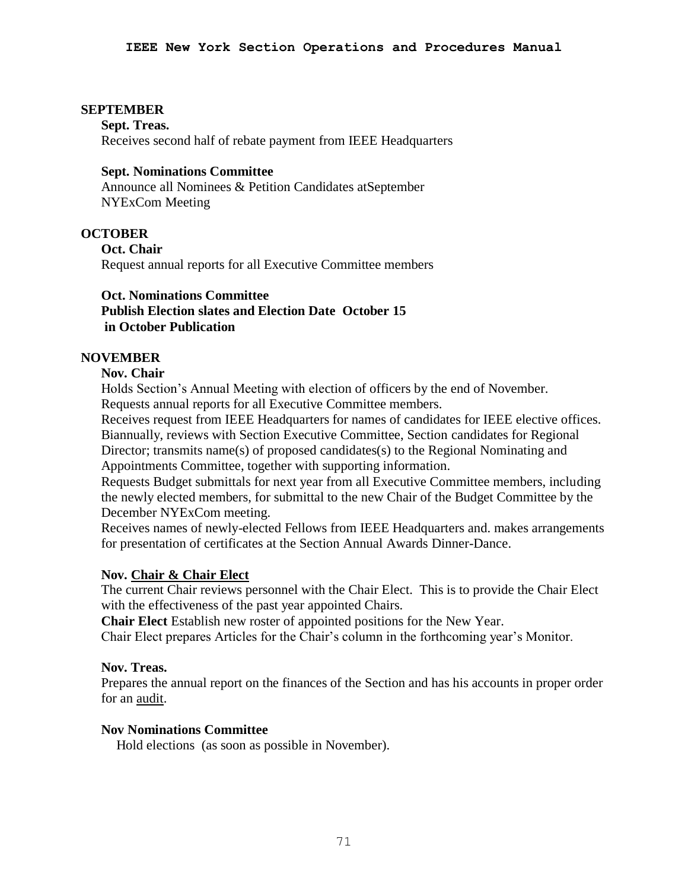## **SEPTEMBER**

**Sept. Treas.** Receives second half of rebate payment from IEEE Headquarters

## **Sept. Nominations Committee**

Announce all Nominees & Petition Candidates atSeptember NYExCom Meeting

## **OCTOBER**

**Oct. Chair** Request annual reports for all Executive Committee members

## **Oct. Nominations Committee**

# **Publish Election slates and Election Date October 15 in October Publication**

## **NOVEMBER**

## **Nov. Chair**

Holds Section's Annual Meeting with election of officers by the end of November. Requests annual reports for all Executive Committee members.

Receives request from IEEE Headquarters for names of candidates for IEEE elective offices. Biannually, reviews with Section Executive Committee, Section candidates for Regional Director; transmits name(s) of proposed candidates(s) to the Regional Nominating and Appointments Committee, together with supporting information.

Requests Budget submittals for next year from all Executive Committee members, including the newly elected members, for submittal to the new Chair of the Budget Committee by the December NYExCom meeting.

Receives names of newly-elected Fellows from IEEE Headquarters and. makes arrangements for presentation of certificates at the Section Annual Awards Dinner-Dance.

## **Nov. Chair & Chair Elect**

The current Chair reviews personnel with the Chair Elect. This is to provide the Chair Elect with the effectiveness of the past year appointed Chairs.

**Chair Elect** Establish new roster of appointed positions for the New Year.

Chair Elect prepares Articles for the Chair's column in the forthcoming year's Monitor.

## **Nov. Treas.**

Prepares the annual report on the finances of the Section and has his accounts in proper order for an audit.

## **Nov Nominations Committee**

Hold elections (as soon as possible in November).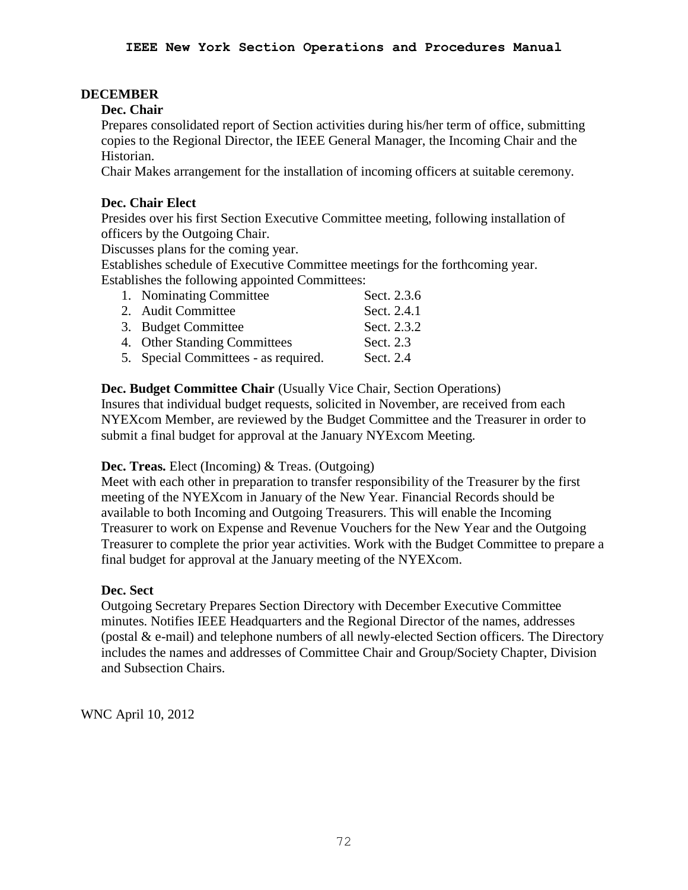# **DECEMBER**

# **Dec. Chair**

Prepares consolidated report of Section activities during his/her term of office, submitting copies to the Regional Director, the IEEE General Manager, the Incoming Chair and the Historian.

Chair Makes arrangement for the installation of incoming officers at suitable ceremony.

# **Dec. Chair Elect**

Presides over his first Section Executive Committee meeting, following installation of officers by the Outgoing Chair.

Discusses plans for the coming year.

Establishes schedule of Executive Committee meetings for the forthcoming year. Establishes the following appointed Committees:

| 1. Nominating Committee              | Sect. 2.3.6 |
|--------------------------------------|-------------|
| 2. Audit Committee                   | Sect. 2.4.1 |
| 3. Budget Committee                  | Sect. 2.3.2 |
| 4. Other Standing Committees         | Sect. 2.3   |
| 5. Special Committees - as required. | Sect. 2.4   |
|                                      |             |

# **Dec. Budget Committee Chair** (Usually Vice Chair, Section Operations)

Insures that individual budget requests, solicited in November, are received from each NYEXcom Member, are reviewed by the Budget Committee and the Treasurer in order to submit a final budget for approval at the January NYExcom Meeting.

# **Dec. Treas.** Elect (Incoming) & Treas. (Outgoing)

Meet with each other in preparation to transfer responsibility of the Treasurer by the first meeting of the NYEXcom in January of the New Year. Financial Records should be available to both Incoming and Outgoing Treasurers. This will enable the Incoming Treasurer to work on Expense and Revenue Vouchers for the New Year and the Outgoing Treasurer to complete the prior year activities. Work with the Budget Committee to prepare a final budget for approval at the January meeting of the NYEXcom.

# **Dec. Sect**

Outgoing Secretary Prepares Section Directory with December Executive Committee minutes. Notifies IEEE Headquarters and the Regional Director of the names, addresses (postal & e-mail) and telephone numbers of all newly-elected Section officers. The Directory includes the names and addresses of Committee Chair and Group/Society Chapter, Division and Subsection Chairs.

WNC April 10, 2012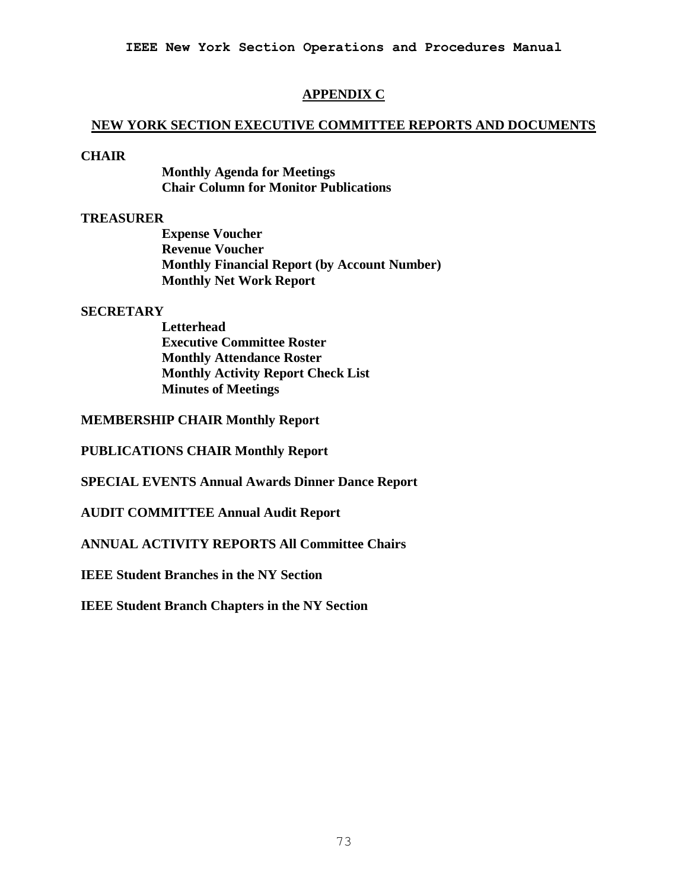### **APPENDIX C**

#### **NEW YORK SECTION EXECUTIVE COMMITTEE REPORTS AND DOCUMENTS**

#### **CHAIR**

**Monthly Agenda for Meetings Chair Column for Monitor Publications**

### **TREASURER**

**Expense Voucher Revenue Voucher Monthly Financial Report (by Account Number) Monthly Net Work Report**

#### **SECRETARY**

**Letterhead Executive Committee Roster Monthly Attendance Roster Monthly Activity Report Check List Minutes of Meetings**

**MEMBERSHIP CHAIR Monthly Report**

**PUBLICATIONS CHAIR Monthly Report**

**SPECIAL EVENTS Annual Awards Dinner Dance Report**

**AUDIT COMMITTEE Annual Audit Report** 

**ANNUAL ACTIVITY REPORTS All Committee Chairs**

**IEEE Student Branches in the NY Section**

**IEEE Student Branch Chapters in the NY Section**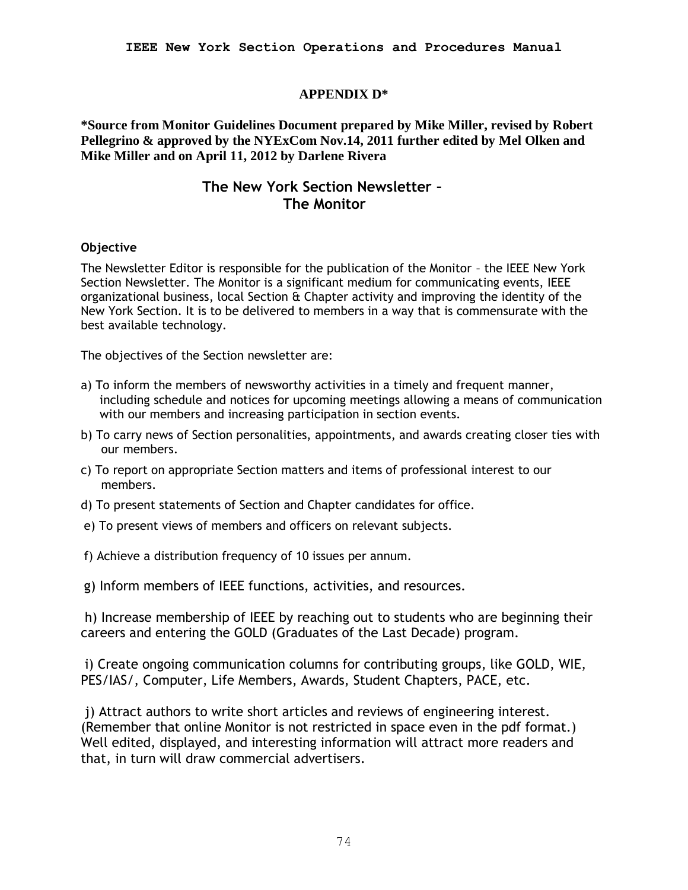### **APPENDIX D\***

**\*Source from Monitor Guidelines Document prepared by Mike Miller, revised by Robert Pellegrino & approved by the NYExCom Nov.14, 2011 further edited by Mel Olken and Mike Miller and on April 11, 2012 by Darlene Rivera** 

# **The New York Section Newsletter – The Monitor**

### **Objective**

The Newsletter Editor is responsible for the publication of the Monitor – the IEEE New York Section Newsletter. The Monitor is a significant medium for communicating events, IEEE organizational business, local Section  $\hat{a}$  Chapter activity and improving the identity of the New York Section. It is to be delivered to members in a way that is commensurate with the best available technology.

The objectives of the Section newsletter are:

- a) To inform the members of newsworthy activities in a timely and frequent manner, including schedule and notices for upcoming meetings allowing a means of communication with our members and increasing participation in section events.
- b) To carry news of Section personalities, appointments, and awards creating closer ties with our members.
- c) To report on appropriate Section matters and items of professional interest to our members.
- d) To present statements of Section and Chapter candidates for office.
- e) To present views of members and officers on relevant subjects.
- f) Achieve a distribution frequency of 10 issues per annum.
- g) Inform members of IEEE functions, activities, and resources.

h) Increase membership of IEEE by reaching out to students who are beginning their careers and entering the GOLD (Graduates of the Last Decade) program.

i) Create ongoing communication columns for contributing groups, like GOLD, WIE, PES/IAS/, Computer, Life Members, Awards, Student Chapters, PACE, etc.

i) Attract authors to write short articles and reviews of engineering interest. (Remember that online Monitor is not restricted in space even in the pdf format.) Well edited, displayed, and interesting information will attract more readers and that, in turn will draw commercial advertisers.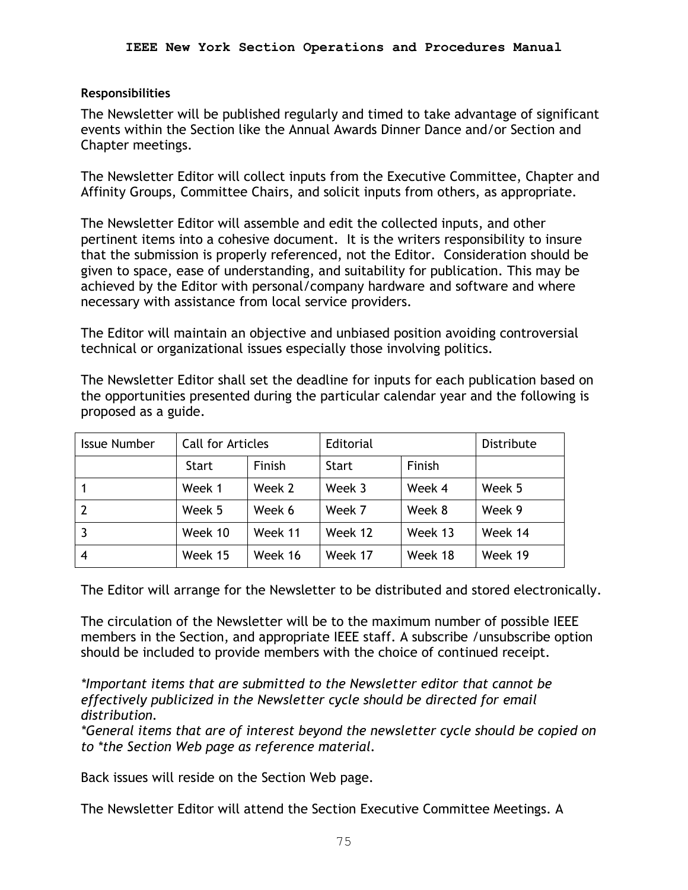### **Responsibilities**

The Newsletter will be published regularly and timed to take advantage of significant events within the Section like the Annual Awards Dinner Dance and/or Section and Chapter meetings.

The Newsletter Editor will collect inputs from the Executive Committee, Chapter and Affinity Groups, Committee Chairs, and solicit inputs from others, as appropriate.

The Newsletter Editor will assemble and edit the collected inputs, and other pertinent items into a cohesive document. It is the writers responsibility to insure that the submission is properly referenced, not the Editor. Consideration should be given to space, ease of understanding, and suitability for publication. This may be achieved by the Editor with personal/company hardware and software and where necessary with assistance from local service providers.

The Editor will maintain an objective and unbiased position avoiding controversial technical or organizational issues especially those involving politics.

The Newsletter Editor shall set the deadline for inputs for each publication based on the opportunities presented during the particular calendar year and the following is proposed as a guide.

| <b>Issue Number</b> | Call for Articles |         | Editorial    |         | <b>Distribute</b> |
|---------------------|-------------------|---------|--------------|---------|-------------------|
|                     | <b>Start</b>      | Finish  | <b>Start</b> | Finish  |                   |
|                     | Week 1            | Week 2  | Week 3       | Week 4  | Week 5            |
| 2                   | Week 5            | Week 6  | Week 7       | Week 8  | Week 9            |
| 3                   | Week 10           | Week 11 | Week 12      | Week 13 | Week 14           |
| $\overline{4}$      | Week 15           | Week 16 | Week 17      | Week 18 | Week 19           |

The Editor will arrange for the Newsletter to be distributed and stored electronically.

The circulation of the Newsletter will be to the maximum number of possible IEEE members in the Section, and appropriate IEEE staff. A subscribe /unsubscribe option should be included to provide members with the choice of continued receipt.

*\*Important items that are submitted to the Newsletter editor that cannot be effectively publicized in the Newsletter cycle should be directed for email distribution.* 

*\*General items that are of interest beyond the newsletter cycle should be copied on to \*the Section Web page as reference material.* 

Back issues will reside on the Section Web page.

The Newsletter Editor will attend the Section Executive Committee Meetings. A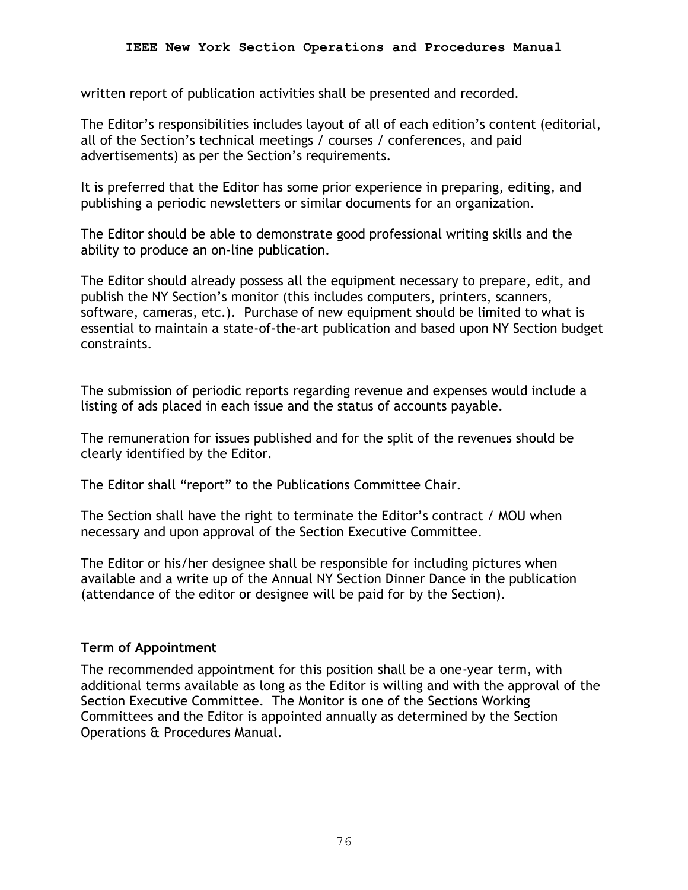written report of publication activities shall be presented and recorded.

The Editor's responsibilities includes layout of all of each edition's content (editorial, all of the Section's technical meetings / courses / conferences, and paid advertisements) as per the Section's requirements.

It is preferred that the Editor has some prior experience in preparing, editing, and publishing a periodic newsletters or similar documents for an organization.

The Editor should be able to demonstrate good professional writing skills and the ability to produce an on-line publication.

The Editor should already possess all the equipment necessary to prepare, edit, and publish the NY Section's monitor (this includes computers, printers, scanners, software, cameras, etc.). Purchase of new equipment should be limited to what is essential to maintain a state-of-the-art publication and based upon NY Section budget constraints.

The submission of periodic reports regarding revenue and expenses would include a listing of ads placed in each issue and the status of accounts payable.

The remuneration for issues published and for the split of the revenues should be clearly identified by the Editor.

The Editor shall "report" to the Publications Committee Chair.

The Section shall have the right to terminate the Editor's contract / MOU when necessary and upon approval of the Section Executive Committee.

The Editor or his/her designee shall be responsible for including pictures when available and a write up of the Annual NY Section Dinner Dance in the publication (attendance of the editor or designee will be paid for by the Section).

# **Term of Appointment**

The recommended appointment for this position shall be a one-year term, with additional terms available as long as the Editor is willing and with the approval of the Section Executive Committee. The Monitor is one of the Sections Working Committees and the Editor is appointed annually as determined by the Section Operations & Procedures Manual.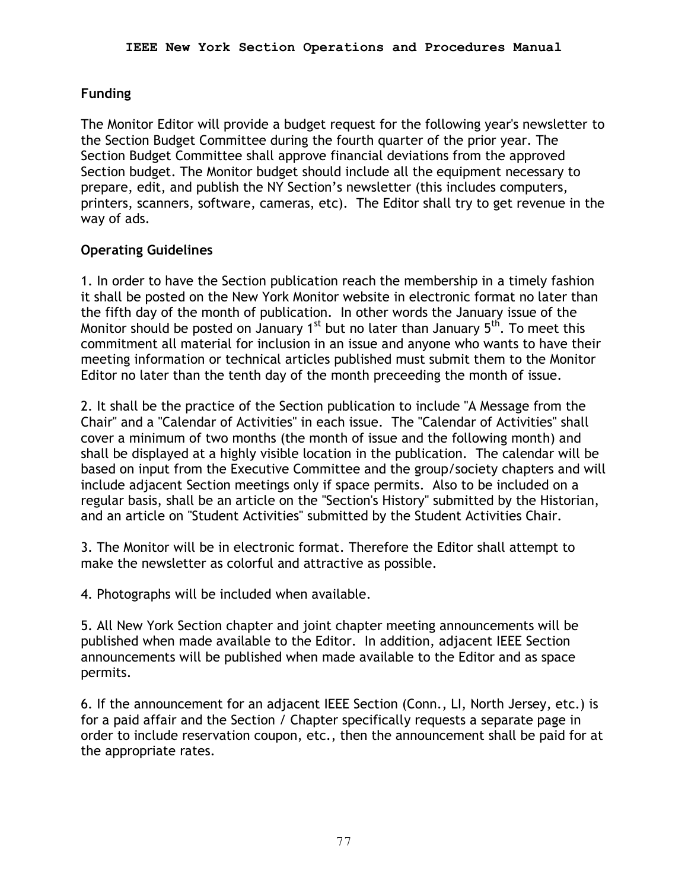# **Funding**

The Monitor Editor will provide a budget request for the following year's newsletter to the Section Budget Committee during the fourth quarter of the prior year. The Section Budget Committee shall approve financial deviations from the approved Section budget. The Monitor budget should include all the equipment necessary to prepare, edit, and publish the NY Section's newsletter (this includes computers, printers, scanners, software, cameras, etc). The Editor shall try to get revenue in the way of ads.

### **Operating Guidelines**

1. In order to have the Section publication reach the membership in a timely fashion it shall be posted on the New York Monitor website in electronic format no later than the fifth day of the month of publication. In other words the January issue of the Monitor should be posted on January 1<sup>st</sup> but no later than January 5<sup>th</sup>. To meet this commitment all material for inclusion in an issue and anyone who wants to have their meeting information or technical articles published must submit them to the Monitor Editor no later than the tenth day of the month preceeding the month of issue.

2. It shall be the practice of the Section publication to include "A Message from the Chair" and a "Calendar of Activities" in each issue. The "Calendar of Activities" shall cover a minimum of two months (the month of issue and the following month) and shall be displayed at a highly visible location in the publication. The calendar will be based on input from the Executive Committee and the group/society chapters and will include adjacent Section meetings only if space permits. Also to be included on a regular basis, shall be an article on the "Section's History" submitted by the Historian, and an article on "Student Activities" submitted by the Student Activities Chair.

3. The Monitor will be in electronic format. Therefore the Editor shall attempt to make the newsletter as colorful and attractive as possible.

4. Photographs will be included when available.

5. All New York Section chapter and joint chapter meeting announcements will be published when made available to the Editor. In addition, adjacent IEEE Section announcements will be published when made available to the Editor and as space permits.

6. If the announcement for an adjacent IEEE Section (Conn., LI, North Jersey, etc.) is for a paid affair and the Section / Chapter specifically requests a separate page in order to include reservation coupon, etc., then the announcement shall be paid for at the appropriate rates.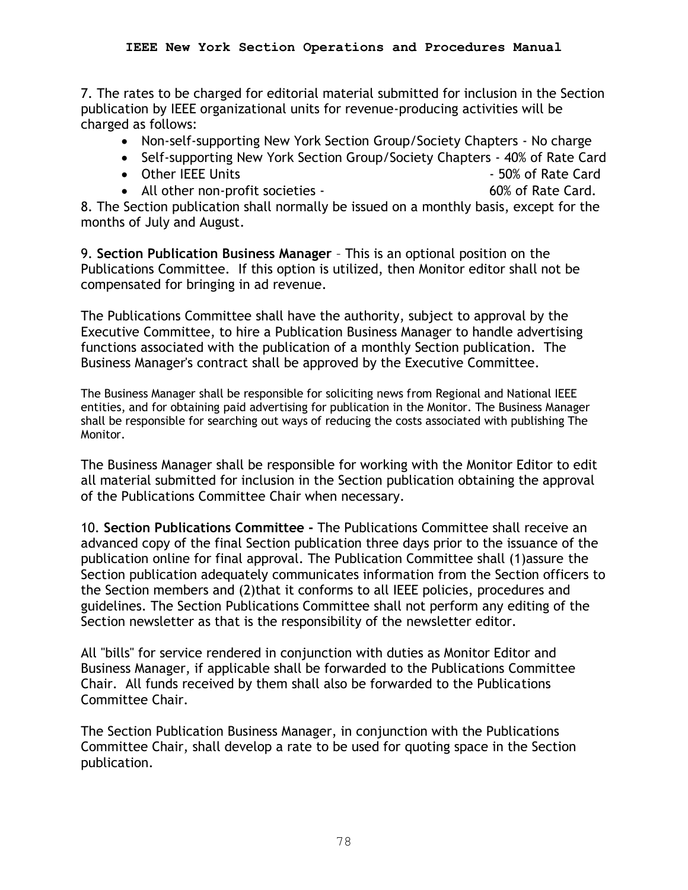7. The rates to be charged for editorial material submitted for inclusion in the Section publication by IEEE organizational units for revenue-producing activities will be charged as follows:

- Non-self-supporting New York Section Group/Society Chapters No charge
- Self-supporting New York Section Group/Society Chapters 40% of Rate Card
- Other IEEE Units 50% of Rate Card
- All other non-profit societies 60% of Rate Card.
	-

8. The Section publication shall normally be issued on a monthly basis, except for the months of July and August.

9. **Section Publication Business Manager** – This is an optional position on the Publications Committee. If this option is utilized, then Monitor editor shall not be compensated for bringing in ad revenue.

The Publications Committee shall have the authority, subject to approval by the Executive Committee, to hire a Publication Business Manager to handle advertising functions associated with the publication of a monthly Section publication. The Business Manager's contract shall be approved by the Executive Committee.

The Business Manager shall be responsible for soliciting news from Regional and National IEEE entities, and for obtaining paid advertising for publication in the Monitor. The Business Manager shall be responsible for searching out ways of reducing the costs associated with publishing The Monitor.

The Business Manager shall be responsible for working with the Monitor Editor to edit all material submitted for inclusion in the Section publication obtaining the approval of the Publications Committee Chair when necessary.

10. **Section Publications Committee -** The Publications Committee shall receive an advanced copy of the final Section publication three days prior to the issuance of the publication online for final approval. The Publication Committee shall (1)assure the Section publication adequately communicates information from the Section officers to the Section members and (2)that it conforms to all IEEE policies, procedures and guidelines. The Section Publications Committee shall not perform any editing of the Section newsletter as that is the responsibility of the newsletter editor.

All "bills" for service rendered in conjunction with duties as Monitor Editor and Business Manager, if applicable shall be forwarded to the Publications Committee Chair. All funds received by them shall also be forwarded to the Publications Committee Chair.

The Section Publication Business Manager, in conjunction with the Publications Committee Chair, shall develop a rate to be used for quoting space in the Section publication.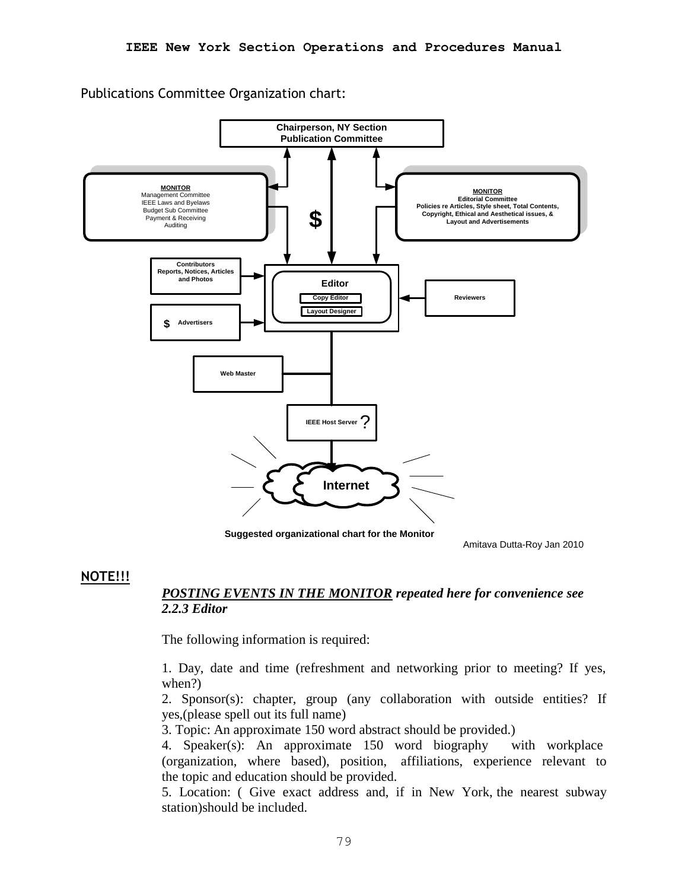Publications Committee Organization chart:



**Suggested organizational chart for the Monitor**

Amitava Dutta-Roy Jan 2010

### **NOTE!!!**

### *POSTING EVENTS IN THE MONITOR repeated here for convenience see 2.2.3 Editor*

The following information is required:

1. Day, date and time (refreshment and networking prior to meeting? If yes, when?)

2. Sponsor(s): chapter, group (any collaboration with outside entities? If yes,(please spell out its full name)

3. Topic: An approximate 150 word abstract should be provided.)

4. Speaker(s): An approximate 150 word biography with workplace (organization, where based), position, affiliations, experience relevant to the topic and education should be provided.

5. Location: ( Give exact address and, if in New York, the nearest subway station)should be included.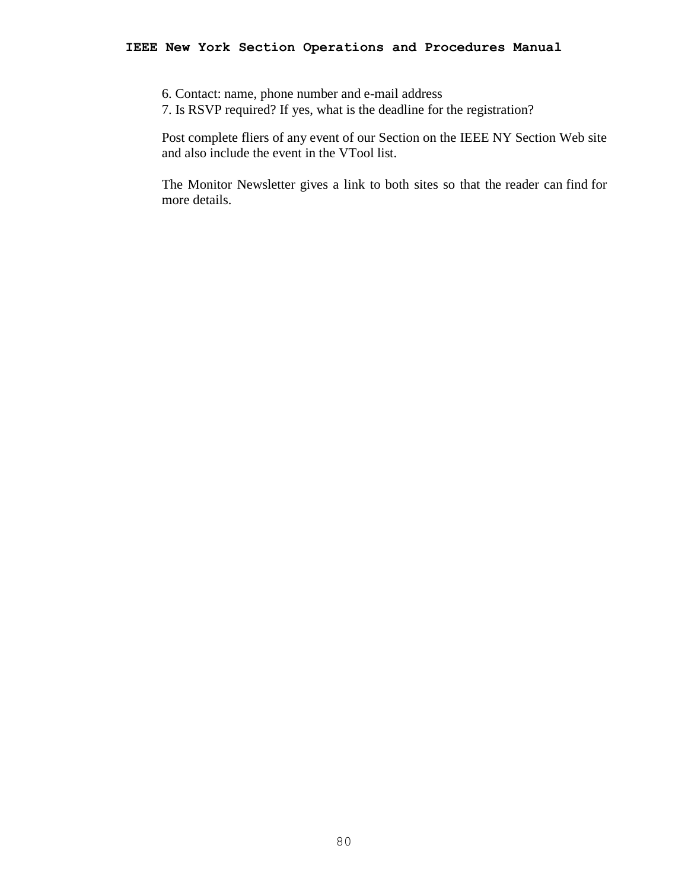#### **IEEE New York Section Operations and Procedures Manual**

- 6. Contact: name, phone number and e-mail address
- 7. Is RSVP required? If yes, what is the deadline for the registration?

Post complete fliers of any event of our Section on the IEEE NY Section Web site and also include the event in the VTool list.

The Monitor Newsletter gives a link to both sites so that the reader can find for more details.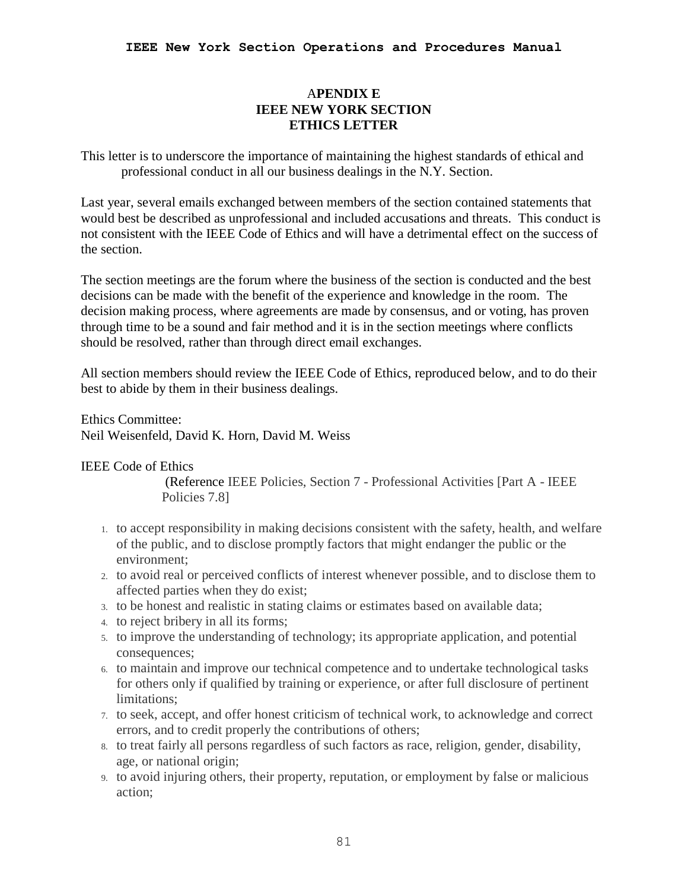### A**PENDIX E IEEE NEW YORK SECTION ETHICS LETTER**

This letter is to underscore the importance of maintaining the highest standards of ethical and professional conduct in all our business dealings in the N.Y. Section.

Last year, several emails exchanged between members of the section contained statements that would best be described as unprofessional and included accusations and threats. This conduct is not consistent with the IEEE Code of Ethics and will have a detrimental effect on the success of the section.

The section meetings are the forum where the business of the section is conducted and the best decisions can be made with the benefit of the experience and knowledge in the room. The decision making process, where agreements are made by consensus, and or voting, has proven through time to be a sound and fair method and it is in the section meetings where conflicts should be resolved, rather than through direct email exchanges.

All section members should review the IEEE Code of Ethics, reproduced below, and to do their best to abide by them in their business dealings.

Ethics Committee: Neil Weisenfeld, David K. Horn, David M. Weiss

### IEEE Code of Ethics

(Reference IEEE Policies, Section 7 - Professional Activities [Part A - IEEE Policies 7.8]

- 1. to accept responsibility in making decisions consistent with the safety, health, and welfare of the public, and to disclose promptly factors that might endanger the public or the environment;
- 2. to avoid real or perceived conflicts of interest whenever possible, and to disclose them to affected parties when they do exist;
- 3. to be honest and realistic in stating claims or estimates based on available data;
- 4. to reject bribery in all its forms;
- 5. to improve the understanding of technology; its appropriate application, and potential consequences;
- 6. to maintain and improve our technical competence and to undertake technological tasks for others only if qualified by training or experience, or after full disclosure of pertinent limitations;
- 7. to seek, accept, and offer honest criticism of technical work, to acknowledge and correct errors, and to credit properly the contributions of others;
- 8. to treat fairly all persons regardless of such factors as race, religion, gender, disability, age, or national origin;
- 9. to avoid injuring others, their property, reputation, or employment by false or malicious action;